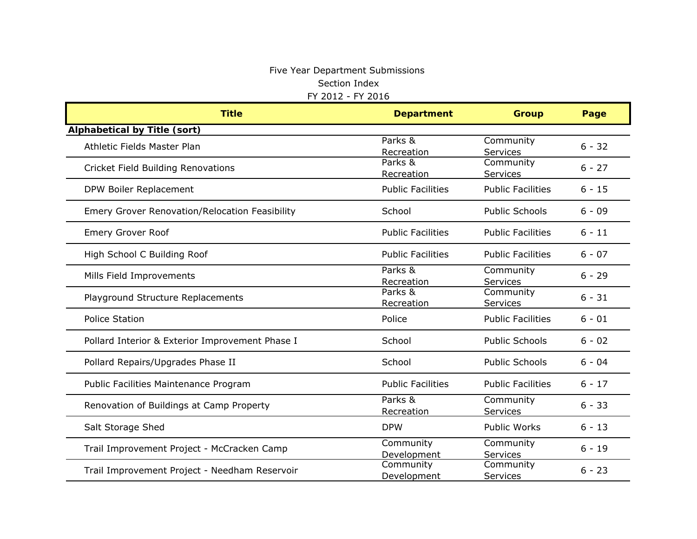### Five Year Department Submissions Section Index FY 2012 - FY 2016

| <b>Title</b>                                    | <b>Department</b>        | <b>Group</b>             | Page     |
|-------------------------------------------------|--------------------------|--------------------------|----------|
| <b>Alphabetical by Title (sort)</b>             |                          |                          |          |
| Athletic Fields Master Plan                     | Parks &<br>Recreation    | Community<br>Services    | $6 - 32$ |
| <b>Cricket Field Building Renovations</b>       | Parks &<br>Recreation    | Community<br>Services    | $6 - 27$ |
| DPW Boiler Replacement                          | <b>Public Facilities</b> | <b>Public Facilities</b> | $6 - 15$ |
| Emery Grover Renovation/Relocation Feasibility  | School                   | <b>Public Schools</b>    | $6 - 09$ |
| <b>Emery Grover Roof</b>                        | <b>Public Facilities</b> | <b>Public Facilities</b> | $6 - 11$ |
| High School C Building Roof                     | <b>Public Facilities</b> | <b>Public Facilities</b> | $6 - 07$ |
| Mills Field Improvements                        | Parks &<br>Recreation    | Community<br>Services    | $6 - 29$ |
| Playground Structure Replacements               | Parks &<br>Recreation    | Community<br>Services    | $6 - 31$ |
| <b>Police Station</b>                           | Police                   | <b>Public Facilities</b> | $6 - 01$ |
| Pollard Interior & Exterior Improvement Phase I | School                   | <b>Public Schools</b>    | $6 - 02$ |
| Pollard Repairs/Upgrades Phase II               | School                   | <b>Public Schools</b>    | $6 - 04$ |
| Public Facilities Maintenance Program           | <b>Public Facilities</b> | <b>Public Facilities</b> | $6 - 17$ |
| Renovation of Buildings at Camp Property        | Parks &<br>Recreation    | Community<br>Services    | $6 - 33$ |
| Salt Storage Shed                               | <b>DPW</b>               | <b>Public Works</b>      | $6 - 13$ |
| Trail Improvement Project - McCracken Camp      | Community<br>Development | Community<br>Services    | $6 - 19$ |
| Trail Improvement Project - Needham Reservoir   | Community<br>Development | Community<br>Services    | $6 - 23$ |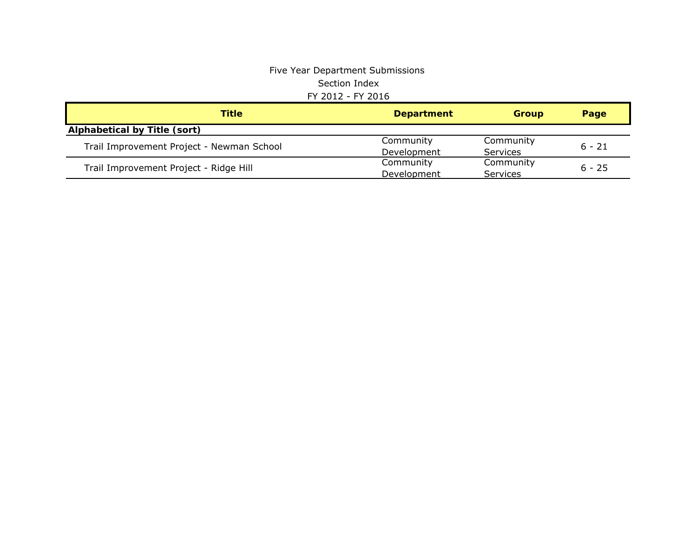### Five Year Department Submissions Section Index FY 2012 - FY 2016

| Title                                     | <b>Department</b> | <b>Group</b> | Page     |  |
|-------------------------------------------|-------------------|--------------|----------|--|
| <b>Alphabetical by Title (sort)</b>       |                   |              |          |  |
| Trail Improvement Project - Newman School | Community         | Community    | $6 - 21$ |  |
|                                           | Development       | Services     |          |  |
| Trail Improvement Project - Ridge Hill    | Community         | Community    | $6 - 25$ |  |
|                                           | Development       | Services     |          |  |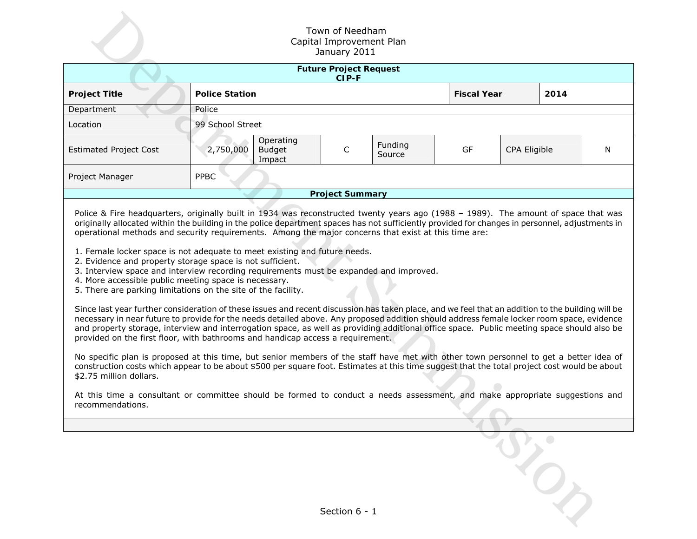| Town of Needham<br>Capital Improvement Plan<br>January 2011                                                                                                                                                                                                                                                                                                                                                                                                                                                                                                                                                                                                                                                                                                                                                                                                                                                                                                                                                                                                                                                                                                                                                                                                                                                                                                                                                                                                                                                                                                                                                                                                                                                                                                          |                       |                                      |                        |                   |                    |              |      |   |  |  |
|----------------------------------------------------------------------------------------------------------------------------------------------------------------------------------------------------------------------------------------------------------------------------------------------------------------------------------------------------------------------------------------------------------------------------------------------------------------------------------------------------------------------------------------------------------------------------------------------------------------------------------------------------------------------------------------------------------------------------------------------------------------------------------------------------------------------------------------------------------------------------------------------------------------------------------------------------------------------------------------------------------------------------------------------------------------------------------------------------------------------------------------------------------------------------------------------------------------------------------------------------------------------------------------------------------------------------------------------------------------------------------------------------------------------------------------------------------------------------------------------------------------------------------------------------------------------------------------------------------------------------------------------------------------------------------------------------------------------------------------------------------------------|-----------------------|--------------------------------------|------------------------|-------------------|--------------------|--------------|------|---|--|--|
| <b>Future Project Request</b><br>CIP-F                                                                                                                                                                                                                                                                                                                                                                                                                                                                                                                                                                                                                                                                                                                                                                                                                                                                                                                                                                                                                                                                                                                                                                                                                                                                                                                                                                                                                                                                                                                                                                                                                                                                                                                               |                       |                                      |                        |                   |                    |              |      |   |  |  |
| <b>Project Title</b>                                                                                                                                                                                                                                                                                                                                                                                                                                                                                                                                                                                                                                                                                                                                                                                                                                                                                                                                                                                                                                                                                                                                                                                                                                                                                                                                                                                                                                                                                                                                                                                                                                                                                                                                                 | <b>Police Station</b> |                                      |                        |                   | <b>Fiscal Year</b> |              | 2014 |   |  |  |
| Department                                                                                                                                                                                                                                                                                                                                                                                                                                                                                                                                                                                                                                                                                                                                                                                                                                                                                                                                                                                                                                                                                                                                                                                                                                                                                                                                                                                                                                                                                                                                                                                                                                                                                                                                                           | Police                |                                      |                        |                   |                    |              |      |   |  |  |
| Location                                                                                                                                                                                                                                                                                                                                                                                                                                                                                                                                                                                                                                                                                                                                                                                                                                                                                                                                                                                                                                                                                                                                                                                                                                                                                                                                                                                                                                                                                                                                                                                                                                                                                                                                                             |                       | 99 School Street                     |                        |                   |                    |              |      |   |  |  |
| <b>Estimated Project Cost</b>                                                                                                                                                                                                                                                                                                                                                                                                                                                                                                                                                                                                                                                                                                                                                                                                                                                                                                                                                                                                                                                                                                                                                                                                                                                                                                                                                                                                                                                                                                                                                                                                                                                                                                                                        | 2,750,000             | Operating<br><b>Budget</b><br>Impact | C                      | Funding<br>Source | GF                 | CPA Eligible |      | N |  |  |
| Project Manager                                                                                                                                                                                                                                                                                                                                                                                                                                                                                                                                                                                                                                                                                                                                                                                                                                                                                                                                                                                                                                                                                                                                                                                                                                                                                                                                                                                                                                                                                                                                                                                                                                                                                                                                                      | PPBC                  |                                      |                        |                   |                    |              |      |   |  |  |
|                                                                                                                                                                                                                                                                                                                                                                                                                                                                                                                                                                                                                                                                                                                                                                                                                                                                                                                                                                                                                                                                                                                                                                                                                                                                                                                                                                                                                                                                                                                                                                                                                                                                                                                                                                      |                       |                                      | <b>Project Summary</b> |                   |                    |              |      |   |  |  |
| Police & Fire headquarters, originally built in 1934 was reconstructed twenty years ago (1988 - 1989). The amount of space that was<br>originally allocated within the building in the police department spaces has not sufficiently provided for changes in personnel, adjustments in<br>operational methods and security requirements. Among the major concerns that exist at this time are:<br>1. Female locker space is not adequate to meet existing and future needs.<br>2. Evidence and property storage space is not sufficient.<br>3. Interview space and interview recording requirements must be expanded and improved.<br>4. More accessible public meeting space is necessary.<br>5. There are parking limitations on the site of the facility.<br>Since last year further consideration of these issues and recent discussion has taken place, and we feel that an addition to the building will be<br>necessary in near future to provide for the needs detailed above. Any proposed addition should address female locker room space, evidence<br>and property storage, interview and interrogation space, as well as providing additional office space. Public meeting space should also be<br>provided on the first floor, with bathrooms and handicap access a requirement.<br>No specific plan is proposed at this time, but senior members of the staff have met with other town personnel to get a better idea of<br>construction costs which appear to be about \$500 per square foot. Estimates at this time suggest that the total project cost would be about<br>\$2.75 million dollars.<br>At this time a consultant or committee should be formed to conduct a needs assessment, and make appropriate suggestions and<br>recommendations |                       |                                      |                        |                   |                    |              |      |   |  |  |
|                                                                                                                                                                                                                                                                                                                                                                                                                                                                                                                                                                                                                                                                                                                                                                                                                                                                                                                                                                                                                                                                                                                                                                                                                                                                                                                                                                                                                                                                                                                                                                                                                                                                                                                                                                      |                       |                                      |                        |                   |                    |              |      |   |  |  |
| Section 6 - 1                                                                                                                                                                                                                                                                                                                                                                                                                                                                                                                                                                                                                                                                                                                                                                                                                                                                                                                                                                                                                                                                                                                                                                                                                                                                                                                                                                                                                                                                                                                                                                                                                                                                                                                                                        |                       |                                      |                        |                   |                    |              |      |   |  |  |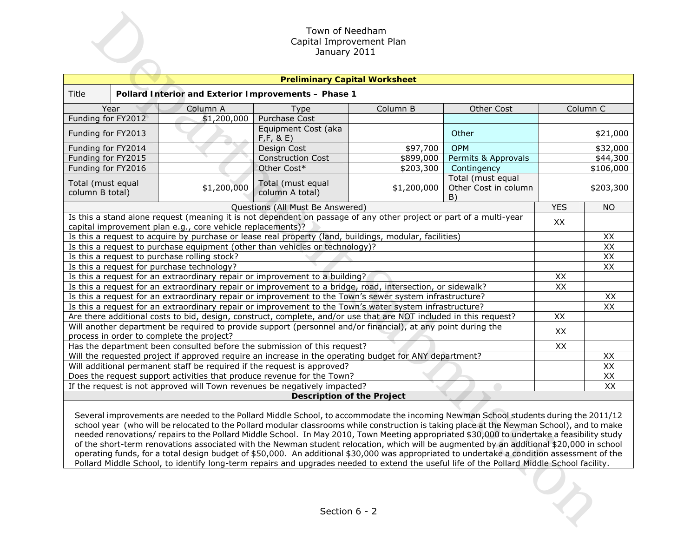|                                                                                                                                                                                                                                                                                                                                                                                                                                                                                                                                                                                                                                                                                                                          |                                                            | Town of Needham<br>Capital Improvement Plan<br>January 2011                                                                                                                                                                  |             |                                                 |            |                       |  |  |  |  |
|--------------------------------------------------------------------------------------------------------------------------------------------------------------------------------------------------------------------------------------------------------------------------------------------------------------------------------------------------------------------------------------------------------------------------------------------------------------------------------------------------------------------------------------------------------------------------------------------------------------------------------------------------------------------------------------------------------------------------|------------------------------------------------------------|------------------------------------------------------------------------------------------------------------------------------------------------------------------------------------------------------------------------------|-------------|-------------------------------------------------|------------|-----------------------|--|--|--|--|
| <b>Preliminary Capital Worksheet</b>                                                                                                                                                                                                                                                                                                                                                                                                                                                                                                                                                                                                                                                                                     |                                                            |                                                                                                                                                                                                                              |             |                                                 |            |                       |  |  |  |  |
| Title                                                                                                                                                                                                                                                                                                                                                                                                                                                                                                                                                                                                                                                                                                                    | Pollard Interior and Exterior Improvements - Phase 1       |                                                                                                                                                                                                                              |             |                                                 |            |                       |  |  |  |  |
| Year                                                                                                                                                                                                                                                                                                                                                                                                                                                                                                                                                                                                                                                                                                                     | Other Cost                                                 |                                                                                                                                                                                                                              | Column C    |                                                 |            |                       |  |  |  |  |
| Funding for FY2012                                                                                                                                                                                                                                                                                                                                                                                                                                                                                                                                                                                                                                                                                                       | \$1,200,000                                                | <b>Purchase Cost</b>                                                                                                                                                                                                         |             |                                                 |            |                       |  |  |  |  |
| Funding for FY2013                                                                                                                                                                                                                                                                                                                                                                                                                                                                                                                                                                                                                                                                                                       |                                                            | Equipment Cost (aka<br>F, F, 8, E)                                                                                                                                                                                           |             | Other                                           |            | \$21,000              |  |  |  |  |
| Funding for FY2014                                                                                                                                                                                                                                                                                                                                                                                                                                                                                                                                                                                                                                                                                                       |                                                            | Design Cost                                                                                                                                                                                                                  | \$97,700    | <b>OPM</b>                                      |            | \$32,000              |  |  |  |  |
| Funding for FY2015                                                                                                                                                                                                                                                                                                                                                                                                                                                                                                                                                                                                                                                                                                       |                                                            | <b>Construction Cost</b>                                                                                                                                                                                                     | \$899,000   | Permits & Approvals                             |            | \$44,300              |  |  |  |  |
| Funding for FY2016                                                                                                                                                                                                                                                                                                                                                                                                                                                                                                                                                                                                                                                                                                       |                                                            | Other Cost*                                                                                                                                                                                                                  | \$203,300   | Contingency                                     |            | \$106,000             |  |  |  |  |
| Total (must equal<br>column B total)                                                                                                                                                                                                                                                                                                                                                                                                                                                                                                                                                                                                                                                                                     | \$1,200,000                                                | Total (must equal<br>column A total)                                                                                                                                                                                         | \$1,200,000 | Total (must equal<br>Other Cost in column<br>B) |            | \$203,300             |  |  |  |  |
|                                                                                                                                                                                                                                                                                                                                                                                                                                                                                                                                                                                                                                                                                                                          |                                                            | Questions (All Must Be Answered)                                                                                                                                                                                             |             |                                                 | <b>YES</b> | <b>NO</b>             |  |  |  |  |
|                                                                                                                                                                                                                                                                                                                                                                                                                                                                                                                                                                                                                                                                                                                          | capital improvement plan e.g., core vehicle replacements)? | Is this a stand alone request (meaning it is not dependent on passage of any other project or part of a multi-year                                                                                                           |             |                                                 | XX         |                       |  |  |  |  |
|                                                                                                                                                                                                                                                                                                                                                                                                                                                                                                                                                                                                                                                                                                                          |                                                            | Is this a request to acquire by purchase or lease real property (land, buildings, modular, facilities)                                                                                                                       |             |                                                 |            | XX                    |  |  |  |  |
|                                                                                                                                                                                                                                                                                                                                                                                                                                                                                                                                                                                                                                                                                                                          |                                                            | Is this a request to purchase equipment (other than vehicles or technology)?                                                                                                                                                 |             |                                                 |            | XX                    |  |  |  |  |
| Is this a request to purchase rolling stock?                                                                                                                                                                                                                                                                                                                                                                                                                                                                                                                                                                                                                                                                             |                                                            |                                                                                                                                                                                                                              |             |                                                 |            | XX                    |  |  |  |  |
| Is this a request for purchase technology?                                                                                                                                                                                                                                                                                                                                                                                                                                                                                                                                                                                                                                                                               |                                                            |                                                                                                                                                                                                                              |             |                                                 |            | XX                    |  |  |  |  |
| Is this a request for an extraordinary repair or improvement to a building?                                                                                                                                                                                                                                                                                                                                                                                                                                                                                                                                                                                                                                              |                                                            | XX                                                                                                                                                                                                                           |             |                                                 |            |                       |  |  |  |  |
|                                                                                                                                                                                                                                                                                                                                                                                                                                                                                                                                                                                                                                                                                                                          |                                                            | Is this a request for an extraordinary repair or improvement to a bridge, road, intersection, or sidewalk?                                                                                                                   |             |                                                 | XX         |                       |  |  |  |  |
|                                                                                                                                                                                                                                                                                                                                                                                                                                                                                                                                                                                                                                                                                                                          |                                                            | Is this a request for an extraordinary repair or improvement to the Town's sewer system infrastructure?                                                                                                                      |             |                                                 |            | XX<br>$\overline{XX}$ |  |  |  |  |
|                                                                                                                                                                                                                                                                                                                                                                                                                                                                                                                                                                                                                                                                                                                          |                                                            | Is this a request for an extraordinary repair or improvement to the Town's water system infrastructure?<br>Are there additional costs to bid, design, construct, complete, and/or use that are NOT included in this request? |             |                                                 | XX         |                       |  |  |  |  |
|                                                                                                                                                                                                                                                                                                                                                                                                                                                                                                                                                                                                                                                                                                                          |                                                            | Will another department be required to provide support (personnel and/or financial), at any point during the                                                                                                                 |             |                                                 |            |                       |  |  |  |  |
| process in order to complete the project?                                                                                                                                                                                                                                                                                                                                                                                                                                                                                                                                                                                                                                                                                |                                                            |                                                                                                                                                                                                                              |             |                                                 | XX         |                       |  |  |  |  |
|                                                                                                                                                                                                                                                                                                                                                                                                                                                                                                                                                                                                                                                                                                                          |                                                            | Has the department been consulted before the submission of this request?                                                                                                                                                     |             |                                                 | XX         |                       |  |  |  |  |
|                                                                                                                                                                                                                                                                                                                                                                                                                                                                                                                                                                                                                                                                                                                          |                                                            | Will the requested project if approved require an increase in the operating budget for ANY department?                                                                                                                       |             |                                                 |            | XX                    |  |  |  |  |
|                                                                                                                                                                                                                                                                                                                                                                                                                                                                                                                                                                                                                                                                                                                          |                                                            | Will additional permanent staff be required if the request is approved?                                                                                                                                                      |             |                                                 |            | $\overline{XX}$       |  |  |  |  |
|                                                                                                                                                                                                                                                                                                                                                                                                                                                                                                                                                                                                                                                                                                                          |                                                            | Does the request support activities that produce revenue for the Town?                                                                                                                                                       |             |                                                 |            | $\overline{XX}$       |  |  |  |  |
|                                                                                                                                                                                                                                                                                                                                                                                                                                                                                                                                                                                                                                                                                                                          |                                                            | If the request is not approved will Town revenues be negatively impacted?                                                                                                                                                    |             |                                                 |            | XX                    |  |  |  |  |
|                                                                                                                                                                                                                                                                                                                                                                                                                                                                                                                                                                                                                                                                                                                          |                                                            | <b>Description of the Project</b>                                                                                                                                                                                            |             |                                                 |            |                       |  |  |  |  |
| Several improvements are needed to the Pollard Middle School, to accommodate the incoming Newman School students during the 2011/12<br>school year (who will be relocated to the Pollard modular classrooms while construction is taking place at the Newman School), and to make<br>needed renovations/repairs to the Pollard Middle School. In May 2010, Town Meeting appropriated \$30,000 to undertake a feasibility study<br>of the short-term renovations associated with the Newman student relocation, which will be augmented by an additional \$20,000 in school<br>operating funds, for a total design budget of \$50,000. An additional \$30,000 was appropriated to undertake a condition assessment of the |                                                            |                                                                                                                                                                                                                              |             |                                                 |            |                       |  |  |  |  |
| Pollard Middle School, to identify long-term repairs and upgrades needed to extend the useful life of the Pollard Middle School facility.<br>Section 6 - 2                                                                                                                                                                                                                                                                                                                                                                                                                                                                                                                                                               |                                                            |                                                                                                                                                                                                                              |             |                                                 |            |                       |  |  |  |  |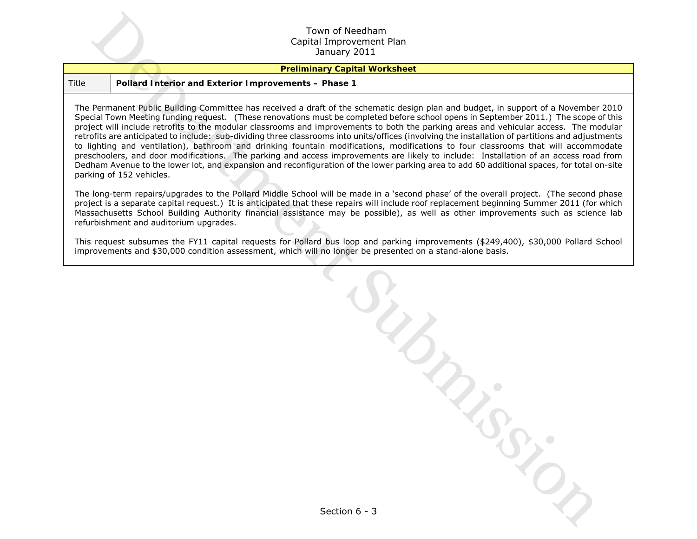#### **Preliminary Capital Worksheet**

#### Title **Pollard Interior and Exterior Improvements – Phase 1**

The Permanent Public Building Committee has received a draft of the schematic design plan and budget, in support of a November 2010 Special Town Meeting funding request. (These renovations must be completed before school opens in September 2011.) The scope of this project will include retrofits to the modular classrooms and improvements to both the parking areas and vehicular access. The modular retrofits are anticipated to include: sub-dividing three classrooms into units/offices (involving the installation of partitions and adjustments to lighting and ventilation), bathroom and drinking fountain modifications, modifications to four classrooms that will accommodate preschoolers, and door modifications. The parking and access improvements are likely to include: Installation of an access road from Dedham Avenue to the lower lot, and expansion and reconfiguration of the lower parking area to add 60 additional spaces, for total on-site parking of 152 vehicles.

The long-term repairs/upgrades to the Pollard Middle School will be made in a 'second phase' of the overall project. (The second phase project is a separate capital request.) It is anticipated that these repairs will include roof replacement beginning Summer 2011 (for which Massachusetts School Building Authority financial assistance may be possible), as well as other improvements such as science lab refurbishment and auditorium upgrades.

This request subsumes the FY11 capital requests for Pollard bus loop and parking improvements (\$249,400), \$30,000 Pollard School improvements and \$30,000 condition assessment, which will no longer be presented on a stand-alone basis.

Town of Needham<br>
Samily 2011<br>
Politard Interior and Exterior Improvements - Phase 1<br>
Permanent fights dialitation Committee has received a draft of the schematic detail plan and account of a Nivember<br>
of the material of th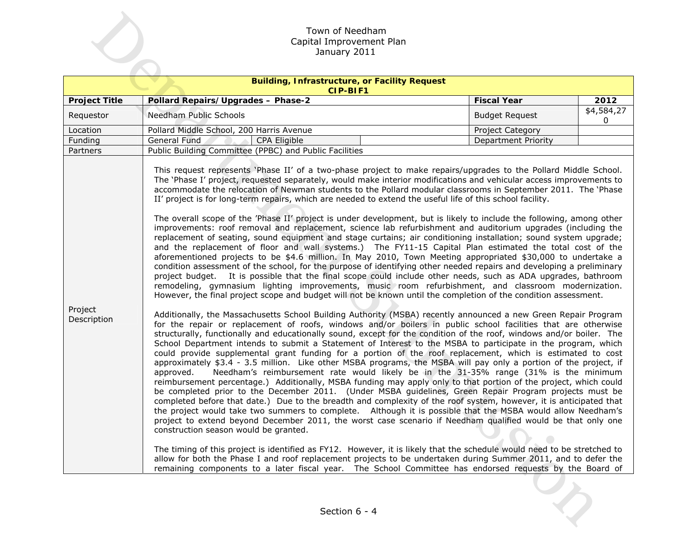|                        | Town of Needham                                                                                                                                                                                                                                                                                                                                                                                                                                                                                                                                                                                                                                                                                                                                                                                                                                                                                                                                                                                                                                                                                                                                                                                                                                                                                                                                                                                                                                                                                                                                                                                                                                                                                                                                                                                                                                                                                                                                                                                                                                                                                                                                                                                                                                                                                                                                                                                                                                                                                                                                                                                                                                                                                                                                                                                                                                                                                                                                                                                                                                                                                                                                                                                                                                                                                                                          |                            |                 |
|------------------------|------------------------------------------------------------------------------------------------------------------------------------------------------------------------------------------------------------------------------------------------------------------------------------------------------------------------------------------------------------------------------------------------------------------------------------------------------------------------------------------------------------------------------------------------------------------------------------------------------------------------------------------------------------------------------------------------------------------------------------------------------------------------------------------------------------------------------------------------------------------------------------------------------------------------------------------------------------------------------------------------------------------------------------------------------------------------------------------------------------------------------------------------------------------------------------------------------------------------------------------------------------------------------------------------------------------------------------------------------------------------------------------------------------------------------------------------------------------------------------------------------------------------------------------------------------------------------------------------------------------------------------------------------------------------------------------------------------------------------------------------------------------------------------------------------------------------------------------------------------------------------------------------------------------------------------------------------------------------------------------------------------------------------------------------------------------------------------------------------------------------------------------------------------------------------------------------------------------------------------------------------------------------------------------------------------------------------------------------------------------------------------------------------------------------------------------------------------------------------------------------------------------------------------------------------------------------------------------------------------------------------------------------------------------------------------------------------------------------------------------------------------------------------------------------------------------------------------------------------------------------------------------------------------------------------------------------------------------------------------------------------------------------------------------------------------------------------------------------------------------------------------------------------------------------------------------------------------------------------------------------------------------------------------------------------------------------------------------|----------------------------|-----------------|
|                        | Capital Improvement Plan                                                                                                                                                                                                                                                                                                                                                                                                                                                                                                                                                                                                                                                                                                                                                                                                                                                                                                                                                                                                                                                                                                                                                                                                                                                                                                                                                                                                                                                                                                                                                                                                                                                                                                                                                                                                                                                                                                                                                                                                                                                                                                                                                                                                                                                                                                                                                                                                                                                                                                                                                                                                                                                                                                                                                                                                                                                                                                                                                                                                                                                                                                                                                                                                                                                                                                                 |                            |                 |
|                        | January 2011                                                                                                                                                                                                                                                                                                                                                                                                                                                                                                                                                                                                                                                                                                                                                                                                                                                                                                                                                                                                                                                                                                                                                                                                                                                                                                                                                                                                                                                                                                                                                                                                                                                                                                                                                                                                                                                                                                                                                                                                                                                                                                                                                                                                                                                                                                                                                                                                                                                                                                                                                                                                                                                                                                                                                                                                                                                                                                                                                                                                                                                                                                                                                                                                                                                                                                                             |                            |                 |
|                        |                                                                                                                                                                                                                                                                                                                                                                                                                                                                                                                                                                                                                                                                                                                                                                                                                                                                                                                                                                                                                                                                                                                                                                                                                                                                                                                                                                                                                                                                                                                                                                                                                                                                                                                                                                                                                                                                                                                                                                                                                                                                                                                                                                                                                                                                                                                                                                                                                                                                                                                                                                                                                                                                                                                                                                                                                                                                                                                                                                                                                                                                                                                                                                                                                                                                                                                                          |                            |                 |
|                        | <b>Building, Infrastructure, or Facility Request</b><br>CIP-BIF1                                                                                                                                                                                                                                                                                                                                                                                                                                                                                                                                                                                                                                                                                                                                                                                                                                                                                                                                                                                                                                                                                                                                                                                                                                                                                                                                                                                                                                                                                                                                                                                                                                                                                                                                                                                                                                                                                                                                                                                                                                                                                                                                                                                                                                                                                                                                                                                                                                                                                                                                                                                                                                                                                                                                                                                                                                                                                                                                                                                                                                                                                                                                                                                                                                                                         |                            |                 |
| <b>Project Title</b>   | Pollard Repairs/Upgrades - Phase-2                                                                                                                                                                                                                                                                                                                                                                                                                                                                                                                                                                                                                                                                                                                                                                                                                                                                                                                                                                                                                                                                                                                                                                                                                                                                                                                                                                                                                                                                                                                                                                                                                                                                                                                                                                                                                                                                                                                                                                                                                                                                                                                                                                                                                                                                                                                                                                                                                                                                                                                                                                                                                                                                                                                                                                                                                                                                                                                                                                                                                                                                                                                                                                                                                                                                                                       | <b>Fiscal Year</b>         | 2012            |
| Requestor              | Needham Public Schools                                                                                                                                                                                                                                                                                                                                                                                                                                                                                                                                                                                                                                                                                                                                                                                                                                                                                                                                                                                                                                                                                                                                                                                                                                                                                                                                                                                                                                                                                                                                                                                                                                                                                                                                                                                                                                                                                                                                                                                                                                                                                                                                                                                                                                                                                                                                                                                                                                                                                                                                                                                                                                                                                                                                                                                                                                                                                                                                                                                                                                                                                                                                                                                                                                                                                                                   | <b>Budget Request</b>      | \$4,584,27<br>0 |
| Location               | Pollard Middle School, 200 Harris Avenue                                                                                                                                                                                                                                                                                                                                                                                                                                                                                                                                                                                                                                                                                                                                                                                                                                                                                                                                                                                                                                                                                                                                                                                                                                                                                                                                                                                                                                                                                                                                                                                                                                                                                                                                                                                                                                                                                                                                                                                                                                                                                                                                                                                                                                                                                                                                                                                                                                                                                                                                                                                                                                                                                                                                                                                                                                                                                                                                                                                                                                                                                                                                                                                                                                                                                                 | Project Category           |                 |
| Funding                | General Fund<br>CPA Eligible                                                                                                                                                                                                                                                                                                                                                                                                                                                                                                                                                                                                                                                                                                                                                                                                                                                                                                                                                                                                                                                                                                                                                                                                                                                                                                                                                                                                                                                                                                                                                                                                                                                                                                                                                                                                                                                                                                                                                                                                                                                                                                                                                                                                                                                                                                                                                                                                                                                                                                                                                                                                                                                                                                                                                                                                                                                                                                                                                                                                                                                                                                                                                                                                                                                                                                             | <b>Department Priority</b> |                 |
| Partners               | Public Building Committee (PPBC) and Public Facilities                                                                                                                                                                                                                                                                                                                                                                                                                                                                                                                                                                                                                                                                                                                                                                                                                                                                                                                                                                                                                                                                                                                                                                                                                                                                                                                                                                                                                                                                                                                                                                                                                                                                                                                                                                                                                                                                                                                                                                                                                                                                                                                                                                                                                                                                                                                                                                                                                                                                                                                                                                                                                                                                                                                                                                                                                                                                                                                                                                                                                                                                                                                                                                                                                                                                                   |                            |                 |
| Project<br>Description | This request represents 'Phase II' of a two-phase project to make repairs/upgrades to the Pollard Middle School.<br>The 'Phase I' project, requested separately, would make interior modifications and vehicular access improvements to<br>accommodate the relocation of Newman students to the Pollard modular classrooms in September 2011. The 'Phase<br>II' project is for long-term repairs, which are needed to extend the useful life of this school facility.<br>The overall scope of the 'Phase II' project is under development, but is likely to include the following, among other<br>improvements: roof removal and replacement, science lab refurbishment and auditorium upgrades (including the<br>replacement of seating, sound equipment and stage curtains; air conditioning installation; sound system upgrade;<br>and the replacement of floor and wall systems.) The FY11-15 Capital Plan estimated the total cost of the<br>aforementioned projects to be \$4.6 million. In May 2010, Town Meeting appropriated \$30,000 to undertake a<br>condition assessment of the school, for the purpose of identifying other needed repairs and developing a preliminary<br>It is possible that the final scope could include other needs, such as ADA upgrades, bathroom<br>project budget.<br>remodeling, gymnasium lighting improvements, music room refurbishment, and classroom modernization.<br>However, the final project scope and budget will not be known until the completion of the condition assessment.<br>Additionally, the Massachusetts School Building Authority (MSBA) recently announced a new Green Repair Program<br>for the repair or replacement of roofs, windows and/or boilers in public school facilities that are otherwise<br>structurally, functionally and educationally sound, except for the condition of the roof, windows and/or boiler. The<br>School Department intends to submit a Statement of Interest to the MSBA to participate in the program, which<br>could provide supplemental grant funding for a portion of the roof replacement, which is estimated to cost<br>approximately \$3.4 - 3.5 million. Like other MSBA programs, the MSBA will pay only a portion of the project, if<br>Needham's reimbursement rate would likely be in the 31-35% range (31% is the minimum<br>approved.<br>reimbursement percentage.) Additionally, MSBA funding may apply only to that portion of the project, which could<br>be completed prior to the December 2011. (Under MSBA guidelines, Green Repair Program projects must be<br>completed before that date.) Due to the breadth and complexity of the roof system, however, it is anticipated that<br>the project would take two summers to complete. Although it is possible that the MSBA would allow Needham's<br>project to extend beyond December 2011, the worst case scenario if Needham qualified would be that only one<br>construction season would be granted.<br>The timing of this project is identified as FY12. However, it is likely that the schedule would need to be stretched to<br>allow for both the Phase I and roof replacement projects to be undertaken during Summer 2011, and to defer the<br>remaining components to a later fiscal year. The School Committee has endorsed requests by the Board of |                            |                 |
|                        | Section 6 - 4                                                                                                                                                                                                                                                                                                                                                                                                                                                                                                                                                                                                                                                                                                                                                                                                                                                                                                                                                                                                                                                                                                                                                                                                                                                                                                                                                                                                                                                                                                                                                                                                                                                                                                                                                                                                                                                                                                                                                                                                                                                                                                                                                                                                                                                                                                                                                                                                                                                                                                                                                                                                                                                                                                                                                                                                                                                                                                                                                                                                                                                                                                                                                                                                                                                                                                                            |                            |                 |
|                        |                                                                                                                                                                                                                                                                                                                                                                                                                                                                                                                                                                                                                                                                                                                                                                                                                                                                                                                                                                                                                                                                                                                                                                                                                                                                                                                                                                                                                                                                                                                                                                                                                                                                                                                                                                                                                                                                                                                                                                                                                                                                                                                                                                                                                                                                                                                                                                                                                                                                                                                                                                                                                                                                                                                                                                                                                                                                                                                                                                                                                                                                                                                                                                                                                                                                                                                                          |                            |                 |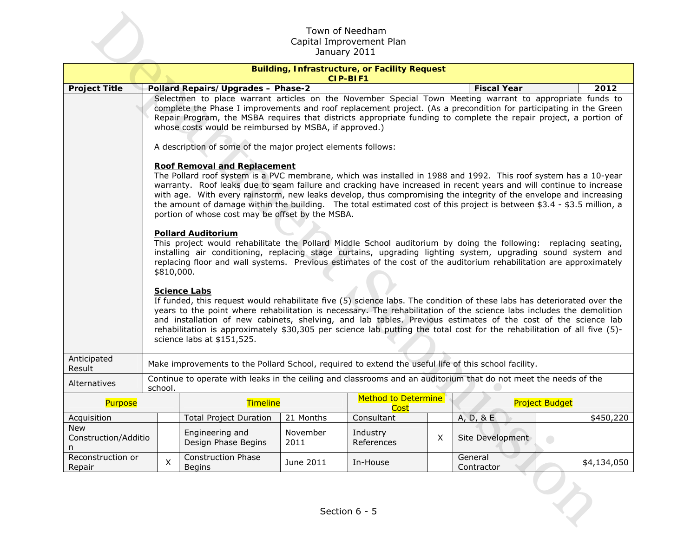|                                         | Town of Needham<br>Capital Improvement Plan<br>January 2011                                                                                                                                                                                                                                                                                                                                                                                                                                                                                                                                                                                                                                                                                                                                                                                                                                                                                                                                                                                                                                                                                                                                                                                                                                                                                                                                                                                                                                                                                                                                                                                                                                                                                                                                 |   |                                                                                                                                                                                                                                                                        |                  |                                                                         |   |                       |                       |                   |  |
|-----------------------------------------|---------------------------------------------------------------------------------------------------------------------------------------------------------------------------------------------------------------------------------------------------------------------------------------------------------------------------------------------------------------------------------------------------------------------------------------------------------------------------------------------------------------------------------------------------------------------------------------------------------------------------------------------------------------------------------------------------------------------------------------------------------------------------------------------------------------------------------------------------------------------------------------------------------------------------------------------------------------------------------------------------------------------------------------------------------------------------------------------------------------------------------------------------------------------------------------------------------------------------------------------------------------------------------------------------------------------------------------------------------------------------------------------------------------------------------------------------------------------------------------------------------------------------------------------------------------------------------------------------------------------------------------------------------------------------------------------------------------------------------------------------------------------------------------------|---|------------------------------------------------------------------------------------------------------------------------------------------------------------------------------------------------------------------------------------------------------------------------|------------------|-------------------------------------------------------------------------|---|-----------------------|-----------------------|-------------------|--|
|                                         |                                                                                                                                                                                                                                                                                                                                                                                                                                                                                                                                                                                                                                                                                                                                                                                                                                                                                                                                                                                                                                                                                                                                                                                                                                                                                                                                                                                                                                                                                                                                                                                                                                                                                                                                                                                             |   |                                                                                                                                                                                                                                                                        |                  | <b>Building, Infrastructure, or Facility Request</b><br><b>CIP-BIF1</b> |   |                       |                       |                   |  |
| <b>Project Title</b>                    |                                                                                                                                                                                                                                                                                                                                                                                                                                                                                                                                                                                                                                                                                                                                                                                                                                                                                                                                                                                                                                                                                                                                                                                                                                                                                                                                                                                                                                                                                                                                                                                                                                                                                                                                                                                             |   |                                                                                                                                                                                                                                                                        |                  |                                                                         |   | <b>Fiscal Year</b>    |                       | 2012              |  |
|                                         | <b>Pollard Repairs/Upgrades - Phase-2</b><br>Selectmen to place warrant articles on the November Special Town Meeting warrant to appropriate funds to<br>complete the Phase I improvements and roof replacement project. (As a precondition for participating in the Green<br>Repair Program, the MSBA requires that districts appropriate funding to complete the repair project, a portion of<br>whose costs would be reimbursed by MSBA, if approved.)<br>A description of some of the major project elements follows:<br><b>Roof Removal and Replacement</b><br>The Pollard roof system is a PVC membrane, which was installed in 1988 and 1992. This roof system has a 10-year<br>warranty. Roof leaks due to seam failure and cracking have increased in recent years and will continue to increase<br>with age. With every rainstorm, new leaks develop, thus compromising the integrity of the envelope and increasing<br>the amount of damage within the building. The total estimated cost of this project is between \$3.4 - \$3.5 million, a<br>portion of whose cost may be offset by the MSBA.<br><b>Pollard Auditorium</b><br>This project would rehabilitate the Pollard Middle School auditorium by doing the following: replacing seating,<br>installing air conditioning, replacing stage curtains, upgrading lighting system, upgrading sound system and<br>replacing floor and wall systems. Previous estimates of the cost of the auditorium rehabilitation are approximately<br>\$810,000.<br><b>Science Labs</b><br>If funded, this request would rehabilitate five (5) science labs. The condition of these labs has deteriorated over the<br>years to the point where rehabilitation is necessary. The rehabilitation of the science labs includes the demolition |   |                                                                                                                                                                                                                                                                        |                  |                                                                         |   |                       |                       |                   |  |
|                                         |                                                                                                                                                                                                                                                                                                                                                                                                                                                                                                                                                                                                                                                                                                                                                                                                                                                                                                                                                                                                                                                                                                                                                                                                                                                                                                                                                                                                                                                                                                                                                                                                                                                                                                                                                                                             |   | and installation of new cabinets, shelving, and lab tables. Previous estimates of the cost of the science lab<br>rehabilitation is approximately \$30,305 per science lab putting the total cost for the rehabilitation of all five (5)-<br>science labs at \$151,525. |                  |                                                                         |   |                       |                       |                   |  |
| Anticipated<br>Result                   |                                                                                                                                                                                                                                                                                                                                                                                                                                                                                                                                                                                                                                                                                                                                                                                                                                                                                                                                                                                                                                                                                                                                                                                                                                                                                                                                                                                                                                                                                                                                                                                                                                                                                                                                                                                             |   | Make improvements to the Pollard School, required to extend the useful life of this school facility.                                                                                                                                                                   |                  |                                                                         |   |                       |                       |                   |  |
| Alternatives                            | school.                                                                                                                                                                                                                                                                                                                                                                                                                                                                                                                                                                                                                                                                                                                                                                                                                                                                                                                                                                                                                                                                                                                                                                                                                                                                                                                                                                                                                                                                                                                                                                                                                                                                                                                                                                                     |   | Continue to operate with leaks in the ceiling and classrooms and an auditorium that do not meet the needs of the                                                                                                                                                       |                  |                                                                         |   |                       |                       |                   |  |
| <b>Purpose</b>                          |                                                                                                                                                                                                                                                                                                                                                                                                                                                                                                                                                                                                                                                                                                                                                                                                                                                                                                                                                                                                                                                                                                                                                                                                                                                                                                                                                                                                                                                                                                                                                                                                                                                                                                                                                                                             |   | Timeline                                                                                                                                                                                                                                                               |                  | Method to Determine<br><b>Cost</b>                                      |   |                       | <b>Project Budget</b> |                   |  |
| Acquisition                             |                                                                                                                                                                                                                                                                                                                                                                                                                                                                                                                                                                                                                                                                                                                                                                                                                                                                                                                                                                                                                                                                                                                                                                                                                                                                                                                                                                                                                                                                                                                                                                                                                                                                                                                                                                                             |   | <b>Total Project Duration</b>                                                                                                                                                                                                                                          | 21 Months        | Consultant                                                              |   | A, D, 8E              |                       | $\sqrt{$450,220}$ |  |
| <b>New</b><br>Construction/Additio<br>n |                                                                                                                                                                                                                                                                                                                                                                                                                                                                                                                                                                                                                                                                                                                                                                                                                                                                                                                                                                                                                                                                                                                                                                                                                                                                                                                                                                                                                                                                                                                                                                                                                                                                                                                                                                                             |   | Engineering and<br>Design Phase Begins                                                                                                                                                                                                                                 | November<br>2011 | Industry<br>References                                                  | X | Site Development      | $\bigcirc$            |                   |  |
| Reconstruction or<br>Repair             |                                                                                                                                                                                                                                                                                                                                                                                                                                                                                                                                                                                                                                                                                                                                                                                                                                                                                                                                                                                                                                                                                                                                                                                                                                                                                                                                                                                                                                                                                                                                                                                                                                                                                                                                                                                             | X | <b>Construction Phase</b><br><b>Begins</b>                                                                                                                                                                                                                             | June 2011        | In-House                                                                |   | General<br>Contractor |                       | \$4,134,050       |  |
| Section 6 - 5                           |                                                                                                                                                                                                                                                                                                                                                                                                                                                                                                                                                                                                                                                                                                                                                                                                                                                                                                                                                                                                                                                                                                                                                                                                                                                                                                                                                                                                                                                                                                                                                                                                                                                                                                                                                                                             |   |                                                                                                                                                                                                                                                                        |                  |                                                                         |   |                       |                       |                   |  |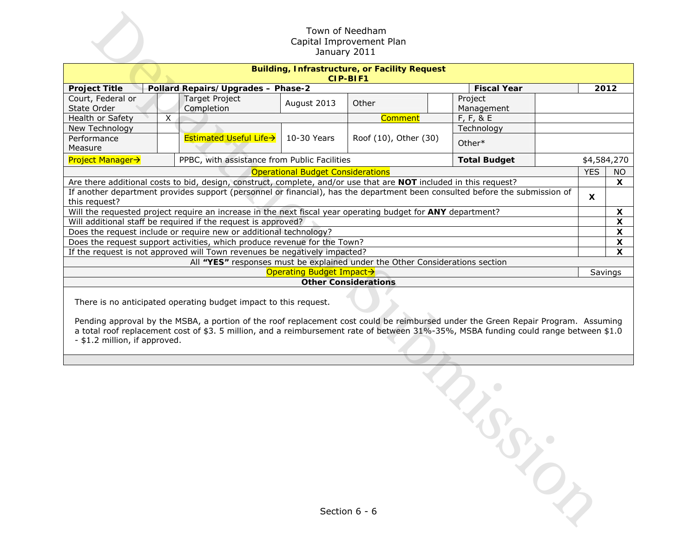|                                                                                                                                                                                                                                                                                                                                                                                |                                              |                          | Town of Needham<br>Capital Improvement Plan<br>January 2011                  |                       |  |                           |  |  |  |
|--------------------------------------------------------------------------------------------------------------------------------------------------------------------------------------------------------------------------------------------------------------------------------------------------------------------------------------------------------------------------------|----------------------------------------------|--------------------------|------------------------------------------------------------------------------|-----------------------|--|---------------------------|--|--|--|
|                                                                                                                                                                                                                                                                                                                                                                                |                                              |                          | <b>Building, Infrastructure, or Facility Request</b><br><b>CIP-BIF1</b>      |                       |  |                           |  |  |  |
| <b>Project Title</b>                                                                                                                                                                                                                                                                                                                                                           | Pollard Repairs/Upgrades - Phase-2           |                          |                                                                              | <b>Fiscal Year</b>    |  | 2012                      |  |  |  |
| Court, Federal or<br>State Order                                                                                                                                                                                                                                                                                                                                               | <b>Target Project</b><br>Completion          | August 2013              | Other                                                                        | Project<br>Management |  |                           |  |  |  |
| Health or Safety<br>$\overline{X}$                                                                                                                                                                                                                                                                                                                                             |                                              |                          | <b>Comment</b>                                                               | $F, F, 8$ E           |  |                           |  |  |  |
| New Technology                                                                                                                                                                                                                                                                                                                                                                 | Technology                                   |                          |                                                                              |                       |  |                           |  |  |  |
| Performance<br>Measure                                                                                                                                                                                                                                                                                                                                                         | <b>Estimated Useful Life→</b>                | 10-30 Years              | Roof (10), Other (30)                                                        | Other*                |  |                           |  |  |  |
| <b>Project Manager→</b>                                                                                                                                                                                                                                                                                                                                                        | PPBC, with assistance from Public Facilities |                          |                                                                              | <b>Total Budget</b>   |  | \$4,584,270               |  |  |  |
| <b>YES</b><br><b>Operational Budget Considerations</b>                                                                                                                                                                                                                                                                                                                         |                                              |                          |                                                                              |                       |  |                           |  |  |  |
| Are there additional costs to bid, design, construct, complete, and/or use that are NOT included in this request?                                                                                                                                                                                                                                                              |                                              |                          |                                                                              |                       |  |                           |  |  |  |
| If another department provides support (personnel or financial), has the department been consulted before the submission of<br>this request?                                                                                                                                                                                                                                   |                                              |                          |                                                                              |                       |  |                           |  |  |  |
| Will the requested project require an increase in the next fiscal year operating budget for ANY department?                                                                                                                                                                                                                                                                    |                                              |                          |                                                                              |                       |  | $\pmb{\mathsf{X}}$        |  |  |  |
| Will additional staff be required if the request is approved?                                                                                                                                                                                                                                                                                                                  |                                              |                          |                                                                              |                       |  | $\boldsymbol{\mathsf{X}}$ |  |  |  |
| Does the request include or require new or additional technology?                                                                                                                                                                                                                                                                                                              |                                              |                          |                                                                              |                       |  | $\boldsymbol{\mathsf{X}}$ |  |  |  |
| Does the request support activities, which produce revenue for the Town?                                                                                                                                                                                                                                                                                                       |                                              |                          |                                                                              |                       |  | $\boldsymbol{\mathsf{X}}$ |  |  |  |
| If the request is not approved will Town revenues be negatively impacted?                                                                                                                                                                                                                                                                                                      |                                              |                          |                                                                              |                       |  | X                         |  |  |  |
|                                                                                                                                                                                                                                                                                                                                                                                |                                              |                          | All "YES" responses must be explained under the Other Considerations section |                       |  |                           |  |  |  |
|                                                                                                                                                                                                                                                                                                                                                                                |                                              | Operating Budget Impact→ |                                                                              |                       |  | Savings                   |  |  |  |
|                                                                                                                                                                                                                                                                                                                                                                                |                                              |                          | <b>Other Considerations</b>                                                  |                       |  |                           |  |  |  |
| There is no anticipated operating budget impact to this request.<br>Pending approval by the MSBA, a portion of the roof replacement cost could be reimbursed under the Green Repair Program. Assuming<br>a total roof replacement cost of \$3. 5 million, and a reimbursement rate of between 31%-35%, MSBA funding could range between \$1.0<br>- \$1.2 million, if approved. |                                              |                          |                                                                              |                       |  |                           |  |  |  |
|                                                                                                                                                                                                                                                                                                                                                                                |                                              |                          |                                                                              |                       |  |                           |  |  |  |
|                                                                                                                                                                                                                                                                                                                                                                                |                                              |                          |                                                                              |                       |  |                           |  |  |  |
|                                                                                                                                                                                                                                                                                                                                                                                |                                              |                          | Section 6 - 6                                                                |                       |  |                           |  |  |  |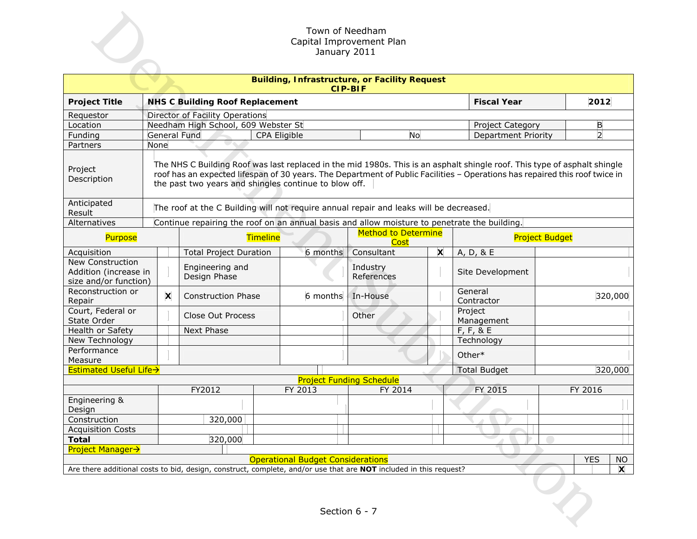|                                                                    | Town of Needham<br>Capital Improvement Plan<br>January 2011                                                                                                                                                                                                                                                       |                                                                                              |                                        |              |         |                                           |                                                                                                                   |                       |                            |  |                |              |
|--------------------------------------------------------------------|-------------------------------------------------------------------------------------------------------------------------------------------------------------------------------------------------------------------------------------------------------------------------------------------------------------------|----------------------------------------------------------------------------------------------|----------------------------------------|--------------|---------|-------------------------------------------|-------------------------------------------------------------------------------------------------------------------|-----------------------|----------------------------|--|----------------|--------------|
|                                                                    | <b>Building, Infrastructure, or Facility Request</b><br><b>CIP-BIF</b>                                                                                                                                                                                                                                            |                                                                                              |                                        |              |         |                                           |                                                                                                                   |                       |                            |  |                |              |
| <b>Project Title</b>                                               |                                                                                                                                                                                                                                                                                                                   |                                                                                              | <b>NHS C Building Roof Replacement</b> |              |         |                                           |                                                                                                                   |                       | <b>Fiscal Year</b>         |  | 2012           |              |
| Requestor                                                          |                                                                                                                                                                                                                                                                                                                   |                                                                                              | Director of Facility Operations        |              |         |                                           |                                                                                                                   |                       |                            |  |                |              |
| Location                                                           |                                                                                                                                                                                                                                                                                                                   |                                                                                              | Needham High School, 609 Webster St    |              |         |                                           |                                                                                                                   |                       | Project Category           |  | B              |              |
| Funding                                                            |                                                                                                                                                                                                                                                                                                                   |                                                                                              | <b>General Fund</b>                    | CPA Eligible |         |                                           | <b>No</b>                                                                                                         |                       | <b>Department Priority</b> |  | $\overline{2}$ |              |
| Partners                                                           | None                                                                                                                                                                                                                                                                                                              |                                                                                              |                                        |              |         |                                           |                                                                                                                   |                       |                            |  |                |              |
| Project<br>Description                                             | The NHS C Building Roof was last replaced in the mid 1980s. This is an asphalt shingle roof. This type of asphalt shingle<br>roof has an expected lifespan of 30 years. The Department of Public Facilities - Operations has repaired this roof twice in<br>the past two years and shingles continue to blow off. |                                                                                              |                                        |              |         |                                           |                                                                                                                   |                       |                            |  |                |              |
| Anticipated<br>Result                                              |                                                                                                                                                                                                                                                                                                                   | The roof at the C Building will not require annual repair and leaks will be decreased.       |                                        |              |         |                                           |                                                                                                                   |                       |                            |  |                |              |
| Alternatives                                                       |                                                                                                                                                                                                                                                                                                                   | Continue repairing the roof on an annual basis and allow moisture to penetrate the building. |                                        |              |         |                                           |                                                                                                                   |                       |                            |  |                |              |
| Timeline<br>Purpose                                                |                                                                                                                                                                                                                                                                                                                   |                                                                                              |                                        |              |         | <b>Method to Determine</b><br><b>Cost</b> |                                                                                                                   | <b>Project Budget</b> |                            |  |                |              |
| Acquisition                                                        |                                                                                                                                                                                                                                                                                                                   |                                                                                              | <b>Total Project Duration</b>          |              |         | 6 months                                  | Consultant                                                                                                        | X                     | A, D, & E                  |  |                |              |
| New Construction<br>Addition (increase in<br>size and/or function) |                                                                                                                                                                                                                                                                                                                   | Engineering and<br>Design Phase                                                              |                                        |              |         |                                           | Industry<br>References                                                                                            |                       | Site Development           |  |                |              |
| Reconstruction or<br>Repair                                        |                                                                                                                                                                                                                                                                                                                   | $\boldsymbol{\mathsf{x}}$                                                                    | <b>Construction Phase</b>              |              |         | 6 months                                  | In-House                                                                                                          |                       | General<br>Contractor      |  |                | 320,000      |
| Court, Federal or<br>State Order                                   |                                                                                                                                                                                                                                                                                                                   |                                                                                              | Close Out Process                      |              |         |                                           | Other                                                                                                             |                       | Project<br>Management      |  |                |              |
| Health or Safety                                                   |                                                                                                                                                                                                                                                                                                                   |                                                                                              | Next Phase                             |              |         |                                           |                                                                                                                   |                       | $F, F, 8$ E                |  |                |              |
| New Technology                                                     |                                                                                                                                                                                                                                                                                                                   |                                                                                              |                                        |              |         |                                           |                                                                                                                   |                       | Technology                 |  |                |              |
| Performance                                                        |                                                                                                                                                                                                                                                                                                                   |                                                                                              |                                        |              |         |                                           |                                                                                                                   |                       | Other*                     |  |                |              |
| Measure                                                            |                                                                                                                                                                                                                                                                                                                   |                                                                                              |                                        |              |         |                                           |                                                                                                                   |                       |                            |  |                |              |
| <b>Estimated Useful Life→</b>                                      |                                                                                                                                                                                                                                                                                                                   |                                                                                              |                                        |              |         |                                           | <b>Project Funding Schedule</b>                                                                                   |                       | <b>Total Budget</b>        |  |                | 320,000      |
|                                                                    |                                                                                                                                                                                                                                                                                                                   |                                                                                              | FY2012                                 |              | FY 2013 |                                           | FY 2014                                                                                                           |                       | FY 2015                    |  | FY 2016        |              |
| Engineering &<br>Design                                            |                                                                                                                                                                                                                                                                                                                   |                                                                                              |                                        |              |         |                                           |                                                                                                                   |                       |                            |  |                |              |
| Construction                                                       |                                                                                                                                                                                                                                                                                                                   |                                                                                              | 320,000                                |              |         |                                           |                                                                                                                   |                       |                            |  |                |              |
| <b>Acquisition Costs</b>                                           |                                                                                                                                                                                                                                                                                                                   |                                                                                              |                                        |              |         |                                           |                                                                                                                   |                       |                            |  |                |              |
| <b>Total</b>                                                       |                                                                                                                                                                                                                                                                                                                   |                                                                                              | 320,000                                |              |         |                                           |                                                                                                                   |                       |                            |  |                |              |
| <b>Project Manager→</b>                                            |                                                                                                                                                                                                                                                                                                                   |                                                                                              |                                        |              |         |                                           |                                                                                                                   |                       |                            |  |                |              |
|                                                                    |                                                                                                                                                                                                                                                                                                                   |                                                                                              |                                        |              |         |                                           | <b>Operational Budget Considerations</b>                                                                          |                       |                            |  | <b>YES</b>     | <b>NO</b>    |
|                                                                    |                                                                                                                                                                                                                                                                                                                   |                                                                                              |                                        |              |         |                                           | Are there additional costs to bid, design, construct, complete, and/or use that are NOT included in this request? |                       |                            |  |                | $\mathsf{x}$ |
|                                                                    |                                                                                                                                                                                                                                                                                                                   |                                                                                              |                                        |              |         |                                           | Section 6 - 7                                                                                                     |                       |                            |  |                |              |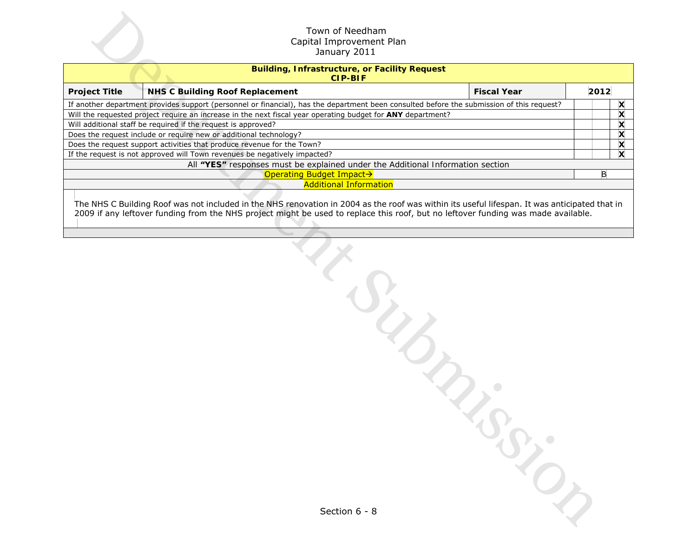|                                                                   | Town of Needham<br>Capital Improvement Plan<br>January 2011                                                                                                                                                                                                                        |      |        |  |  |  |  |  |
|-------------------------------------------------------------------|------------------------------------------------------------------------------------------------------------------------------------------------------------------------------------------------------------------------------------------------------------------------------------|------|--------|--|--|--|--|--|
|                                                                   | <b>Building, Infrastructure, or Facility Request</b><br><b>CIP-BIF</b>                                                                                                                                                                                                             |      |        |  |  |  |  |  |
| <b>Project Title</b>                                              | <b>NHS C Building Roof Replacement</b><br><b>Fiscal Year</b>                                                                                                                                                                                                                       | 2012 |        |  |  |  |  |  |
|                                                                   | If another department provides support (personnel or financial), has the department been consulted before the submission of this request?                                                                                                                                          |      | X      |  |  |  |  |  |
|                                                                   | Will the requested project require an increase in the next fiscal year operating budget for ANY department?                                                                                                                                                                        |      | X      |  |  |  |  |  |
|                                                                   | Will additional staff be required if the request is approved?                                                                                                                                                                                                                      |      | X<br>X |  |  |  |  |  |
| Does the request include or require new or additional technology? |                                                                                                                                                                                                                                                                                    |      |        |  |  |  |  |  |
|                                                                   | Does the request support activities that produce revenue for the Town?<br>If the request is not approved will Town revenues be negatively impacted?                                                                                                                                |      | X<br>X |  |  |  |  |  |
|                                                                   | All "YES" responses must be explained under the Additional Information section                                                                                                                                                                                                     |      |        |  |  |  |  |  |
|                                                                   | <b>Operating Budget Impact→</b>                                                                                                                                                                                                                                                    | B    |        |  |  |  |  |  |
|                                                                   | <b>Additional Information</b>                                                                                                                                                                                                                                                      |      |        |  |  |  |  |  |
|                                                                   | The NHS C Building Roof was not included in the NHS renovation in 2004 as the roof was within its useful lifespan. It was anticipated that in<br>2009 if any leftover funding from the NHS project might be used to replace this roof, but no leftover funding was made available. |      |        |  |  |  |  |  |
|                                                                   | $\frac{d}{d}$                                                                                                                                                                                                                                                                      |      |        |  |  |  |  |  |
|                                                                   | Section 6 - 8                                                                                                                                                                                                                                                                      |      |        |  |  |  |  |  |

Section 6 - 8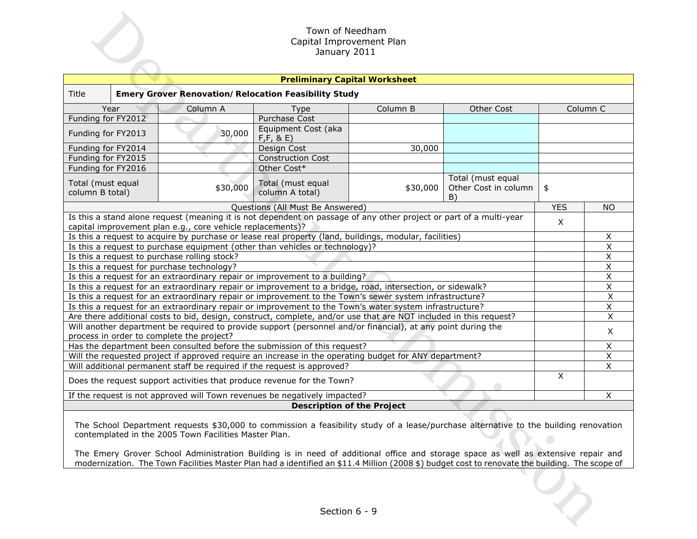|                                              |                                                                                                                                                                 |                                                            | Town of Needham<br>Capital Improvement Plan<br>January 2011                                                                                                                                                                                                               |          |                                                 |            |                                        |  |  |  |
|----------------------------------------------|-----------------------------------------------------------------------------------------------------------------------------------------------------------------|------------------------------------------------------------|---------------------------------------------------------------------------------------------------------------------------------------------------------------------------------------------------------------------------------------------------------------------------|----------|-------------------------------------------------|------------|----------------------------------------|--|--|--|
|                                              |                                                                                                                                                                 |                                                            | <b>Preliminary Capital Worksheet</b>                                                                                                                                                                                                                                      |          |                                                 |            |                                        |  |  |  |
| <b>Title</b>                                 |                                                                                                                                                                 |                                                            | <b>Emery Grover Renovation/Relocation Feasibility Study</b>                                                                                                                                                                                                               |          |                                                 |            |                                        |  |  |  |
| Year                                         | Column <sub>C</sub>                                                                                                                                             |                                                            |                                                                                                                                                                                                                                                                           |          |                                                 |            |                                        |  |  |  |
| Funding for FY2012                           |                                                                                                                                                                 |                                                            | Type<br>Purchase Cost                                                                                                                                                                                                                                                     | Column B |                                                 |            |                                        |  |  |  |
| Funding for FY2013                           |                                                                                                                                                                 | 30,000                                                     | Equipment Cost (aka<br>F, F, 8, E)                                                                                                                                                                                                                                        |          |                                                 |            |                                        |  |  |  |
| Funding for FY2014                           |                                                                                                                                                                 |                                                            | Design Cost                                                                                                                                                                                                                                                               | 30,000   |                                                 |            |                                        |  |  |  |
| Funding for FY2015                           |                                                                                                                                                                 |                                                            | <b>Construction Cost</b>                                                                                                                                                                                                                                                  |          |                                                 |            |                                        |  |  |  |
| Funding for FY2016                           |                                                                                                                                                                 |                                                            | Other Cost*                                                                                                                                                                                                                                                               |          |                                                 |            |                                        |  |  |  |
| Total (must equal<br>column B total)         |                                                                                                                                                                 | \$30,000                                                   | Total (must equal<br>column A total)                                                                                                                                                                                                                                      | \$30,000 | Total (must equal<br>Other Cost in column<br>B) | \$         |                                        |  |  |  |
|                                              |                                                                                                                                                                 |                                                            | Questions (All Must Be Answered)                                                                                                                                                                                                                                          |          |                                                 | <b>YES</b> | <b>NO</b>                              |  |  |  |
|                                              |                                                                                                                                                                 | capital improvement plan e.g., core vehicle replacements)? | Is this a stand alone request (meaning it is not dependent on passage of any other project or part of a multi-year                                                                                                                                                        |          |                                                 | X          |                                        |  |  |  |
|                                              |                                                                                                                                                                 |                                                            | Is this a request to acquire by purchase or lease real property (land, buildings, modular, facilities)                                                                                                                                                                    |          |                                                 |            | X                                      |  |  |  |
|                                              |                                                                                                                                                                 |                                                            | Is this a request to purchase equipment (other than vehicles or technology)?                                                                                                                                                                                              |          |                                                 |            | $\pmb{\times}$                         |  |  |  |
| Is this a request to purchase rolling stock? |                                                                                                                                                                 |                                                            |                                                                                                                                                                                                                                                                           |          |                                                 |            | Χ                                      |  |  |  |
| Is this a request for purchase technology?   |                                                                                                                                                                 |                                                            |                                                                                                                                                                                                                                                                           |          |                                                 |            | X                                      |  |  |  |
|                                              |                                                                                                                                                                 |                                                            | Is this a request for an extraordinary repair or improvement to a building?                                                                                                                                                                                               |          |                                                 |            | $\overline{\mathsf{x}}$                |  |  |  |
|                                              |                                                                                                                                                                 |                                                            | Is this a request for an extraordinary repair or improvement to a bridge, road, intersection, or sidewalk?                                                                                                                                                                |          |                                                 |            | $\overline{X}$                         |  |  |  |
|                                              |                                                                                                                                                                 |                                                            | Is this a request for an extraordinary repair or improvement to the Town's sewer system infrastructure?                                                                                                                                                                   |          |                                                 |            | $\mathsf X$<br>$\overline{\mathsf{x}}$ |  |  |  |
|                                              |                                                                                                                                                                 |                                                            | Is this a request for an extraordinary repair or improvement to the Town's water system infrastructure?<br>Are there additional costs to bid, design, construct, complete, and/or use that are NOT included in this request?                                              |          |                                                 |            | $\overline{X}$                         |  |  |  |
|                                              |                                                                                                                                                                 |                                                            | Will another department be required to provide support (personnel and/or financial), at any point during the                                                                                                                                                              |          |                                                 |            | X                                      |  |  |  |
| process in order to complete the project?    |                                                                                                                                                                 |                                                            | Has the department been consulted before the submission of this request?                                                                                                                                                                                                  |          |                                                 |            | X                                      |  |  |  |
|                                              |                                                                                                                                                                 |                                                            | Will the requested project if approved require an increase in the operating budget for ANY department?                                                                                                                                                                    |          |                                                 |            | X                                      |  |  |  |
|                                              |                                                                                                                                                                 |                                                            | Will additional permanent staff be required if the request is approved?                                                                                                                                                                                                   |          |                                                 |            | $\overline{\mathsf{x}}$                |  |  |  |
|                                              |                                                                                                                                                                 |                                                            | Does the request support activities that produce revenue for the Town?                                                                                                                                                                                                    |          |                                                 | X          |                                        |  |  |  |
|                                              |                                                                                                                                                                 |                                                            | If the request is not approved will Town revenues be negatively impacted?                                                                                                                                                                                                 |          |                                                 |            | X                                      |  |  |  |
|                                              |                                                                                                                                                                 |                                                            | <b>Description of the Project</b>                                                                                                                                                                                                                                         |          |                                                 |            |                                        |  |  |  |
|                                              |                                                                                                                                                                 | contemplated in the 2005 Town Facilities Master Plan.      | The School Department requests \$30,000 to commission a feasibility study of a lease/purchase alternative to the building renovation<br>The Emery Grover School Administration Building is in need of additional office and storage space as well as extensive repair and |          |                                                 |            |                                        |  |  |  |
|                                              | modernization. The Town Facilities Master Plan had a identified an \$11.4 Million (2008 \$) budget cost to renovate the building. The scope of<br>Section 6 - 9 |                                                            |                                                                                                                                                                                                                                                                           |          |                                                 |            |                                        |  |  |  |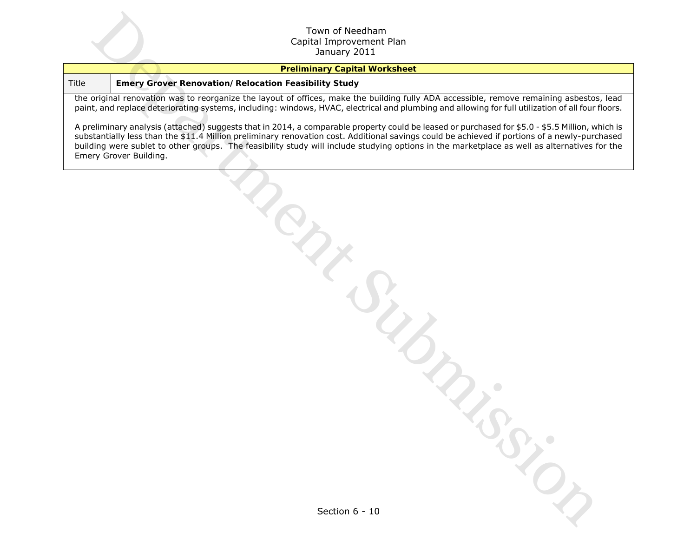#### **Preliminary Capital Worksheet**

#### Title **Emery Grover Renovation/Relocation Feasibility Study**

the original renovation was to reorganize the layout of offices, make the building fully ADA accessible, remove remaining asbestos, lead paint, and replace deteriorating systems, including: windows, HVAC, electrical and plumbing and allowing for full utilization of all four floors.

A preliminary analysis (attached) suggests that in 2014, a comparable property could be leased or purchased for \$5.0 - \$5.5 Million, which is substantially less than the \$11.4 Million preliminary renovation cost. Additional savings could be achieved if portions of a newly-purchased building were sublet to other groups. The feasibility study will include studying options in the marketplace as well as alternatives for the Emery Grover Building. Countries of the Control of The Control of The Control of The Control of The Control of The Control of The Control of The Control of The Control of The Control of The Control of The Control of The Control of The Control of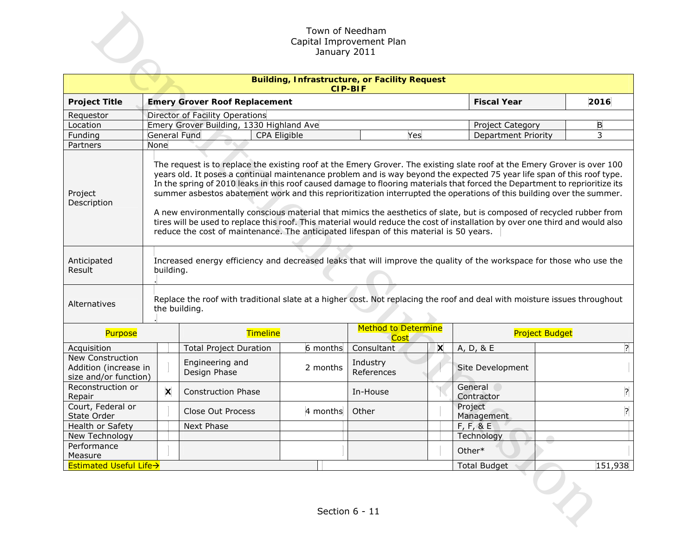|                                                                        | Town of Needham<br>Capital Improvement Plan<br>January 2011                                                                                                                                                                                                                                                                                                                                                                                                                                                                                                                                                                                                                                                                                                                                                                                                     |                                                                   |                                                                                                                                            |          |                                    |   |                            |                       |  |  |  |  |
|------------------------------------------------------------------------|-----------------------------------------------------------------------------------------------------------------------------------------------------------------------------------------------------------------------------------------------------------------------------------------------------------------------------------------------------------------------------------------------------------------------------------------------------------------------------------------------------------------------------------------------------------------------------------------------------------------------------------------------------------------------------------------------------------------------------------------------------------------------------------------------------------------------------------------------------------------|-------------------------------------------------------------------|--------------------------------------------------------------------------------------------------------------------------------------------|----------|------------------------------------|---|----------------------------|-----------------------|--|--|--|--|
| <b>Building, Infrastructure, or Facility Request</b><br><b>CIP-BIF</b> |                                                                                                                                                                                                                                                                                                                                                                                                                                                                                                                                                                                                                                                                                                                                                                                                                                                                 |                                                                   |                                                                                                                                            |          |                                    |   |                            |                       |  |  |  |  |
| <b>Project Title</b>                                                   |                                                                                                                                                                                                                                                                                                                                                                                                                                                                                                                                                                                                                                                                                                                                                                                                                                                                 |                                                                   | <b>Emery Grover Roof Replacement</b>                                                                                                       |          |                                    |   | <b>Fiscal Year</b>         | 2016                  |  |  |  |  |
| Requestor                                                              |                                                                                                                                                                                                                                                                                                                                                                                                                                                                                                                                                                                                                                                                                                                                                                                                                                                                 | Director of Facility Operations                                   |                                                                                                                                            |          |                                    |   |                            |                       |  |  |  |  |
| Location                                                               |                                                                                                                                                                                                                                                                                                                                                                                                                                                                                                                                                                                                                                                                                                                                                                                                                                                                 | Emery Grover Building, 1330 Highland Ave<br>В<br>Project Category |                                                                                                                                            |          |                                    |   |                            |                       |  |  |  |  |
| Funding                                                                |                                                                                                                                                                                                                                                                                                                                                                                                                                                                                                                                                                                                                                                                                                                                                                                                                                                                 |                                                                   | General Fund<br>CPA Eligible                                                                                                               |          | Yes                                |   | <b>Department Priority</b> | 3                     |  |  |  |  |
| Partners                                                               | None                                                                                                                                                                                                                                                                                                                                                                                                                                                                                                                                                                                                                                                                                                                                                                                                                                                            |                                                                   |                                                                                                                                            |          |                                    |   |                            |                       |  |  |  |  |
| Project<br>Description                                                 | The request is to replace the existing roof at the Emery Grover. The existing slate roof at the Emery Grover is over 100<br>years old. It poses a continual maintenance problem and is way beyond the expected 75 year life span of this roof type.<br>In the spring of 2010 leaks in this roof caused damage to flooring materials that forced the Department to reprioritize its<br>summer asbestos abatement work and this reprioritization interrupted the operations of this building over the summer.<br>A new environmentally conscious material that mimics the aesthetics of slate, but is composed of recycled rubber from<br>tires will be used to replace this roof. This material would reduce the cost of installation by over one third and would also<br>reduce the cost of maintenance. The anticipated lifespan of this material is 50 years. |                                                                   |                                                                                                                                            |          |                                    |   |                            |                       |  |  |  |  |
| Anticipated<br>Result                                                  | Increased energy efficiency and decreased leaks that will improve the quality of the workspace for those who use the<br>building.                                                                                                                                                                                                                                                                                                                                                                                                                                                                                                                                                                                                                                                                                                                               |                                                                   |                                                                                                                                            |          |                                    |   |                            |                       |  |  |  |  |
| Alternatives                                                           |                                                                                                                                                                                                                                                                                                                                                                                                                                                                                                                                                                                                                                                                                                                                                                                                                                                                 |                                                                   | Replace the roof with traditional slate at a higher cost. Not replacing the roof and deal with moisture issues throughout<br>the building. |          |                                    |   |                            |                       |  |  |  |  |
| Purpose                                                                |                                                                                                                                                                                                                                                                                                                                                                                                                                                                                                                                                                                                                                                                                                                                                                                                                                                                 |                                                                   | Timeline                                                                                                                                   |          | <b>Method to Determine</b><br>Cost |   |                            | <b>Project Budget</b> |  |  |  |  |
| Acquisition                                                            |                                                                                                                                                                                                                                                                                                                                                                                                                                                                                                                                                                                                                                                                                                                                                                                                                                                                 |                                                                   | <b>Total Project Duration</b>                                                                                                              | 6 months | Consultant                         | X | A, D, & E                  | $\overline{?}$        |  |  |  |  |
| New Construction<br>Addition (increase in<br>size and/or function)     |                                                                                                                                                                                                                                                                                                                                                                                                                                                                                                                                                                                                                                                                                                                                                                                                                                                                 |                                                                   | Engineering and<br>Design Phase                                                                                                            | 2 months | Industry<br>References             |   | Site Development           |                       |  |  |  |  |
| Reconstruction or<br>Repair                                            |                                                                                                                                                                                                                                                                                                                                                                                                                                                                                                                                                                                                                                                                                                                                                                                                                                                                 | X                                                                 | <b>Construction Phase</b>                                                                                                                  |          | In-House                           |   | General<br>Contractor      | ?                     |  |  |  |  |
| Court, Federal or<br>State Order                                       |                                                                                                                                                                                                                                                                                                                                                                                                                                                                                                                                                                                                                                                                                                                                                                                                                                                                 |                                                                   | Close Out Process                                                                                                                          | 4 months | Other                              |   | Project<br>Management      | 3                     |  |  |  |  |
| Health or Safety                                                       |                                                                                                                                                                                                                                                                                                                                                                                                                                                                                                                                                                                                                                                                                                                                                                                                                                                                 |                                                                   | Next Phase                                                                                                                                 |          |                                    |   | F, F, 8E                   |                       |  |  |  |  |
| New Technology                                                         |                                                                                                                                                                                                                                                                                                                                                                                                                                                                                                                                                                                                                                                                                                                                                                                                                                                                 |                                                                   |                                                                                                                                            |          |                                    |   | Technology                 |                       |  |  |  |  |
| Performance<br>Measure                                                 |                                                                                                                                                                                                                                                                                                                                                                                                                                                                                                                                                                                                                                                                                                                                                                                                                                                                 |                                                                   |                                                                                                                                            |          |                                    |   | Other*                     |                       |  |  |  |  |
| <b>Estimated Useful Life→</b>                                          |                                                                                                                                                                                                                                                                                                                                                                                                                                                                                                                                                                                                                                                                                                                                                                                                                                                                 |                                                                   |                                                                                                                                            |          |                                    |   | <b>Total Budget</b>        | 151,938               |  |  |  |  |
|                                                                        |                                                                                                                                                                                                                                                                                                                                                                                                                                                                                                                                                                                                                                                                                                                                                                                                                                                                 |                                                                   |                                                                                                                                            |          | Section 6 - 11                     |   |                            |                       |  |  |  |  |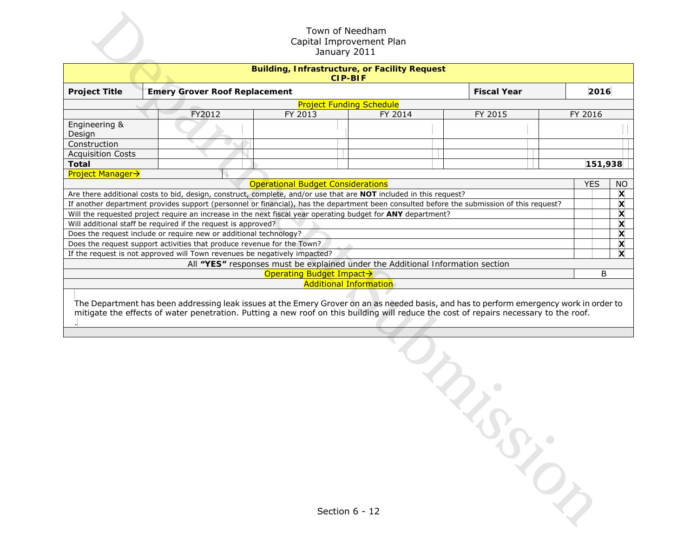|                                                                                                                                           |  |                                                                   | Town of Needham<br>Capital Improvement Plan<br>January 2011                                                       |         |                                                                                                                                                                                                                                                                                  |  |            |                                                        |  |
|-------------------------------------------------------------------------------------------------------------------------------------------|--|-------------------------------------------------------------------|-------------------------------------------------------------------------------------------------------------------|---------|----------------------------------------------------------------------------------------------------------------------------------------------------------------------------------------------------------------------------------------------------------------------------------|--|------------|--------------------------------------------------------|--|
|                                                                                                                                           |  |                                                                   | <b>Building, Infrastructure, or Facility Request</b><br><b>CIP-BIF</b>                                            |         |                                                                                                                                                                                                                                                                                  |  |            |                                                        |  |
| <b>Project Title</b>                                                                                                                      |  | <b>Emery Grover Roof Replacement</b>                              |                                                                                                                   |         | <b>Fiscal Year</b>                                                                                                                                                                                                                                                               |  | 2016       |                                                        |  |
|                                                                                                                                           |  |                                                                   | <b>Project Funding Schedule</b>                                                                                   |         |                                                                                                                                                                                                                                                                                  |  |            |                                                        |  |
|                                                                                                                                           |  | FY2012                                                            | FY 2013                                                                                                           | FY 2014 | FY 2015                                                                                                                                                                                                                                                                          |  | FY 2016    |                                                        |  |
| Engineering &<br>Design                                                                                                                   |  |                                                                   |                                                                                                                   |         |                                                                                                                                                                                                                                                                                  |  |            |                                                        |  |
| Construction                                                                                                                              |  |                                                                   |                                                                                                                   |         |                                                                                                                                                                                                                                                                                  |  |            |                                                        |  |
| <b>Acquisition Costs</b>                                                                                                                  |  |                                                                   |                                                                                                                   |         |                                                                                                                                                                                                                                                                                  |  |            | 151,938                                                |  |
| <b>Total</b><br><b>Project Manager→</b>                                                                                                   |  |                                                                   |                                                                                                                   |         |                                                                                                                                                                                                                                                                                  |  |            |                                                        |  |
|                                                                                                                                           |  |                                                                   | <b>Operational Budget Considerations</b>                                                                          |         |                                                                                                                                                                                                                                                                                  |  | <b>YES</b> | <b>NO</b>                                              |  |
|                                                                                                                                           |  |                                                                   | Are there additional costs to bid, design, construct, complete, and/or use that are NOT included in this request? |         |                                                                                                                                                                                                                                                                                  |  |            | X                                                      |  |
| If another department provides support (personnel or financial), has the department been consulted before the submission of this request? |  |                                                                   |                                                                                                                   |         |                                                                                                                                                                                                                                                                                  |  |            | X                                                      |  |
|                                                                                                                                           |  |                                                                   | Will the requested project require an increase in the next fiscal year operating budget for ANY department?       |         |                                                                                                                                                                                                                                                                                  |  |            | X                                                      |  |
| Will additional staff be required if the request is approved?                                                                             |  |                                                                   |                                                                                                                   |         |                                                                                                                                                                                                                                                                                  |  |            | X                                                      |  |
| Does the request support activities that produce revenue for the Town?                                                                    |  | Does the request include or require new or additional technology? |                                                                                                                   |         |                                                                                                                                                                                                                                                                                  |  |            | $\boldsymbol{\mathsf{x}}$<br>$\boldsymbol{\mathsf{x}}$ |  |
|                                                                                                                                           |  |                                                                   | If the request is not approved will Town revenues be negatively impacted?                                         |         |                                                                                                                                                                                                                                                                                  |  |            | $\mathbf x$                                            |  |
|                                                                                                                                           |  |                                                                   | All "YES" responses must be explained under the Additional Information section                                    |         |                                                                                                                                                                                                                                                                                  |  |            |                                                        |  |
|                                                                                                                                           |  |                                                                   | Operating Budget Impact→                                                                                          |         |                                                                                                                                                                                                                                                                                  |  |            | B                                                      |  |
|                                                                                                                                           |  |                                                                   | <b>Additional Information</b>                                                                                     |         |                                                                                                                                                                                                                                                                                  |  |            |                                                        |  |
|                                                                                                                                           |  |                                                                   |                                                                                                                   |         | The Department has been addressing leak issues at the Emery Grover on an as needed basis, and has to perform emergency work in order to<br>mitigate the effects of water penetration. Putting a new roof on this building will reduce the cost of repairs necessary to the roof. |  |            |                                                        |  |
|                                                                                                                                           |  |                                                                   | Section 6 - 12                                                                                                    |         | $\mathcal{L}_{\mathcal{L}_{\mathcal{F}}}$                                                                                                                                                                                                                                        |  |            |                                                        |  |
|                                                                                                                                           |  |                                                                   |                                                                                                                   |         |                                                                                                                                                                                                                                                                                  |  |            |                                                        |  |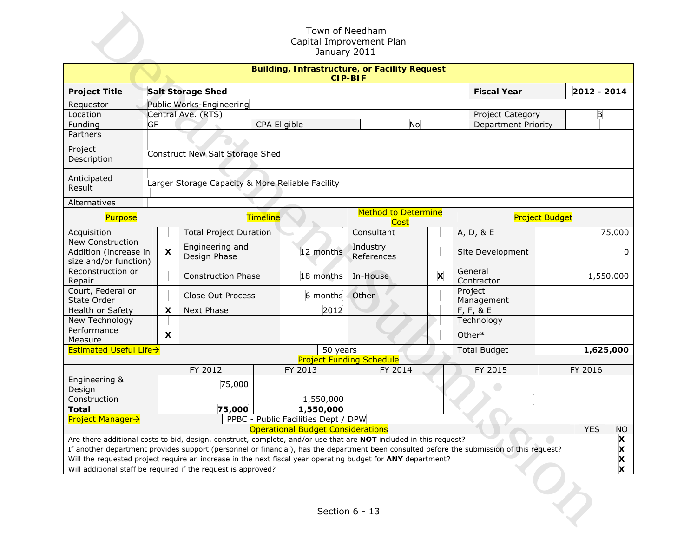| Town of Needham<br>Capital Improvement Plan<br>January 2011                     |                                                                        |                                                               |                                                                                                                                           |              |                                                                                 |                                    |    |   |                       |           |             |        |
|---------------------------------------------------------------------------------|------------------------------------------------------------------------|---------------------------------------------------------------|-------------------------------------------------------------------------------------------------------------------------------------------|--------------|---------------------------------------------------------------------------------|------------------------------------|----|---|-----------------------|-----------|-------------|--------|
|                                                                                 | <b>Building, Infrastructure, or Facility Request</b><br><b>CIP-BIF</b> |                                                               |                                                                                                                                           |              |                                                                                 |                                    |    |   |                       |           |             |        |
| <b>Project Title</b>                                                            |                                                                        | <b>Salt Storage Shed</b><br><b>Fiscal Year</b><br>2012 - 2014 |                                                                                                                                           |              |                                                                                 |                                    |    |   |                       |           |             |        |
| Requestor                                                                       |                                                                        | Public Works-Engineering                                      |                                                                                                                                           |              |                                                                                 |                                    |    |   |                       |           |             |        |
| Location                                                                        |                                                                        | Central Ave. (RTS)<br>B<br>Project Category                   |                                                                                                                                           |              |                                                                                 |                                    |    |   |                       |           |             |        |
| Funding                                                                         | GF                                                                     |                                                               |                                                                                                                                           | CPA Eligible |                                                                                 |                                    | No |   | Department Priority   |           |             |        |
| Partners                                                                        |                                                                        |                                                               |                                                                                                                                           |              |                                                                                 |                                    |    |   |                       |           |             |        |
| Project<br>Description                                                          | Construct New Salt Storage Shed                                        |                                                               |                                                                                                                                           |              |                                                                                 |                                    |    |   |                       |           |             |        |
| Anticipated<br>Result                                                           | Larger Storage Capacity & More Reliable Facility                       |                                                               |                                                                                                                                           |              |                                                                                 |                                    |    |   |                       |           |             |        |
| Alternatives                                                                    |                                                                        |                                                               |                                                                                                                                           |              |                                                                                 |                                    |    |   |                       |           |             |        |
| Purpose                                                                         |                                                                        |                                                               | <b>Timeline</b>                                                                                                                           |              |                                                                                 | <b>Method to Determine</b><br>Cost |    |   | <b>Project Budget</b> |           |             |        |
| Acquisition                                                                     |                                                                        |                                                               | <b>Total Project Duration</b>                                                                                                             |              |                                                                                 | Consultant                         |    |   | A, D, & E             |           |             | 75,000 |
| New Construction<br>Addition (increase in<br>size and/or function)              |                                                                        | X                                                             | Engineering and<br>Design Phase                                                                                                           |              | 12 months                                                                       | Industry<br>References             |    |   | Site Development      |           | $\mathbf 0$ |        |
| Reconstruction or<br>Repair                                                     |                                                                        |                                                               | <b>Construction Phase</b>                                                                                                                 |              | 18 months                                                                       | In-House                           |    | X | General<br>Contractor | 1,550,000 |             |        |
| Court, Federal or<br>State Order                                                |                                                                        |                                                               | <b>Close Out Process</b>                                                                                                                  |              | 6 months                                                                        | Other                              |    |   | Project<br>Management |           |             |        |
| Health or Safety                                                                |                                                                        | X                                                             | Next Phase                                                                                                                                |              | 2012                                                                            |                                    |    |   | $F, F, 8$ E           |           |             |        |
| New Technology                                                                  |                                                                        |                                                               |                                                                                                                                           |              |                                                                                 |                                    |    |   | Technology            |           |             |        |
| Performance<br>Measure                                                          |                                                                        | X                                                             |                                                                                                                                           |              |                                                                                 |                                    |    |   | Other*                |           |             |        |
| <b>Estimated Useful Life→</b>                                                   |                                                                        |                                                               |                                                                                                                                           |              | 50 years                                                                        |                                    |    |   | <b>Total Budget</b>   |           | 1,625,000   |        |
|                                                                                 |                                                                        |                                                               |                                                                                                                                           |              |                                                                                 | <b>Project Funding Schedule</b>    |    |   |                       |           |             |        |
|                                                                                 |                                                                        |                                                               | FY 2012                                                                                                                                   |              | FY 2013                                                                         | FY 2014                            |    |   | FY 2015               |           | FY 2016     |        |
| Engineering &<br>Design                                                         |                                                                        |                                                               | 75,000                                                                                                                                    |              |                                                                                 |                                    |    |   |                       |           |             |        |
| Construction                                                                    |                                                                        |                                                               |                                                                                                                                           |              | 1,550,000                                                                       |                                    |    |   |                       |           |             |        |
| <b>Total</b>                                                                    |                                                                        |                                                               | 75,000                                                                                                                                    |              | 1,550,000                                                                       |                                    |    |   |                       |           |             |        |
| <b>Project Manager→</b>                                                         |                                                                        |                                                               |                                                                                                                                           |              | PPBC - Public Facilities Dept / DPW<br><b>Operational Budget Considerations</b> |                                    |    |   |                       |           | <b>YES</b>  | NO     |
|                                                                                 |                                                                        |                                                               | Are there additional costs to bid, design, construct, complete, and/or use that are NOT included in this request?                         |              |                                                                                 |                                    |    |   |                       |           |             | X      |
|                                                                                 |                                                                        |                                                               | If another department provides support (personnel or financial), has the department been consulted before the submission of this request? |              |                                                                                 |                                    |    |   |                       |           |             | X      |
|                                                                                 |                                                                        |                                                               | Will the requested project require an increase in the next fiscal year operating budget for ANY department?                               |              |                                                                                 |                                    |    |   |                       |           |             | X      |
|                                                                                 |                                                                        |                                                               |                                                                                                                                           |              |                                                                                 |                                    |    |   |                       |           |             | X      |
| Will additional staff be required if the request is approved?<br>Section 6 - 13 |                                                                        |                                                               |                                                                                                                                           |              |                                                                                 |                                    |    |   |                       |           |             |        |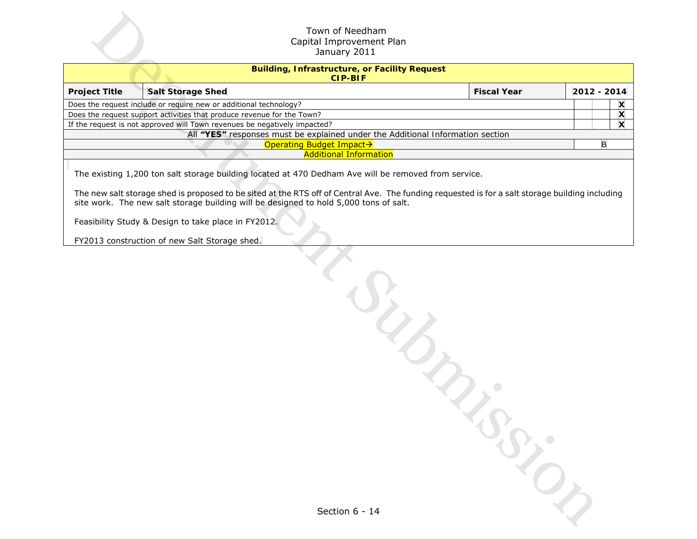|                                                                        | Town of Needham<br>Capital Improvement Plan<br>January 2011                                                                                                                                                                                                                                                                                                                                                                                                      |  |             |  |  |  |  |  |  |
|------------------------------------------------------------------------|------------------------------------------------------------------------------------------------------------------------------------------------------------------------------------------------------------------------------------------------------------------------------------------------------------------------------------------------------------------------------------------------------------------------------------------------------------------|--|-------------|--|--|--|--|--|--|
| <b>Building, Infrastructure, or Facility Request</b><br><b>CIP-BIF</b> |                                                                                                                                                                                                                                                                                                                                                                                                                                                                  |  |             |  |  |  |  |  |  |
| <b>Project Title</b>                                                   | <b>Salt Storage Shed</b><br><b>Fiscal Year</b>                                                                                                                                                                                                                                                                                                                                                                                                                   |  | 2012 - 2014 |  |  |  |  |  |  |
|                                                                        | Does the request include or require new or additional technology?                                                                                                                                                                                                                                                                                                                                                                                                |  | X           |  |  |  |  |  |  |
|                                                                        | Does the request support activities that produce revenue for the Town?                                                                                                                                                                                                                                                                                                                                                                                           |  | X           |  |  |  |  |  |  |
|                                                                        | If the request is not approved will Town revenues be negatively impacted?                                                                                                                                                                                                                                                                                                                                                                                        |  | X           |  |  |  |  |  |  |
|                                                                        | All "YES" responses must be explained under the Additional Information section                                                                                                                                                                                                                                                                                                                                                                                   |  |             |  |  |  |  |  |  |
|                                                                        | Operating Budget Impact→<br><b>Additional Information</b>                                                                                                                                                                                                                                                                                                                                                                                                        |  | B           |  |  |  |  |  |  |
|                                                                        | The existing 1,200 ton salt storage building located at 470 Dedham Ave will be removed from service.<br>The new salt storage shed is proposed to be sited at the RTS off of Central Ave. The funding requested is for a salt storage building including<br>site work. The new salt storage building will be designed to hold 5,000 tons of salt.<br>Feasibility Study & Design to take place in FY2012.<br>FY2013 construction of new Salt Storage shed.<br>JUNE |  |             |  |  |  |  |  |  |
|                                                                        | Section 6 - 14                                                                                                                                                                                                                                                                                                                                                                                                                                                   |  |             |  |  |  |  |  |  |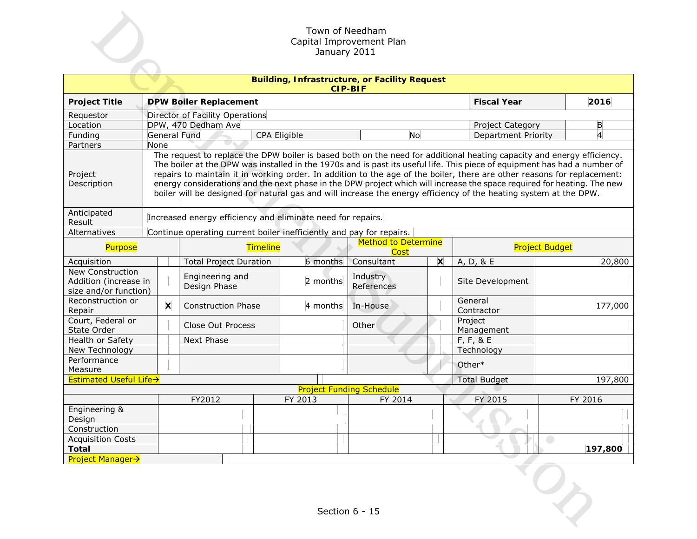|                                                                                                                                                                                                                                                                                                                                                                                                                                                                                                                                                                                                                                                          | Town of Needham<br>Capital Improvement Plan<br>January 2011 |                                                             |                                 |                                                     |          |                                 |   |                            |         |  |  |
|----------------------------------------------------------------------------------------------------------------------------------------------------------------------------------------------------------------------------------------------------------------------------------------------------------------------------------------------------------------------------------------------------------------------------------------------------------------------------------------------------------------------------------------------------------------------------------------------------------------------------------------------------------|-------------------------------------------------------------|-------------------------------------------------------------|---------------------------------|-----------------------------------------------------|----------|---------------------------------|---|----------------------------|---------|--|--|
| <b>Building, Infrastructure, or Facility Request</b><br><b>CIP-BIF</b>                                                                                                                                                                                                                                                                                                                                                                                                                                                                                                                                                                                   |                                                             |                                                             |                                 |                                                     |          |                                 |   |                            |         |  |  |
| <b>Fiscal Year</b><br>2016<br><b>Project Title</b><br><b>DPW Boiler Replacement</b>                                                                                                                                                                                                                                                                                                                                                                                                                                                                                                                                                                      |                                                             |                                                             |                                 |                                                     |          |                                 |   |                            |         |  |  |
| Requestor                                                                                                                                                                                                                                                                                                                                                                                                                                                                                                                                                                                                                                                |                                                             | Director of Facility Operations                             |                                 |                                                     |          |                                 |   |                            |         |  |  |
| Location                                                                                                                                                                                                                                                                                                                                                                                                                                                                                                                                                                                                                                                 |                                                             |                                                             | DPW, 470 Dedham Ave             |                                                     |          |                                 |   | Project Category           | B       |  |  |
| Funding                                                                                                                                                                                                                                                                                                                                                                                                                                                                                                                                                                                                                                                  |                                                             |                                                             | General Fund                    | CPA Eligible                                        |          | <b>No</b>                       |   | <b>Department Priority</b> | 4       |  |  |
| Partners                                                                                                                                                                                                                                                                                                                                                                                                                                                                                                                                                                                                                                                 | None                                                        |                                                             |                                 |                                                     |          |                                 |   |                            |         |  |  |
| The request to replace the DPW boiler is based both on the need for additional heating capacity and energy efficiency.<br>The boiler at the DPW was installed in the 1970s and is past its useful life. This piece of equipment has had a number of<br>repairs to maintain it in working order. In addition to the age of the boiler, there are other reasons for replacement:<br>Project<br>energy considerations and the next phase in the DPW project which will increase the space required for heating. The new<br>Description<br>boiler will be designed for natural gas and will increase the energy efficiency of the heating system at the DPW. |                                                             |                                                             |                                 |                                                     |          |                                 |   |                            |         |  |  |
| Anticipated<br>Result                                                                                                                                                                                                                                                                                                                                                                                                                                                                                                                                                                                                                                    |                                                             | Increased energy efficiency and eliminate need for repairs. |                                 |                                                     |          |                                 |   |                            |         |  |  |
| Alternatives<br>Continue operating current boiler inefficiently and pay for repairs.                                                                                                                                                                                                                                                                                                                                                                                                                                                                                                                                                                     |                                                             |                                                             |                                 |                                                     |          |                                 |   |                            |         |  |  |
| Timeline<br>Purpose                                                                                                                                                                                                                                                                                                                                                                                                                                                                                                                                                                                                                                      |                                                             |                                                             | Cost                            | <b>Method to Determine</b><br><b>Project Budget</b> |          |                                 |   |                            |         |  |  |
| Acquisition                                                                                                                                                                                                                                                                                                                                                                                                                                                                                                                                                                                                                                              |                                                             |                                                             | <b>Total Project Duration</b>   |                                                     | 6 months | Consultant                      | X | A, D, & E                  | 20,800  |  |  |
| New Construction<br>Addition (increase in<br>size and/or function)                                                                                                                                                                                                                                                                                                                                                                                                                                                                                                                                                                                       |                                                             |                                                             | Engineering and<br>Design Phase |                                                     | 2 months | Industry<br>References          |   | Site Development           |         |  |  |
| Reconstruction or<br>Repair                                                                                                                                                                                                                                                                                                                                                                                                                                                                                                                                                                                                                              |                                                             | X                                                           | <b>Construction Phase</b>       |                                                     | 4 months | In-House                        |   | General<br>Contractor      | 177,000 |  |  |
| Court, Federal or<br>State Order                                                                                                                                                                                                                                                                                                                                                                                                                                                                                                                                                                                                                         |                                                             |                                                             | Close Out Process               |                                                     |          | Other                           |   | Project<br>Management      |         |  |  |
| Health or Safety                                                                                                                                                                                                                                                                                                                                                                                                                                                                                                                                                                                                                                         |                                                             |                                                             | Next Phase                      |                                                     |          |                                 |   | $F, F, 8$ E                |         |  |  |
| New Technology                                                                                                                                                                                                                                                                                                                                                                                                                                                                                                                                                                                                                                           |                                                             |                                                             |                                 |                                                     |          |                                 |   | Technology                 |         |  |  |
| Performance<br>Measure                                                                                                                                                                                                                                                                                                                                                                                                                                                                                                                                                                                                                                   |                                                             |                                                             |                                 |                                                     |          |                                 |   | Other*                     |         |  |  |
| <b>Estimated Useful Life→</b>                                                                                                                                                                                                                                                                                                                                                                                                                                                                                                                                                                                                                            |                                                             |                                                             |                                 |                                                     |          |                                 |   | <b>Total Budget</b>        | 197,800 |  |  |
|                                                                                                                                                                                                                                                                                                                                                                                                                                                                                                                                                                                                                                                          |                                                             |                                                             |                                 |                                                     |          | <b>Project Funding Schedule</b> |   |                            |         |  |  |
|                                                                                                                                                                                                                                                                                                                                                                                                                                                                                                                                                                                                                                                          |                                                             |                                                             | FY2012                          |                                                     | FY 2013  | FY 2014                         |   | FY 2015                    | FY 2016 |  |  |
| Engineering &<br>Design                                                                                                                                                                                                                                                                                                                                                                                                                                                                                                                                                                                                                                  |                                                             |                                                             |                                 |                                                     |          |                                 |   |                            |         |  |  |
| Construction                                                                                                                                                                                                                                                                                                                                                                                                                                                                                                                                                                                                                                             |                                                             |                                                             |                                 |                                                     |          |                                 |   |                            |         |  |  |
| <b>Acquisition Costs</b>                                                                                                                                                                                                                                                                                                                                                                                                                                                                                                                                                                                                                                 |                                                             |                                                             |                                 |                                                     |          |                                 |   |                            |         |  |  |
| <b>Total</b>                                                                                                                                                                                                                                                                                                                                                                                                                                                                                                                                                                                                                                             |                                                             |                                                             |                                 |                                                     |          |                                 |   |                            | 197,800 |  |  |
| <b>Project Manager→</b><br>Section 6 - 15                                                                                                                                                                                                                                                                                                                                                                                                                                                                                                                                                                                                                |                                                             |                                                             |                                 |                                                     |          |                                 |   |                            |         |  |  |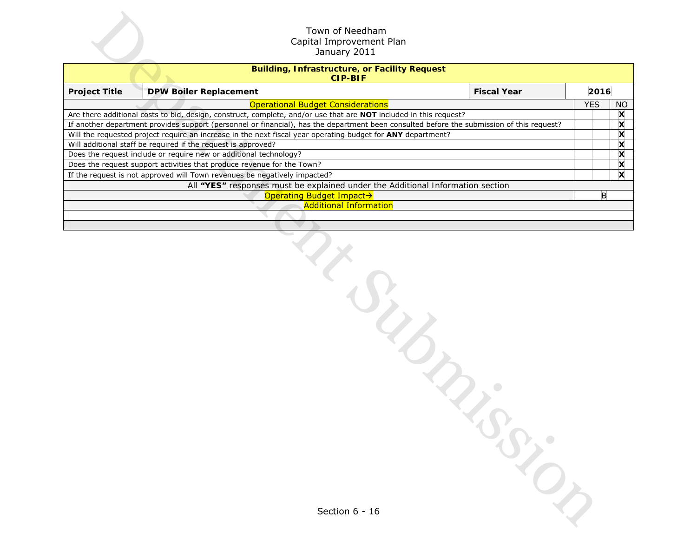| Town of Needham<br>Capital Improvement Plan<br>January 2011            |                                                                                                                                           |            |   |                           |  |  |  |  |  |  |
|------------------------------------------------------------------------|-------------------------------------------------------------------------------------------------------------------------------------------|------------|---|---------------------------|--|--|--|--|--|--|
| <b>Building, Infrastructure, or Facility Request</b><br><b>CIP-BIF</b> |                                                                                                                                           |            |   |                           |  |  |  |  |  |  |
| <b>Project Title</b>                                                   | <b>Fiscal Year</b><br><b>DPW Boiler Replacement</b>                                                                                       | 2016       |   |                           |  |  |  |  |  |  |
|                                                                        | <b>Operational Budget Considerations</b>                                                                                                  | <b>YES</b> |   | <b>NO</b>                 |  |  |  |  |  |  |
|                                                                        | Are there additional costs to bid, design, construct, complete, and/or use that are NOT included in this request?                         |            |   | X                         |  |  |  |  |  |  |
|                                                                        | If another department provides support (personnel or financial), has the department been consulted before the submission of this request? |            |   | X                         |  |  |  |  |  |  |
|                                                                        | Will the requested project require an increase in the next fiscal year operating budget for ANY department?                               |            |   | X                         |  |  |  |  |  |  |
|                                                                        | Will additional staff be required if the request is approved?                                                                             |            |   | X                         |  |  |  |  |  |  |
|                                                                        | Does the request include or require new or additional technology?                                                                         |            |   | X                         |  |  |  |  |  |  |
|                                                                        | Does the request support activities that produce revenue for the Town?                                                                    |            |   | X                         |  |  |  |  |  |  |
|                                                                        | If the request is not approved will Town revenues be negatively impacted?                                                                 |            |   | $\boldsymbol{\mathsf{x}}$ |  |  |  |  |  |  |
|                                                                        | All "YES" responses must be explained under the Additional Information section<br>Operating Budget Impact→                                |            | B |                           |  |  |  |  |  |  |
|                                                                        | <b>Additional Information</b>                                                                                                             |            |   |                           |  |  |  |  |  |  |
|                                                                        |                                                                                                                                           |            |   |                           |  |  |  |  |  |  |
|                                                                        |                                                                                                                                           |            |   |                           |  |  |  |  |  |  |
|                                                                        | $\frac{d}{d}$                                                                                                                             |            |   |                           |  |  |  |  |  |  |
|                                                                        | Section 6 - 16                                                                                                                            |            |   |                           |  |  |  |  |  |  |

| Section 6 - 16 |  |
|----------------|--|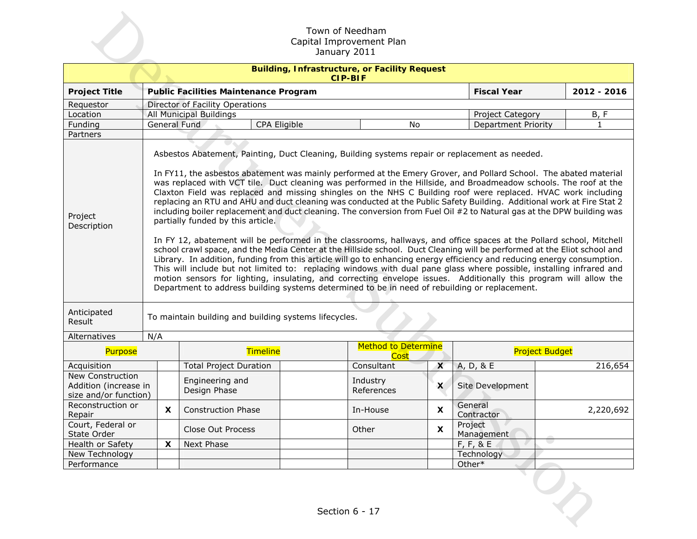| Town of Needham<br>Capital Improvement Plan<br>January 2011                                                                                                                                                                                                                                                                                                                                                                                                                                                                                                                                                                                                                                                                                                                                                                                                                                                                                                                                                                                                                                                                                                                                                                                                                                                                                                                                                                                                                                               |     |                                 |                                                       |                                                                        |                                    |                            |                       |  |  |  |
|-----------------------------------------------------------------------------------------------------------------------------------------------------------------------------------------------------------------------------------------------------------------------------------------------------------------------------------------------------------------------------------------------------------------------------------------------------------------------------------------------------------------------------------------------------------------------------------------------------------------------------------------------------------------------------------------------------------------------------------------------------------------------------------------------------------------------------------------------------------------------------------------------------------------------------------------------------------------------------------------------------------------------------------------------------------------------------------------------------------------------------------------------------------------------------------------------------------------------------------------------------------------------------------------------------------------------------------------------------------------------------------------------------------------------------------------------------------------------------------------------------------|-----|---------------------------------|-------------------------------------------------------|------------------------------------------------------------------------|------------------------------------|----------------------------|-----------------------|--|--|--|
|                                                                                                                                                                                                                                                                                                                                                                                                                                                                                                                                                                                                                                                                                                                                                                                                                                                                                                                                                                                                                                                                                                                                                                                                                                                                                                                                                                                                                                                                                                           |     |                                 |                                                       | <b>Building, Infrastructure, or Facility Request</b><br><b>CIP-BIF</b> |                                    |                            |                       |  |  |  |
| <b>Project Title</b>                                                                                                                                                                                                                                                                                                                                                                                                                                                                                                                                                                                                                                                                                                                                                                                                                                                                                                                                                                                                                                                                                                                                                                                                                                                                                                                                                                                                                                                                                      |     |                                 | <b>Public Facilities Maintenance Program</b>          |                                                                        |                                    | <b>Fiscal Year</b>         | 2012 - 2016           |  |  |  |
| Requestor                                                                                                                                                                                                                                                                                                                                                                                                                                                                                                                                                                                                                                                                                                                                                                                                                                                                                                                                                                                                                                                                                                                                                                                                                                                                                                                                                                                                                                                                                                 |     | Director of Facility Operations |                                                       |                                                                        |                                    |                            |                       |  |  |  |
| Location                                                                                                                                                                                                                                                                                                                                                                                                                                                                                                                                                                                                                                                                                                                                                                                                                                                                                                                                                                                                                                                                                                                                                                                                                                                                                                                                                                                                                                                                                                  |     | All Municipal Buildings         |                                                       |                                                                        |                                    | Project Category           | B, F                  |  |  |  |
| Funding                                                                                                                                                                                                                                                                                                                                                                                                                                                                                                                                                                                                                                                                                                                                                                                                                                                                                                                                                                                                                                                                                                                                                                                                                                                                                                                                                                                                                                                                                                   |     | <b>General Fund</b>             | CPA Eligible                                          |                                                                        | No                                 | <b>Department Priority</b> | $\mathbf{1}$          |  |  |  |
| Partners                                                                                                                                                                                                                                                                                                                                                                                                                                                                                                                                                                                                                                                                                                                                                                                                                                                                                                                                                                                                                                                                                                                                                                                                                                                                                                                                                                                                                                                                                                  |     |                                 |                                                       |                                                                        |                                    |                            |                       |  |  |  |
| Asbestos Abatement, Painting, Duct Cleaning, Building systems repair or replacement as needed.<br>In FY11, the asbestos abatement was mainly performed at the Emery Grover, and Pollard School. The abated material<br>was replaced with VCT tile. Duct cleaning was performed in the Hillside, and Broadmeadow schools. The roof at the<br>Claxton Field was replaced and missing shingles on the NHS C Building roof were replaced. HVAC work including<br>replacing an RTU and AHU and duct cleaning was conducted at the Public Safety Building. Additional work at Fire Stat 2<br>including boiler replacement and duct cleaning. The conversion from Fuel Oil #2 to Natural gas at the DPW building was<br>Project<br>partially funded by this article.<br>Description<br>In FY 12, abatement will be performed in the classrooms, hallways, and office spaces at the Pollard school, Mitchell<br>school crawl space, and the Media Center at the Hillside school. Duct Cleaning will be performed at the Eliot school and<br>Library. In addition, funding from this article will go to enhancing energy efficiency and reducing energy consumption.<br>This will include but not limited to: replacing windows with dual pane glass where possible, installing infrared and<br>motion sensors for lighting, insulating, and correcting envelope issues. Additionally this program will allow the<br>Department to address building systems determined to be in need of rebuilding or replacement. |     |                                 |                                                       |                                                                        |                                    |                            |                       |  |  |  |
| Anticipated<br>Result                                                                                                                                                                                                                                                                                                                                                                                                                                                                                                                                                                                                                                                                                                                                                                                                                                                                                                                                                                                                                                                                                                                                                                                                                                                                                                                                                                                                                                                                                     | N/A |                                 | To maintain building and building systems lifecycles. |                                                                        |                                    |                            |                       |  |  |  |
| Alternatives<br>Purpose                                                                                                                                                                                                                                                                                                                                                                                                                                                                                                                                                                                                                                                                                                                                                                                                                                                                                                                                                                                                                                                                                                                                                                                                                                                                                                                                                                                                                                                                                   |     |                                 | <b>Timeline</b>                                       |                                                                        | <b>Method to Determine</b><br>Cost |                            | <b>Project Budget</b> |  |  |  |
| Acquisition                                                                                                                                                                                                                                                                                                                                                                                                                                                                                                                                                                                                                                                                                                                                                                                                                                                                                                                                                                                                                                                                                                                                                                                                                                                                                                                                                                                                                                                                                               |     | <b>Total Project Duration</b>   |                                                       | Consultant                                                             | $\mathsf{x}$                       | A, D, & E                  | 216,654               |  |  |  |
| New Construction<br>Addition (increase in<br>size and/or function)                                                                                                                                                                                                                                                                                                                                                                                                                                                                                                                                                                                                                                                                                                                                                                                                                                                                                                                                                                                                                                                                                                                                                                                                                                                                                                                                                                                                                                        |     | Engineering and<br>Design Phase |                                                       | Industry<br>References                                                 | $\boldsymbol{\mathsf{x}}$          | Site Development           |                       |  |  |  |
| Reconstruction or<br>Repair                                                                                                                                                                                                                                                                                                                                                                                                                                                                                                                                                                                                                                                                                                                                                                                                                                                                                                                                                                                                                                                                                                                                                                                                                                                                                                                                                                                                                                                                               | X.  | <b>Construction Phase</b>       |                                                       | In-House                                                               | X                                  | General<br>Contractor      | 2,220,692             |  |  |  |
| Court, Federal or<br>State Order                                                                                                                                                                                                                                                                                                                                                                                                                                                                                                                                                                                                                                                                                                                                                                                                                                                                                                                                                                                                                                                                                                                                                                                                                                                                                                                                                                                                                                                                          |     | Close Out Process               |                                                       | Other                                                                  | $\boldsymbol{\mathsf{x}}$          | Project<br>Management      |                       |  |  |  |
| Health or Safety                                                                                                                                                                                                                                                                                                                                                                                                                                                                                                                                                                                                                                                                                                                                                                                                                                                                                                                                                                                                                                                                                                                                                                                                                                                                                                                                                                                                                                                                                          | X   | Next Phase                      |                                                       |                                                                        |                                    | F, F, & E                  | U.                    |  |  |  |
| New Technology                                                                                                                                                                                                                                                                                                                                                                                                                                                                                                                                                                                                                                                                                                                                                                                                                                                                                                                                                                                                                                                                                                                                                                                                                                                                                                                                                                                                                                                                                            |     |                                 |                                                       |                                                                        |                                    | Technology                 |                       |  |  |  |
| Performance                                                                                                                                                                                                                                                                                                                                                                                                                                                                                                                                                                                                                                                                                                                                                                                                                                                                                                                                                                                                                                                                                                                                                                                                                                                                                                                                                                                                                                                                                               |     |                                 |                                                       |                                                                        |                                    | Other*                     |                       |  |  |  |
|                                                                                                                                                                                                                                                                                                                                                                                                                                                                                                                                                                                                                                                                                                                                                                                                                                                                                                                                                                                                                                                                                                                                                                                                                                                                                                                                                                                                                                                                                                           |     |                                 |                                                       | Section 6 - 17                                                         |                                    |                            |                       |  |  |  |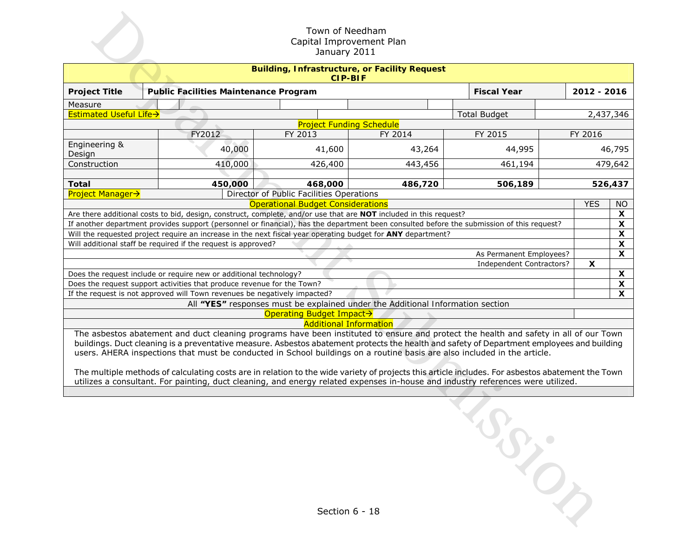| Town of Needham<br>Capital Improvement Plan<br>January 2011            |                                                                                                                                                                                                                                                                                                                                                                                                                                                                                                                                                                                                                                                                                                                                         |                                                                           |                                          |                                                                                                                   |                                                                                                                                           |  |              |                                 |  |  |
|------------------------------------------------------------------------|-----------------------------------------------------------------------------------------------------------------------------------------------------------------------------------------------------------------------------------------------------------------------------------------------------------------------------------------------------------------------------------------------------------------------------------------------------------------------------------------------------------------------------------------------------------------------------------------------------------------------------------------------------------------------------------------------------------------------------------------|---------------------------------------------------------------------------|------------------------------------------|-------------------------------------------------------------------------------------------------------------------|-------------------------------------------------------------------------------------------------------------------------------------------|--|--------------|---------------------------------|--|--|
| <b>Building, Infrastructure, or Facility Request</b><br><b>CIP-BIF</b> |                                                                                                                                                                                                                                                                                                                                                                                                                                                                                                                                                                                                                                                                                                                                         |                                                                           |                                          |                                                                                                                   |                                                                                                                                           |  |              |                                 |  |  |
| <b>Project Title</b>                                                   |                                                                                                                                                                                                                                                                                                                                                                                                                                                                                                                                                                                                                                                                                                                                         | <b>Public Facilities Maintenance Program</b>                              |                                          |                                                                                                                   | <b>Fiscal Year</b>                                                                                                                        |  | 2012 - 2016  |                                 |  |  |
| Measure                                                                |                                                                                                                                                                                                                                                                                                                                                                                                                                                                                                                                                                                                                                                                                                                                         |                                                                           |                                          |                                                                                                                   |                                                                                                                                           |  |              |                                 |  |  |
| Estimated Useful Life>                                                 |                                                                                                                                                                                                                                                                                                                                                                                                                                                                                                                                                                                                                                                                                                                                         |                                                                           |                                          | <b>Project Funding Schedule</b>                                                                                   | <b>Total Budget</b>                                                                                                                       |  |              | 2,437,346                       |  |  |
|                                                                        |                                                                                                                                                                                                                                                                                                                                                                                                                                                                                                                                                                                                                                                                                                                                         | FY2012                                                                    | FY 2013                                  | FY 2014                                                                                                           | FY 2015                                                                                                                                   |  | FY 2016      |                                 |  |  |
| Engineering &<br>Design                                                |                                                                                                                                                                                                                                                                                                                                                                                                                                                                                                                                                                                                                                                                                                                                         | 40,000                                                                    | 41,600                                   | 43,264                                                                                                            | 44,995                                                                                                                                    |  |              | 46,795                          |  |  |
| Construction                                                           |                                                                                                                                                                                                                                                                                                                                                                                                                                                                                                                                                                                                                                                                                                                                         | 410,000                                                                   | 426,400                                  | 443,456                                                                                                           | 461,194                                                                                                                                   |  |              | 479,642                         |  |  |
| <b>Total</b>                                                           |                                                                                                                                                                                                                                                                                                                                                                                                                                                                                                                                                                                                                                                                                                                                         | 450,000                                                                   | 468,000                                  | 486,720                                                                                                           | 506,189                                                                                                                                   |  |              | 526,437                         |  |  |
| <b>Project Manager→</b>                                                |                                                                                                                                                                                                                                                                                                                                                                                                                                                                                                                                                                                                                                                                                                                                         |                                                                           | Director of Public Facilities Operations |                                                                                                                   |                                                                                                                                           |  |              |                                 |  |  |
|                                                                        |                                                                                                                                                                                                                                                                                                                                                                                                                                                                                                                                                                                                                                                                                                                                         |                                                                           | <b>Operational Budget Considerations</b> | Are there additional costs to bid, design, construct, complete, and/or use that are NOT included in this request? |                                                                                                                                           |  | <b>YES</b>   | <b>NO</b><br>$\pmb{\mathsf{X}}$ |  |  |
|                                                                        |                                                                                                                                                                                                                                                                                                                                                                                                                                                                                                                                                                                                                                                                                                                                         |                                                                           |                                          |                                                                                                                   | If another department provides support (personnel or financial), has the department been consulted before the submission of this request? |  |              | $\pmb{\mathsf{X}}$              |  |  |
|                                                                        |                                                                                                                                                                                                                                                                                                                                                                                                                                                                                                                                                                                                                                                                                                                                         |                                                                           |                                          | Will the requested project require an increase in the next fiscal year operating budget for ANY department?       |                                                                                                                                           |  |              | $\pmb{\mathsf{x}}$              |  |  |
|                                                                        |                                                                                                                                                                                                                                                                                                                                                                                                                                                                                                                                                                                                                                                                                                                                         | Will additional staff be required if the request is approved?             |                                          |                                                                                                                   |                                                                                                                                           |  |              | $\boldsymbol{\mathsf{X}}$       |  |  |
|                                                                        |                                                                                                                                                                                                                                                                                                                                                                                                                                                                                                                                                                                                                                                                                                                                         |                                                                           |                                          |                                                                                                                   | As Permanent Employees?                                                                                                                   |  |              | $\overline{\mathbf{x}}$         |  |  |
|                                                                        |                                                                                                                                                                                                                                                                                                                                                                                                                                                                                                                                                                                                                                                                                                                                         |                                                                           |                                          |                                                                                                                   | Independent Contractors?                                                                                                                  |  | $\mathsf{x}$ |                                 |  |  |
| Does the request include or require new or additional technology?      |                                                                                                                                                                                                                                                                                                                                                                                                                                                                                                                                                                                                                                                                                                                                         |                                                                           |                                          |                                                                                                                   |                                                                                                                                           |  |              | $\pmb{\mathsf{X}}$              |  |  |
|                                                                        |                                                                                                                                                                                                                                                                                                                                                                                                                                                                                                                                                                                                                                                                                                                                         | Does the request support activities that produce revenue for the Town?    |                                          |                                                                                                                   |                                                                                                                                           |  |              | $\pmb{\mathsf{X}}$              |  |  |
|                                                                        |                                                                                                                                                                                                                                                                                                                                                                                                                                                                                                                                                                                                                                                                                                                                         | If the request is not approved will Town revenues be negatively impacted? |                                          |                                                                                                                   |                                                                                                                                           |  |              | X                               |  |  |
|                                                                        |                                                                                                                                                                                                                                                                                                                                                                                                                                                                                                                                                                                                                                                                                                                                         |                                                                           |                                          | All "YES" responses must be explained under the Additional Information section                                    |                                                                                                                                           |  |              |                                 |  |  |
|                                                                        |                                                                                                                                                                                                                                                                                                                                                                                                                                                                                                                                                                                                                                                                                                                                         |                                                                           | Operating Budget Impact→                 |                                                                                                                   |                                                                                                                                           |  |              |                                 |  |  |
|                                                                        | <b>Additional Information</b><br>The asbestos abatement and duct cleaning programs have been instituted to ensure and protect the health and safety in all of our Town<br>buildings. Duct cleaning is a preventative measure. Asbestos abatement protects the health and safety of Department employees and building<br>users. AHERA inspections that must be conducted in School buildings on a routine basis are also included in the article.<br>The multiple methods of calculating costs are in relation to the wide variety of projects this article includes. For asbestos abatement the Town<br>utilizes a consultant. For painting, duct cleaning, and energy related expenses in-house and industry references were utilized. |                                                                           |                                          |                                                                                                                   |                                                                                                                                           |  |              |                                 |  |  |
|                                                                        |                                                                                                                                                                                                                                                                                                                                                                                                                                                                                                                                                                                                                                                                                                                                         |                                                                           |                                          | Section 6 - 18                                                                                                    |                                                                                                                                           |  |              |                                 |  |  |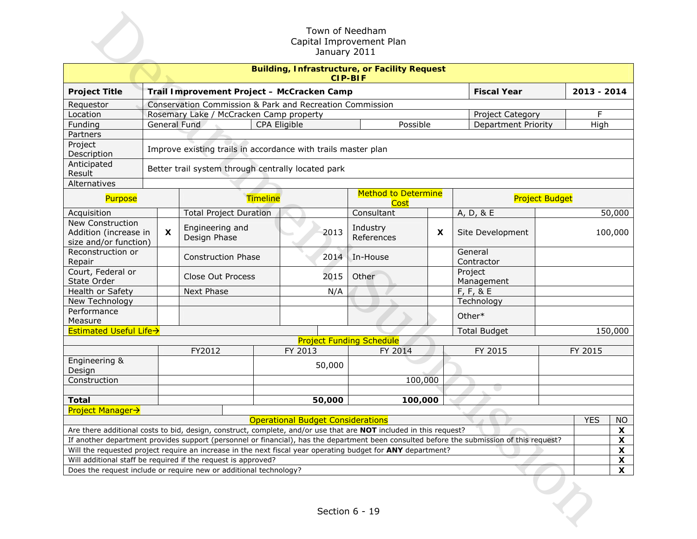| Town of Needham<br>Capital Improvement Plan<br>January 2011            |                                                                                     |                                                                                 |                                                                                                                                           |                                          |                                           |   |                       |                       |            |         |  |  |
|------------------------------------------------------------------------|-------------------------------------------------------------------------------------|---------------------------------------------------------------------------------|-------------------------------------------------------------------------------------------------------------------------------------------|------------------------------------------|-------------------------------------------|---|-----------------------|-----------------------|------------|---------|--|--|
| <b>Building, Infrastructure, or Facility Request</b><br><b>CIP-BIF</b> |                                                                                     |                                                                                 |                                                                                                                                           |                                          |                                           |   |                       |                       |            |         |  |  |
| <b>Project Title</b>                                                   |                                                                                     | <b>Fiscal Year</b><br>2013 - 2014<br>Trail Improvement Project - McCracken Camp |                                                                                                                                           |                                          |                                           |   |                       |                       |            |         |  |  |
| Requestor                                                              |                                                                                     | Conservation Commission & Park and Recreation Commission                        |                                                                                                                                           |                                          |                                           |   |                       |                       |            |         |  |  |
| Location                                                               |                                                                                     |                                                                                 | Rosemary Lake / McCracken Camp property                                                                                                   |                                          |                                           |   | Project Category      |                       | F          |         |  |  |
| Funding                                                                |                                                                                     |                                                                                 | <b>General Fund</b>                                                                                                                       | CPA Eligible                             | Possible                                  |   | Department Priority   |                       | High       |         |  |  |
| Partners                                                               |                                                                                     |                                                                                 |                                                                                                                                           |                                          |                                           |   |                       |                       |            |         |  |  |
| Project<br>Description                                                 |                                                                                     | Improve existing trails in accordance with trails master plan                   |                                                                                                                                           |                                          |                                           |   |                       |                       |            |         |  |  |
| Anticipated<br>Result                                                  |                                                                                     |                                                                                 | Better trail system through centrally located park                                                                                        |                                          |                                           |   |                       |                       |            |         |  |  |
| Alternatives                                                           |                                                                                     |                                                                                 |                                                                                                                                           |                                          |                                           |   |                       |                       |            |         |  |  |
| Purpose                                                                |                                                                                     |                                                                                 | <b>Timeline</b>                                                                                                                           |                                          | <b>Method to Determine</b><br><b>Cost</b> |   |                       | <b>Project Budget</b> |            |         |  |  |
| Acquisition                                                            |                                                                                     |                                                                                 | <b>Total Project Duration</b>                                                                                                             |                                          | Consultant                                |   | A, D, & E             |                       |            | 50,000  |  |  |
| New Construction                                                       |                                                                                     |                                                                                 | Engineering and                                                                                                                           |                                          | Industry                                  |   |                       |                       |            |         |  |  |
| Addition (increase in<br>size and/or function)                         |                                                                                     | $\mathsf{x}$                                                                    | Design Phase                                                                                                                              | 2013                                     | References                                | X | Site Development      | 100,000               |            |         |  |  |
| Reconstruction or<br>Repair                                            |                                                                                     |                                                                                 | <b>Construction Phase</b>                                                                                                                 | 2014                                     | In-House                                  |   | General<br>Contractor |                       |            |         |  |  |
| Court, Federal or<br>State Order                                       |                                                                                     |                                                                                 | Close Out Process                                                                                                                         | 2015                                     | Other                                     |   | Project<br>Management |                       |            |         |  |  |
| Health or Safety                                                       |                                                                                     |                                                                                 | Next Phase                                                                                                                                | N/A                                      |                                           |   | $F, F, 8$ E           |                       |            |         |  |  |
| New Technology                                                         |                                                                                     |                                                                                 |                                                                                                                                           |                                          |                                           |   | Technology            |                       |            |         |  |  |
| Performance                                                            |                                                                                     |                                                                                 |                                                                                                                                           |                                          |                                           |   | Other*                |                       |            |         |  |  |
| Measure                                                                |                                                                                     |                                                                                 |                                                                                                                                           |                                          |                                           |   |                       |                       |            |         |  |  |
| <b>Estimated Useful Life→</b>                                          |                                                                                     |                                                                                 |                                                                                                                                           |                                          |                                           |   | <b>Total Budget</b>   |                       |            | 150,000 |  |  |
|                                                                        |                                                                                     |                                                                                 |                                                                                                                                           |                                          | <b>Project Funding Schedule</b>           |   |                       |                       |            |         |  |  |
|                                                                        |                                                                                     |                                                                                 | FY2012                                                                                                                                    | FY 2013                                  | FY 2014                                   |   | FY 2015               |                       | FY 2015    |         |  |  |
| Engineering &<br>Design                                                |                                                                                     |                                                                                 |                                                                                                                                           | 50,000                                   |                                           |   |                       |                       |            |         |  |  |
| Construction                                                           |                                                                                     |                                                                                 |                                                                                                                                           |                                          | 100,000                                   |   |                       |                       |            |         |  |  |
|                                                                        |                                                                                     |                                                                                 |                                                                                                                                           |                                          |                                           |   | e d                   |                       |            |         |  |  |
| <b>Total</b>                                                           |                                                                                     |                                                                                 |                                                                                                                                           | 50,000                                   | 100,000                                   |   |                       |                       |            |         |  |  |
| <b>Project Manager→</b>                                                |                                                                                     |                                                                                 |                                                                                                                                           | <b>Operational Budget Considerations</b> |                                           |   |                       |                       | <b>YES</b> | NO.     |  |  |
|                                                                        |                                                                                     |                                                                                 | Are there additional costs to bid, design, construct, complete, and/or use that are NOT included in this request?                         |                                          |                                           |   |                       |                       |            | X       |  |  |
|                                                                        |                                                                                     |                                                                                 | If another department provides support (personnel or financial), has the department been consulted before the submission of this request? |                                          |                                           |   |                       |                       |            | X       |  |  |
|                                                                        |                                                                                     |                                                                                 | Will the requested project require an increase in the next fiscal year operating budget for ANY department?                               |                                          |                                           |   |                       |                       |            | X       |  |  |
|                                                                        |                                                                                     |                                                                                 | Will additional staff be required if the request is approved?                                                                             |                                          |                                           |   |                       |                       |            | X       |  |  |
|                                                                        |                                                                                     |                                                                                 |                                                                                                                                           |                                          |                                           |   |                       |                       |            | X       |  |  |
|                                                                        | Does the request include or require new or additional technology?<br>Section 6 - 19 |                                                                                 |                                                                                                                                           |                                          |                                           |   |                       |                       |            |         |  |  |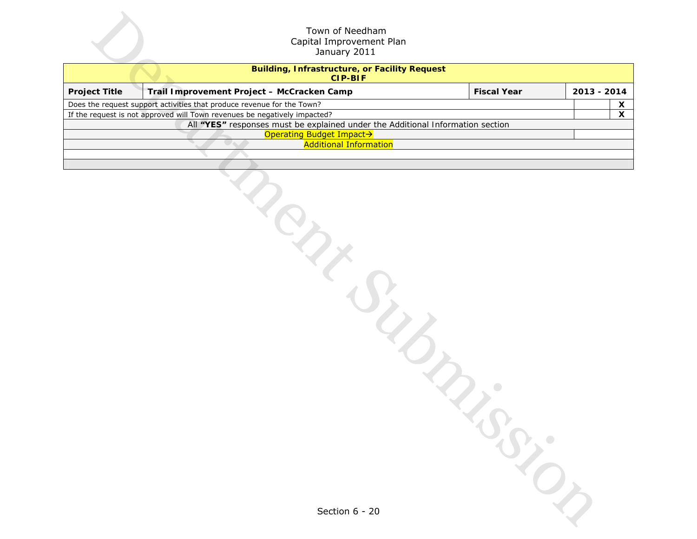|                      | Town of Needham<br>Capital Improvement Plan<br>January 2011                                                |                    |              |  |  |  |  |  |  |  |  |
|----------------------|------------------------------------------------------------------------------------------------------------|--------------------|--------------|--|--|--|--|--|--|--|--|
|                      | <b>Building, Infrastructure, or Facility Request</b><br><b>CIP-BIF</b>                                     |                    |              |  |  |  |  |  |  |  |  |
| <b>Project Title</b> | Trail Improvement Project - McCracken Camp                                                                 | <b>Fiscal Year</b> | 2013 - 2014  |  |  |  |  |  |  |  |  |
|                      | Does the request support activities that produce revenue for the Town?                                     |                    | $\mathsf{X}$ |  |  |  |  |  |  |  |  |
|                      | If the request is not approved will Town revenues be negatively impacted?                                  |                    | $\mathsf{x}$ |  |  |  |  |  |  |  |  |
|                      | All "YES" responses must be explained under the Additional Information section<br>Operating Budget Impact> |                    |              |  |  |  |  |  |  |  |  |
|                      | <b>Additional Information</b>                                                                              |                    |              |  |  |  |  |  |  |  |  |
|                      | ipy<br>$\mathcal{L}_{\mathcal{C}}$                                                                         | $\bullet$          |              |  |  |  |  |  |  |  |  |
|                      | Section 6 - 20                                                                                             |                    |              |  |  |  |  |  |  |  |  |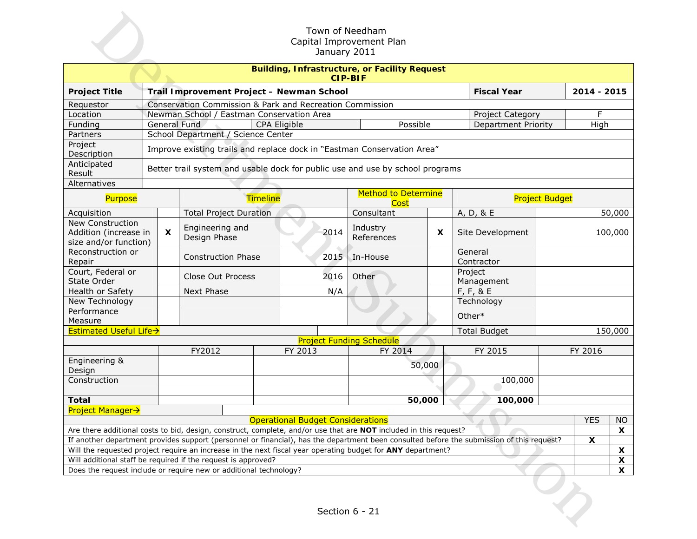|                                                                    |                                                                         |                                                          |                                           |                 |              | January 2011 | Town of Needham<br>Capital Improvement Plan                                                                       |        |                                                                                                                                           |                       |             |                    |
|--------------------------------------------------------------------|-------------------------------------------------------------------------|----------------------------------------------------------|-------------------------------------------|-----------------|--------------|--------------|-------------------------------------------------------------------------------------------------------------------|--------|-------------------------------------------------------------------------------------------------------------------------------------------|-----------------------|-------------|--------------------|
|                                                                    | <b>Building, Infrastructure, or Facility Request</b><br><b>CIP-BIF</b>  |                                                          |                                           |                 |              |              |                                                                                                                   |        |                                                                                                                                           |                       |             |                    |
| <b>Project Title</b>                                               |                                                                         |                                                          | Trail Improvement Project - Newman School |                 |              |              |                                                                                                                   |        | <b>Fiscal Year</b>                                                                                                                        |                       | 2014 - 2015 |                    |
| Requestor                                                          |                                                                         | Conservation Commission & Park and Recreation Commission |                                           |                 |              |              |                                                                                                                   |        |                                                                                                                                           |                       |             |                    |
| Location                                                           |                                                                         |                                                          | Newman School / Eastman Conservation Area |                 |              |              |                                                                                                                   |        | Project Category                                                                                                                          |                       | F           |                    |
| Funding                                                            |                                                                         |                                                          | General Fund                              |                 | CPA Eligible |              | Possible                                                                                                          |        | <b>Department Priority</b>                                                                                                                |                       | High        |                    |
| Partners                                                           |                                                                         | School Department / Science Center                       |                                           |                 |              |              |                                                                                                                   |        |                                                                                                                                           |                       |             |                    |
| Project<br>Description                                             | Improve existing trails and replace dock in "Eastman Conservation Area" |                                                          |                                           |                 |              |              |                                                                                                                   |        |                                                                                                                                           |                       |             |                    |
| Anticipated<br>Result                                              |                                                                         |                                                          |                                           |                 |              |              | Better trail system and usable dock for public use and use by school programs                                     |        |                                                                                                                                           |                       |             |                    |
| Alternatives                                                       |                                                                         |                                                          |                                           |                 |              |              |                                                                                                                   |        |                                                                                                                                           |                       |             |                    |
| Purpose                                                            |                                                                         |                                                          |                                           | <b>Timeline</b> |              |              | <b>Method to Determine</b><br><b>Cost</b>                                                                         |        |                                                                                                                                           | <b>Project Budget</b> |             |                    |
| Acquisition                                                        |                                                                         |                                                          | <b>Total Project Duration</b>             |                 |              |              | Consultant                                                                                                        |        | A, D, & E                                                                                                                                 |                       |             | 50,000             |
| New Construction<br>Addition (increase in<br>size and/or function) |                                                                         | $\boldsymbol{\mathsf{x}}$                                | Engineering and<br>Design Phase           |                 |              | 2014         | Industry<br>References                                                                                            | X      | Site Development                                                                                                                          |                       |             | 100,000            |
| Reconstruction or<br>Repair                                        |                                                                         |                                                          | <b>Construction Phase</b>                 |                 |              | 2015         | In-House                                                                                                          |        | General<br>Contractor                                                                                                                     |                       |             |                    |
| Court, Federal or<br>State Order                                   |                                                                         |                                                          | Close Out Process                         |                 |              | 2016         | Other                                                                                                             |        | Project<br>Management                                                                                                                     |                       |             |                    |
| Health or Safety                                                   |                                                                         |                                                          | Next Phase                                |                 |              | N/A          |                                                                                                                   |        | $F, F, 8$ E                                                                                                                               |                       |             |                    |
| New Technology                                                     |                                                                         |                                                          |                                           |                 |              |              |                                                                                                                   |        | Technology                                                                                                                                |                       |             |                    |
| Performance                                                        |                                                                         |                                                          |                                           |                 |              |              |                                                                                                                   |        | Other*                                                                                                                                    |                       |             |                    |
| Measure                                                            |                                                                         |                                                          |                                           |                 |              |              |                                                                                                                   |        |                                                                                                                                           |                       |             |                    |
| Estimated Useful Life->                                            |                                                                         |                                                          |                                           |                 |              |              |                                                                                                                   |        | <b>Total Budget</b>                                                                                                                       |                       |             | 150,000            |
|                                                                    |                                                                         |                                                          | FY2012                                    |                 | FY 2013      |              | <b>Project Funding Schedule</b><br>FY 2014                                                                        |        | FY 2015                                                                                                                                   |                       | FY 2016     |                    |
| Engineering &                                                      |                                                                         |                                                          |                                           |                 |              |              |                                                                                                                   |        |                                                                                                                                           |                       |             |                    |
| Design                                                             |                                                                         |                                                          |                                           |                 |              |              |                                                                                                                   | 50,000 |                                                                                                                                           |                       |             |                    |
| Construction                                                       |                                                                         |                                                          |                                           |                 |              |              |                                                                                                                   |        | 100,000                                                                                                                                   |                       |             |                    |
|                                                                    |                                                                         |                                                          |                                           |                 |              |              |                                                                                                                   |        |                                                                                                                                           |                       |             |                    |
| <b>Total</b>                                                       |                                                                         |                                                          |                                           |                 |              |              | 50,000                                                                                                            |        | 100,000                                                                                                                                   |                       |             |                    |
| <b>Project Manager→</b>                                            |                                                                         |                                                          |                                           |                 |              |              |                                                                                                                   |        |                                                                                                                                           |                       |             |                    |
|                                                                    |                                                                         |                                                          |                                           |                 |              |              | <b>Operational Budget Considerations</b>                                                                          |        |                                                                                                                                           |                       | <b>YES</b>  | NO                 |
|                                                                    |                                                                         |                                                          |                                           |                 |              |              | Are there additional costs to bid, design, construct, complete, and/or use that are NOT included in this request? |        |                                                                                                                                           |                       |             | X                  |
|                                                                    |                                                                         |                                                          |                                           |                 |              |              |                                                                                                                   |        | If another department provides support (personnel or financial), has the department been consulted before the submission of this request? |                       | X           |                    |
|                                                                    |                                                                         |                                                          |                                           |                 |              |              | Will the requested project require an increase in the next fiscal year operating budget for ANY department?       |        |                                                                                                                                           |                       |             | X                  |
| Will additional staff be required if the request is approved?      |                                                                         |                                                          |                                           |                 |              |              |                                                                                                                   |        |                                                                                                                                           |                       |             | $\pmb{\mathsf{X}}$ |
| Does the request include or require new or additional technology?  |                                                                         |                                                          |                                           |                 |              |              |                                                                                                                   |        |                                                                                                                                           |                       |             | X                  |
|                                                                    | Section 6 - 21                                                          |                                                          |                                           |                 |              |              |                                                                                                                   |        |                                                                                                                                           |                       |             |                    |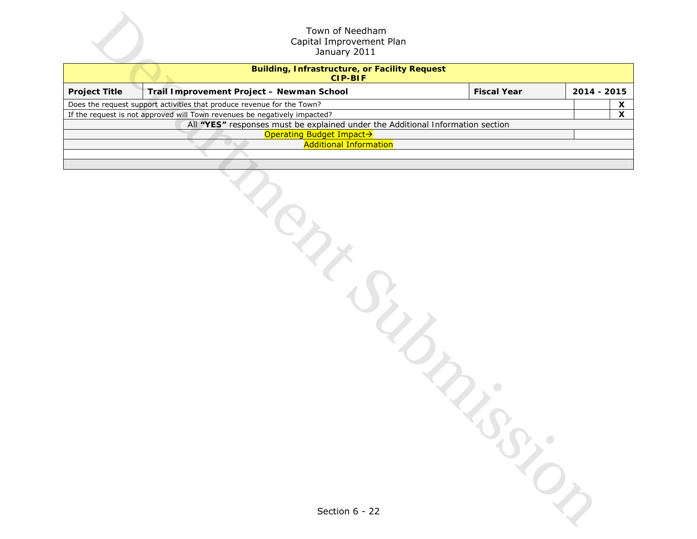|                      | Town of Needham<br>Capital Improvement Plan<br>January 2011                                                                                                 |                    |              |
|----------------------|-------------------------------------------------------------------------------------------------------------------------------------------------------------|--------------------|--------------|
|                      | <b>Building, Infrastructure, or Facility Request</b><br><b>CIP-BIF</b>                                                                                      |                    |              |
| <b>Project Title</b> | Trail Improvement Project - Newman School                                                                                                                   | <b>Fiscal Year</b> | 2014 - 2015  |
|                      | Does the request support activities that produce revenue for the Town?                                                                                      |                    | X            |
|                      | If the request is not approved will Town revenues be negatively impacted?<br>All "YES" responses must be explained under the Additional Information section |                    | $\mathsf{x}$ |
|                      | Operating Budget Impact>                                                                                                                                    |                    |              |
|                      | <b>Additional Information</b>                                                                                                                               |                    |              |
|                      |                                                                                                                                                             |                    |              |
|                      |                                                                                                                                                             |                    |              |
|                      |                                                                                                                                                             |                    |              |
|                      | ipy                                                                                                                                                         |                    |              |
|                      |                                                                                                                                                             |                    |              |
|                      |                                                                                                                                                             |                    |              |
|                      |                                                                                                                                                             |                    |              |
|                      |                                                                                                                                                             |                    |              |
|                      |                                                                                                                                                             |                    |              |
|                      |                                                                                                                                                             |                    |              |
|                      | $\mathcal{L}_{\mathcal{L}}$                                                                                                                                 |                    |              |
|                      |                                                                                                                                                             | $\bullet$          |              |
|                      |                                                                                                                                                             |                    |              |
|                      |                                                                                                                                                             |                    |              |
|                      |                                                                                                                                                             |                    |              |
|                      |                                                                                                                                                             |                    |              |
|                      |                                                                                                                                                             |                    |              |
|                      |                                                                                                                                                             |                    |              |
|                      |                                                                                                                                                             |                    |              |
|                      |                                                                                                                                                             |                    |              |
|                      |                                                                                                                                                             |                    |              |
|                      |                                                                                                                                                             |                    |              |
|                      | Section 6 - 22                                                                                                                                              |                    |              |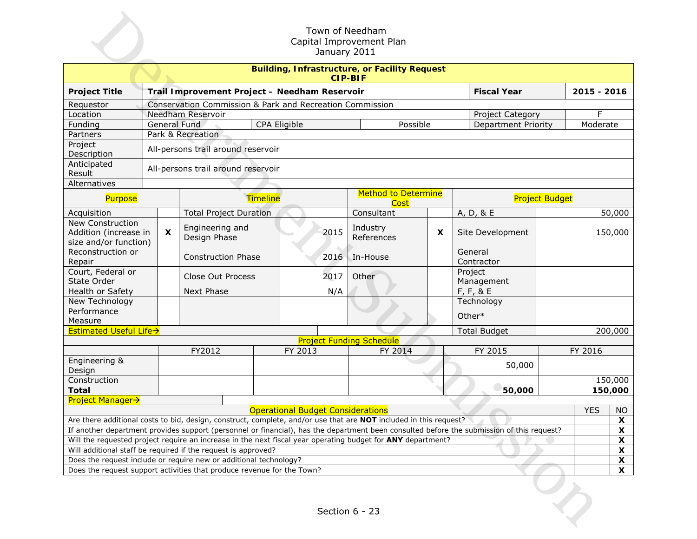| Town of Needham<br>Capital Improvement Plan<br>January 2011 |                                                                        |              |                                                                                                                          |                 |                                          |                                 |                            |                                                                                                                                           |                       |             |         |
|-------------------------------------------------------------|------------------------------------------------------------------------|--------------|--------------------------------------------------------------------------------------------------------------------------|-----------------|------------------------------------------|---------------------------------|----------------------------|-------------------------------------------------------------------------------------------------------------------------------------------|-----------------------|-------------|---------|
|                                                             | <b>Building, Infrastructure, or Facility Request</b><br><b>CIP-BIF</b> |              |                                                                                                                          |                 |                                          |                                 |                            |                                                                                                                                           |                       |             |         |
| <b>Project Title</b>                                        |                                                                        |              | Trail Improvement Project - Needham Reservoir                                                                            |                 |                                          |                                 |                            | <b>Fiscal Year</b>                                                                                                                        |                       | 2015 - 2016 |         |
| Requestor                                                   |                                                                        |              | Conservation Commission & Park and Recreation Commission                                                                 |                 |                                          |                                 |                            |                                                                                                                                           |                       |             |         |
| Location                                                    |                                                                        |              | Needham Reservoir                                                                                                        |                 |                                          |                                 |                            | Project Category                                                                                                                          |                       | F           |         |
| Funding                                                     |                                                                        |              | General Fund                                                                                                             | CPA Eligible    |                                          | Possible                        |                            | <b>Department Priority</b>                                                                                                                |                       | Moderate    |         |
| Partners                                                    |                                                                        |              | Park & Recreation                                                                                                        |                 |                                          |                                 |                            |                                                                                                                                           |                       |             |         |
| Project<br>Description                                      |                                                                        |              | All-persons trail around reservoir                                                                                       |                 |                                          |                                 |                            |                                                                                                                                           |                       |             |         |
| Anticipated<br>Result                                       |                                                                        |              | All-persons trail around reservoir                                                                                       |                 |                                          |                                 |                            |                                                                                                                                           |                       |             |         |
| Alternatives                                                |                                                                        |              |                                                                                                                          |                 |                                          |                                 |                            |                                                                                                                                           |                       |             |         |
| Purpose                                                     |                                                                        |              |                                                                                                                          | <b>Timeline</b> |                                          |                                 | <b>Method to Determine</b> |                                                                                                                                           | <b>Project Budget</b> |             |         |
| Acquisition                                                 |                                                                        |              | <b>Total Project Duration</b>                                                                                            |                 |                                          | Consultant                      |                            | A, D, & E                                                                                                                                 |                       |             | 50,000  |
| New Construction                                            |                                                                        |              | Engineering and                                                                                                          |                 |                                          | Industry                        |                            |                                                                                                                                           |                       |             |         |
| Addition (increase in<br>size and/or function)              |                                                                        | $\mathsf{x}$ | Design Phase                                                                                                             |                 | 2015                                     | References                      | $\boldsymbol{\mathsf{x}}$  | Site Development                                                                                                                          |                       |             | 150,000 |
| Reconstruction or<br>Repair                                 |                                                                        |              | <b>Construction Phase</b>                                                                                                |                 | 2016                                     | In-House                        |                            | General<br>Contractor                                                                                                                     |                       |             |         |
| Court, Federal or<br>State Order                            |                                                                        |              | Close Out Process                                                                                                        |                 | 2017                                     | Other                           |                            | Project<br>Management                                                                                                                     |                       |             |         |
| Health or Safety                                            |                                                                        |              | Next Phase                                                                                                               |                 | N/A                                      |                                 |                            | $F, F, 8$ E                                                                                                                               |                       |             |         |
| New Technology                                              |                                                                        |              |                                                                                                                          |                 |                                          |                                 |                            | Technology                                                                                                                                |                       |             |         |
| Performance                                                 |                                                                        |              |                                                                                                                          |                 |                                          |                                 |                            | Other*                                                                                                                                    |                       |             |         |
| Measure                                                     |                                                                        |              |                                                                                                                          |                 |                                          |                                 |                            |                                                                                                                                           |                       |             |         |
| Estimated Useful Life->                                     |                                                                        |              |                                                                                                                          |                 |                                          |                                 |                            | <b>Total Budget</b>                                                                                                                       |                       |             | 200,000 |
|                                                             |                                                                        |              |                                                                                                                          |                 |                                          | <b>Project Funding Schedule</b> |                            |                                                                                                                                           |                       |             |         |
|                                                             |                                                                        |              | FY2012                                                                                                                   |                 | FY 2013                                  | FY 2014                         |                            | FY 2015                                                                                                                                   |                       | FY 2016     |         |
| Engineering &<br>Design                                     |                                                                        |              |                                                                                                                          |                 |                                          |                                 |                            | 50,000                                                                                                                                    |                       |             |         |
| Construction                                                |                                                                        |              |                                                                                                                          |                 |                                          |                                 |                            |                                                                                                                                           |                       |             | 150,000 |
| <b>Total</b>                                                |                                                                        |              |                                                                                                                          |                 |                                          |                                 |                            | 50,000                                                                                                                                    |                       |             | 150,000 |
| <b>Project Manager→</b>                                     |                                                                        |              |                                                                                                                          |                 |                                          |                                 |                            |                                                                                                                                           |                       |             |         |
|                                                             |                                                                        |              |                                                                                                                          |                 | <b>Operational Budget Considerations</b> |                                 |                            |                                                                                                                                           |                       | <b>YES</b>  | NO      |
|                                                             |                                                                        |              | Are there additional costs to bid, design, construct, complete, and/or use that are <b>NOT</b> included in this request? |                 |                                          |                                 |                            |                                                                                                                                           |                       |             | X       |
|                                                             |                                                                        |              |                                                                                                                          |                 |                                          |                                 |                            | If another department provides support (personnel or financial), has the department been consulted before the submission of this request? |                       |             | X       |
|                                                             |                                                                        |              | Will the requested project require an increase in the next fiscal year operating budget for ANY department?              |                 |                                          |                                 |                            |                                                                                                                                           |                       |             | X       |
|                                                             |                                                                        |              | Will additional staff be required if the request is approved?                                                            |                 |                                          |                                 |                            |                                                                                                                                           |                       |             | X       |
|                                                             |                                                                        |              | Does the request include or require new or additional technology?                                                        |                 |                                          |                                 |                            |                                                                                                                                           |                       |             | X       |
|                                                             |                                                                        |              | Does the request support activities that produce revenue for the Town?                                                   |                 |                                          |                                 |                            |                                                                                                                                           |                       |             | X       |
|                                                             |                                                                        |              |                                                                                                                          |                 |                                          | Section 6 - 23                  |                            |                                                                                                                                           |                       |             |         |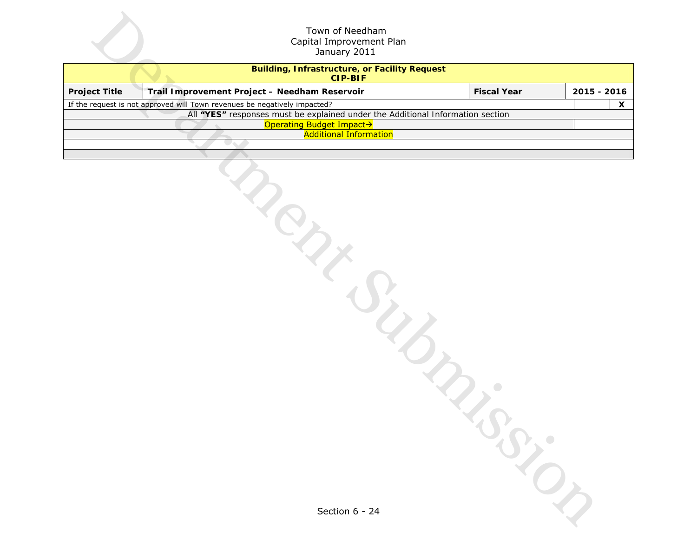|                      | Town of Needham<br>Capital Improvement Plan<br>January 2011                                                |                    |              |
|----------------------|------------------------------------------------------------------------------------------------------------|--------------------|--------------|
|                      | <b>Building, Infrastructure, or Facility Request</b><br><b>CIP-BIF</b>                                     |                    |              |
| <b>Project Title</b> | Trail Improvement Project - Needham Reservoir                                                              | <b>Fiscal Year</b> | 2015 - 2016  |
|                      | If the request is not approved will Town revenues be negatively impacted?                                  |                    | $\mathsf{x}$ |
|                      | All "YES" responses must be explained under the Additional Information section<br>Operating Budget Impact> |                    |              |
|                      | <b>Additional Information</b>                                                                              |                    |              |
|                      |                                                                                                            |                    |              |
|                      | LIFE<br>$\mathcal{L}_{\mathcal{L}}$                                                                        |                    |              |
|                      | Section 6 - 24                                                                                             |                    |              |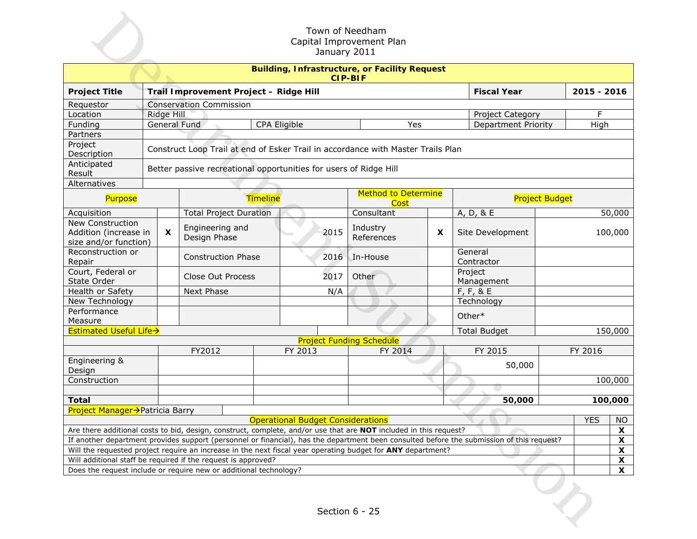| Town of Needham<br>Capital Improvement Plan<br>January 2011                         |                                                                        |              |                                                                                                                   |                                               |                                          |                                 |     |                                                                                                                                           |                       |             |          |
|-------------------------------------------------------------------------------------|------------------------------------------------------------------------|--------------|-------------------------------------------------------------------------------------------------------------------|-----------------------------------------------|------------------------------------------|---------------------------------|-----|-------------------------------------------------------------------------------------------------------------------------------------------|-----------------------|-------------|----------|
|                                                                                     | <b>Building, Infrastructure, or Facility Request</b><br><b>CIP-BIF</b> |              |                                                                                                                   |                                               |                                          |                                 |     |                                                                                                                                           |                       |             |          |
| <b>Project Title</b>                                                                |                                                                        |              | Trail Improvement Project - Ridge Hill                                                                            |                                               |                                          |                                 |     | <b>Fiscal Year</b>                                                                                                                        |                       | 2015 - 2016 |          |
| Requestor                                                                           |                                                                        |              | <b>Conservation Commission</b>                                                                                    |                                               |                                          |                                 |     |                                                                                                                                           |                       |             |          |
| Location                                                                            |                                                                        | Ridge Hill   |                                                                                                                   | F<br>Project Category                         |                                          |                                 |     |                                                                                                                                           |                       |             |          |
| Funding                                                                             |                                                                        |              | General Fund                                                                                                      |                                               | CPA Eligible                             |                                 | Yes | <b>Department Priority</b>                                                                                                                |                       | High        |          |
| Partners                                                                            |                                                                        |              |                                                                                                                   |                                               |                                          |                                 |     |                                                                                                                                           |                       |             |          |
| Project<br>Description                                                              |                                                                        |              | Construct Loop Trail at end of Esker Trail in accordance with Master Trails Plan                                  |                                               |                                          |                                 |     |                                                                                                                                           |                       |             |          |
| Anticipated<br>Result                                                               |                                                                        |              | Better passive recreational opportunities for users of Ridge Hill                                                 |                                               |                                          |                                 |     |                                                                                                                                           |                       |             |          |
| Alternatives                                                                        |                                                                        |              |                                                                                                                   |                                               |                                          |                                 |     |                                                                                                                                           |                       |             |          |
| Purpose                                                                             |                                                                        |              |                                                                                                                   | <b>Method to Determine</b><br><b>Timeline</b> |                                          |                                 |     |                                                                                                                                           | <b>Project Budget</b> |             |          |
| Acquisition                                                                         |                                                                        |              | <b>Total Project Duration</b>                                                                                     |                                               |                                          | Consultant                      |     | A, D, & E                                                                                                                                 |                       |             | 50,000   |
| New Construction                                                                    |                                                                        |              | Engineering and                                                                                                   |                                               |                                          | Industry                        |     |                                                                                                                                           |                       |             |          |
| Addition (increase in<br>size and/or function)                                      |                                                                        | $\mathsf{x}$ | Design Phase                                                                                                      |                                               | 2015                                     | References                      | X   | Site Development                                                                                                                          |                       |             | 100,000  |
| Reconstruction or<br>Repair                                                         |                                                                        |              | <b>Construction Phase</b>                                                                                         |                                               | 2016                                     | In-House                        |     | General<br>Contractor                                                                                                                     |                       |             |          |
| Court, Federal or<br>State Order                                                    |                                                                        |              | Close Out Process                                                                                                 |                                               | 2017                                     | Other                           |     | Project<br>Management                                                                                                                     |                       |             |          |
| Health or Safety                                                                    |                                                                        |              | Next Phase                                                                                                        |                                               | N/A                                      |                                 |     | $F, F, 8$ E                                                                                                                               |                       |             |          |
| New Technology                                                                      |                                                                        |              |                                                                                                                   |                                               |                                          |                                 |     | Technology                                                                                                                                |                       |             |          |
| Performance                                                                         |                                                                        |              |                                                                                                                   |                                               |                                          |                                 |     | Other*                                                                                                                                    |                       |             |          |
| Measure                                                                             |                                                                        |              |                                                                                                                   |                                               |                                          |                                 |     |                                                                                                                                           |                       |             |          |
| Estimated Useful Life->                                                             |                                                                        |              |                                                                                                                   |                                               |                                          |                                 |     | <b>Total Budget</b>                                                                                                                       |                       |             | 150,000  |
|                                                                                     |                                                                        |              |                                                                                                                   |                                               |                                          | <b>Project Funding Schedule</b> |     |                                                                                                                                           |                       |             |          |
|                                                                                     |                                                                        |              | FY2012                                                                                                            |                                               | FY 2013                                  | FY 2014                         |     | FY 2015                                                                                                                                   |                       | FY 2016     |          |
| Engineering &<br>Design                                                             |                                                                        |              |                                                                                                                   |                                               |                                          |                                 |     | 50,000                                                                                                                                    |                       |             |          |
| Construction                                                                        |                                                                        |              |                                                                                                                   |                                               |                                          |                                 |     |                                                                                                                                           |                       |             | 100,000  |
|                                                                                     |                                                                        |              |                                                                                                                   |                                               |                                          |                                 |     |                                                                                                                                           |                       |             |          |
| <b>Total</b>                                                                        |                                                                        |              |                                                                                                                   |                                               |                                          |                                 |     | 50,000                                                                                                                                    |                       |             | 100,000  |
| Project Manager→Patricia Barry                                                      |                                                                        |              |                                                                                                                   |                                               |                                          |                                 |     |                                                                                                                                           |                       | <b>YES</b>  |          |
|                                                                                     |                                                                        |              | Are there additional costs to bid, design, construct, complete, and/or use that are NOT included in this request? |                                               | <b>Operational Budget Considerations</b> |                                 |     |                                                                                                                                           |                       |             | NO.<br>X |
|                                                                                     |                                                                        |              |                                                                                                                   |                                               |                                          |                                 |     | If another department provides support (personnel or financial), has the department been consulted before the submission of this request? |                       |             | X        |
|                                                                                     |                                                                        |              | Will the requested project require an increase in the next fiscal year operating budget for ANY department?       |                                               |                                          |                                 |     |                                                                                                                                           |                       |             | X        |
|                                                                                     |                                                                        |              | Will additional staff be required if the request is approved?                                                     |                                               |                                          |                                 |     |                                                                                                                                           |                       |             | X        |
|                                                                                     |                                                                        |              |                                                                                                                   |                                               |                                          |                                 |     |                                                                                                                                           |                       |             | X        |
| Does the request include or require new or additional technology?<br>Section 6 - 25 |                                                                        |              |                                                                                                                   |                                               |                                          |                                 |     |                                                                                                                                           |                       |             |          |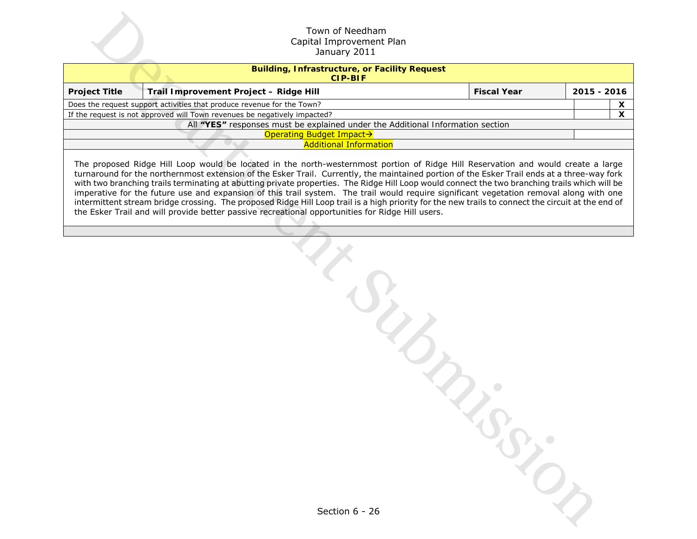|                                                                           | Town of Needham<br>Capital Improvement Plan<br>January 2011                                                                                                                                                                                                                                                                                                                                                                                                                                                                                                                                                                                                                                        |                    |                   |  |  |  |  |
|---------------------------------------------------------------------------|----------------------------------------------------------------------------------------------------------------------------------------------------------------------------------------------------------------------------------------------------------------------------------------------------------------------------------------------------------------------------------------------------------------------------------------------------------------------------------------------------------------------------------------------------------------------------------------------------------------------------------------------------------------------------------------------------|--------------------|-------------------|--|--|--|--|
|                                                                           | <b>Building, Infrastructure, or Facility Request</b><br><b>CIP-BIF</b>                                                                                                                                                                                                                                                                                                                                                                                                                                                                                                                                                                                                                             |                    |                   |  |  |  |  |
| <b>Project Title</b>                                                      | Trail Improvement Project - Ridge Hill                                                                                                                                                                                                                                                                                                                                                                                                                                                                                                                                                                                                                                                             | <b>Fiscal Year</b> | 2015 - 2016       |  |  |  |  |
|                                                                           | Does the request support activities that produce revenue for the Town?                                                                                                                                                                                                                                                                                                                                                                                                                                                                                                                                                                                                                             |                    | X<br>$\mathsf{x}$ |  |  |  |  |
| If the request is not approved will Town revenues be negatively impacted? |                                                                                                                                                                                                                                                                                                                                                                                                                                                                                                                                                                                                                                                                                                    |                    |                   |  |  |  |  |
|                                                                           | All "YES" responses must be explained under the Additional Information section<br>Operating Budget Impact→                                                                                                                                                                                                                                                                                                                                                                                                                                                                                                                                                                                         |                    |                   |  |  |  |  |
|                                                                           | <b>Additional Information</b>                                                                                                                                                                                                                                                                                                                                                                                                                                                                                                                                                                                                                                                                      |                    |                   |  |  |  |  |
|                                                                           | turnaround for the northernmost extension of the Esker Trail. Currently, the maintained portion of the Esker Trail ends at a three-way fork<br>with two branching trails terminating at abutting private properties. The Ridge Hill Loop would connect the two branching trails which will be<br>imperative for the future use and expansion of this trail system. The trail would require significant vegetation removal along with one<br>intermittent stream bridge crossing. The proposed Ridge Hill Loop trail is a high priority for the new trails to connect the circuit at the end of<br>the Esker Trail and will provide better passive recreational opportunities for Ridge Hill users. |                    |                   |  |  |  |  |
|                                                                           |                                                                                                                                                                                                                                                                                                                                                                                                                                                                                                                                                                                                                                                                                                    |                    |                   |  |  |  |  |
|                                                                           | $\overline{z}$                                                                                                                                                                                                                                                                                                                                                                                                                                                                                                                                                                                                                                                                                     |                    |                   |  |  |  |  |
|                                                                           | Section 6 - 26                                                                                                                                                                                                                                                                                                                                                                                                                                                                                                                                                                                                                                                                                     |                    |                   |  |  |  |  |

| Section 6 - 26 |  |
|----------------|--|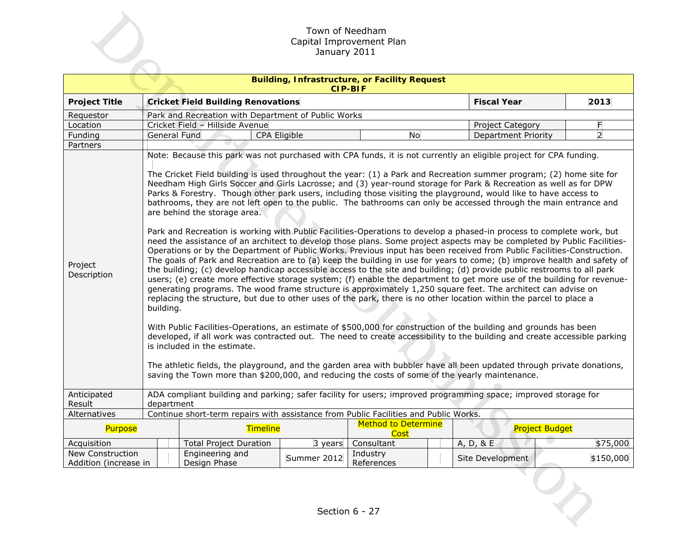|                                           | Town of Needham<br>Capital Improvement Plan<br>January 2011 |                                                                                                                                                                |                                                     |                                                                        |                                                                                                                                                                                                                                                                                                                                                                                                                                                                                                                                                                                                                                                                                                                                                                                                                                                                                                                                                                                                                                                                                                                                                                                                                                                                                                                                                                                                                                                                                                                                                                                                                                                                                                                                                                                                                                                                       |                |  |  |
|-------------------------------------------|-------------------------------------------------------------|----------------------------------------------------------------------------------------------------------------------------------------------------------------|-----------------------------------------------------|------------------------------------------------------------------------|-----------------------------------------------------------------------------------------------------------------------------------------------------------------------------------------------------------------------------------------------------------------------------------------------------------------------------------------------------------------------------------------------------------------------------------------------------------------------------------------------------------------------------------------------------------------------------------------------------------------------------------------------------------------------------------------------------------------------------------------------------------------------------------------------------------------------------------------------------------------------------------------------------------------------------------------------------------------------------------------------------------------------------------------------------------------------------------------------------------------------------------------------------------------------------------------------------------------------------------------------------------------------------------------------------------------------------------------------------------------------------------------------------------------------------------------------------------------------------------------------------------------------------------------------------------------------------------------------------------------------------------------------------------------------------------------------------------------------------------------------------------------------------------------------------------------------------------------------------------------------|----------------|--|--|
|                                           |                                                             |                                                                                                                                                                |                                                     | <b>Building, Infrastructure, or Facility Request</b><br><b>CIP-BIF</b> |                                                                                                                                                                                                                                                                                                                                                                                                                                                                                                                                                                                                                                                                                                                                                                                                                                                                                                                                                                                                                                                                                                                                                                                                                                                                                                                                                                                                                                                                                                                                                                                                                                                                                                                                                                                                                                                                       |                |  |  |
| <b>Project Title</b>                      |                                                             | <b>Cricket Field Building Renovations</b>                                                                                                                      |                                                     |                                                                        | <b>Fiscal Year</b>                                                                                                                                                                                                                                                                                                                                                                                                                                                                                                                                                                                                                                                                                                                                                                                                                                                                                                                                                                                                                                                                                                                                                                                                                                                                                                                                                                                                                                                                                                                                                                                                                                                                                                                                                                                                                                                    | 2013           |  |  |
| Requestor                                 |                                                             |                                                                                                                                                                | Park and Recreation with Department of Public Works |                                                                        |                                                                                                                                                                                                                                                                                                                                                                                                                                                                                                                                                                                                                                                                                                                                                                                                                                                                                                                                                                                                                                                                                                                                                                                                                                                                                                                                                                                                                                                                                                                                                                                                                                                                                                                                                                                                                                                                       |                |  |  |
| Location                                  |                                                             | Cricket Field - Hillside Avenue                                                                                                                                |                                                     |                                                                        | Project Category                                                                                                                                                                                                                                                                                                                                                                                                                                                                                                                                                                                                                                                                                                                                                                                                                                                                                                                                                                                                                                                                                                                                                                                                                                                                                                                                                                                                                                                                                                                                                                                                                                                                                                                                                                                                                                                      | F              |  |  |
| Funding                                   | General Fund                                                | CPA Eligible                                                                                                                                                   |                                                     | No                                                                     | <b>Department Priority</b>                                                                                                                                                                                                                                                                                                                                                                                                                                                                                                                                                                                                                                                                                                                                                                                                                                                                                                                                                                                                                                                                                                                                                                                                                                                                                                                                                                                                                                                                                                                                                                                                                                                                                                                                                                                                                                            | $\overline{2}$ |  |  |
| Partners                                  |                                                             |                                                                                                                                                                |                                                     |                                                                        |                                                                                                                                                                                                                                                                                                                                                                                                                                                                                                                                                                                                                                                                                                                                                                                                                                                                                                                                                                                                                                                                                                                                                                                                                                                                                                                                                                                                                                                                                                                                                                                                                                                                                                                                                                                                                                                                       |                |  |  |
| Project<br>Description                    | building.                                                   | are behind the storage area.<br>is included in the estimate.<br>saving the Town more than \$200,000, and reducing the costs of some of the yearly maintenance. |                                                     |                                                                        | The Cricket Field building is used throughout the year: (1) a Park and Recreation summer program; (2) home site for<br>Needham High Girls Soccer and Girls Lacrosse; and (3) year-round storage for Park & Recreation as well as for DPW<br>Parks & Forestry. Though other park users, including those visiting the playground, would like to have access to<br>bathrooms, they are not left open to the public. The bathrooms can only be accessed through the main entrance and<br>Park and Recreation is working with Public Facilities-Operations to develop a phased-in process to complete work, but<br>need the assistance of an architect to develop those plans. Some project aspects may be completed by Public Facilities-<br>Operations or by the Department of Public Works. Previous input has been received from Public Facilities-Construction.<br>The goals of Park and Recreation are to (a) keep the building in use for years to come; (b) improve health and safety of<br>the building; (c) develop handicap accessible access to the site and building; (d) provide public restrooms to all park<br>users; (e) create more effective storage system; (f) enable the department to get more use of the building for revenue-<br>generating programs. The wood frame structure is approximately 1,250 square feet. The architect can advise on<br>replacing the structure, but due to other uses of the park, there is no other location within the parcel to place a<br>With Public Facilities-Operations, an estimate of \$500,000 for construction of the building and grounds has been<br>developed, if all work was contracted out. The need to create accessibility to the building and create accessible parking<br>The athletic fields, the playground, and the garden area with bubbler have all been updated through private donations, |                |  |  |
| Anticipated<br>Result                     | department                                                  |                                                                                                                                                                |                                                     |                                                                        | ADA compliant building and parking; safer facility for users; improved programming space; improved storage for                                                                                                                                                                                                                                                                                                                                                                                                                                                                                                                                                                                                                                                                                                                                                                                                                                                                                                                                                                                                                                                                                                                                                                                                                                                                                                                                                                                                                                                                                                                                                                                                                                                                                                                                                        |                |  |  |
| Alternatives                              |                                                             | Continue short-term repairs with assistance from Public Facilities and Public Works.                                                                           |                                                     |                                                                        |                                                                                                                                                                                                                                                                                                                                                                                                                                                                                                                                                                                                                                                                                                                                                                                                                                                                                                                                                                                                                                                                                                                                                                                                                                                                                                                                                                                                                                                                                                                                                                                                                                                                                                                                                                                                                                                                       |                |  |  |
| Purpose                                   |                                                             | Timeline                                                                                                                                                       |                                                     | <b>Method to Determine</b><br>Cost                                     | <b>Project Budget</b>                                                                                                                                                                                                                                                                                                                                                                                                                                                                                                                                                                                                                                                                                                                                                                                                                                                                                                                                                                                                                                                                                                                                                                                                                                                                                                                                                                                                                                                                                                                                                                                                                                                                                                                                                                                                                                                 |                |  |  |
| Acquisition                               |                                                             | <b>Total Project Duration</b>                                                                                                                                  | 3 years                                             | Consultant                                                             | $A, D, 8$ E                                                                                                                                                                                                                                                                                                                                                                                                                                                                                                                                                                                                                                                                                                                                                                                                                                                                                                                                                                                                                                                                                                                                                                                                                                                                                                                                                                                                                                                                                                                                                                                                                                                                                                                                                                                                                                                           | \$75,000       |  |  |
| New Construction<br>Addition (increase in |                                                             | Engineering and<br>Design Phase                                                                                                                                | Summer 2012                                         | Industry<br>References                                                 | Site Development                                                                                                                                                                                                                                                                                                                                                                                                                                                                                                                                                                                                                                                                                                                                                                                                                                                                                                                                                                                                                                                                                                                                                                                                                                                                                                                                                                                                                                                                                                                                                                                                                                                                                                                                                                                                                                                      | \$150,000      |  |  |
|                                           |                                                             |                                                                                                                                                                |                                                     | Section 6 - 27                                                         |                                                                                                                                                                                                                                                                                                                                                                                                                                                                                                                                                                                                                                                                                                                                                                                                                                                                                                                                                                                                                                                                                                                                                                                                                                                                                                                                                                                                                                                                                                                                                                                                                                                                                                                                                                                                                                                                       |                |  |  |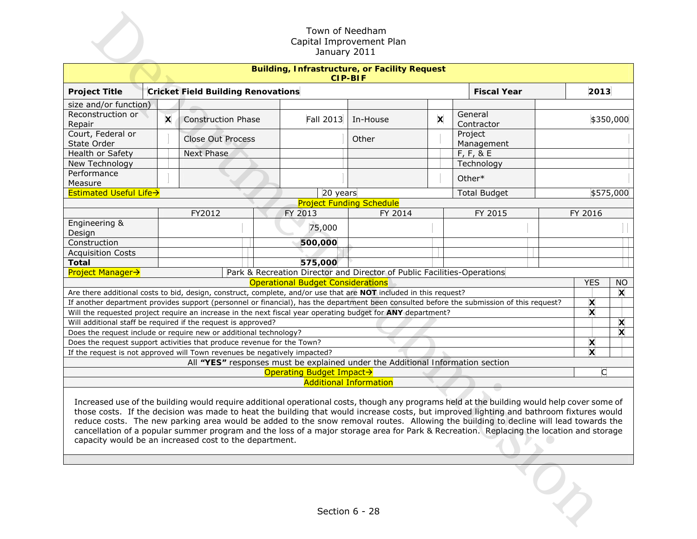|                                                                                                                                                                                                                                                                                                                                                                                                                                                                                                                                                                                                                                     |                                                                        |   |                                                                                                                   |  | Town of Needham<br>January 2011          | Capital Improvement Plan                                                       |                           |                                                                                                                                           |  |              |                           |
|-------------------------------------------------------------------------------------------------------------------------------------------------------------------------------------------------------------------------------------------------------------------------------------------------------------------------------------------------------------------------------------------------------------------------------------------------------------------------------------------------------------------------------------------------------------------------------------------------------------------------------------|------------------------------------------------------------------------|---|-------------------------------------------------------------------------------------------------------------------|--|------------------------------------------|--------------------------------------------------------------------------------|---------------------------|-------------------------------------------------------------------------------------------------------------------------------------------|--|--------------|---------------------------|
|                                                                                                                                                                                                                                                                                                                                                                                                                                                                                                                                                                                                                                     | <b>Building, Infrastructure, or Facility Request</b><br><b>CIP-BIF</b> |   |                                                                                                                   |  |                                          |                                                                                |                           |                                                                                                                                           |  |              |                           |
| <b>Project Title</b>                                                                                                                                                                                                                                                                                                                                                                                                                                                                                                                                                                                                                |                                                                        |   | <b>Cricket Field Building Renovations</b>                                                                         |  |                                          |                                                                                |                           | <b>Fiscal Year</b>                                                                                                                        |  | 2013         |                           |
| size and/or function)                                                                                                                                                                                                                                                                                                                                                                                                                                                                                                                                                                                                               |                                                                        |   |                                                                                                                   |  |                                          |                                                                                |                           |                                                                                                                                           |  |              |                           |
| Reconstruction or<br>Repair                                                                                                                                                                                                                                                                                                                                                                                                                                                                                                                                                                                                         |                                                                        | X | <b>Construction Phase</b>                                                                                         |  | <b>Fall 2013</b>                         | In-House                                                                       | $\boldsymbol{\mathsf{x}}$ | General<br>Contractor                                                                                                                     |  | \$350,000    |                           |
| Court, Federal or<br>State Order                                                                                                                                                                                                                                                                                                                                                                                                                                                                                                                                                                                                    |                                                                        |   | <b>Close Out Process</b>                                                                                          |  |                                          | Other                                                                          |                           | Project<br>Management                                                                                                                     |  |              |                           |
| Health or Safety                                                                                                                                                                                                                                                                                                                                                                                                                                                                                                                                                                                                                    |                                                                        |   | <b>Next Phase</b>                                                                                                 |  |                                          |                                                                                |                           | $F, F, 8$ E                                                                                                                               |  |              |                           |
| New Technology                                                                                                                                                                                                                                                                                                                                                                                                                                                                                                                                                                                                                      |                                                                        |   |                                                                                                                   |  |                                          |                                                                                |                           | Technology                                                                                                                                |  |              |                           |
| Performance<br>Measure                                                                                                                                                                                                                                                                                                                                                                                                                                                                                                                                                                                                              |                                                                        |   |                                                                                                                   |  |                                          |                                                                                |                           | Other*                                                                                                                                    |  |              |                           |
| Estimated Useful Life->                                                                                                                                                                                                                                                                                                                                                                                                                                                                                                                                                                                                             |                                                                        |   |                                                                                                                   |  | 20 years                                 |                                                                                |                           | <b>Total Budget</b>                                                                                                                       |  |              | \$575,000                 |
| <b>Project Funding Schedule</b>                                                                                                                                                                                                                                                                                                                                                                                                                                                                                                                                                                                                     |                                                                        |   |                                                                                                                   |  |                                          |                                                                                |                           |                                                                                                                                           |  |              |                           |
|                                                                                                                                                                                                                                                                                                                                                                                                                                                                                                                                                                                                                                     |                                                                        |   | FY2012                                                                                                            |  | FY 2013                                  | FY 2014                                                                        |                           | FY 2015                                                                                                                                   |  | FY 2016      |                           |
| Engineering &                                                                                                                                                                                                                                                                                                                                                                                                                                                                                                                                                                                                                       |                                                                        |   |                                                                                                                   |  | 75,000                                   |                                                                                |                           |                                                                                                                                           |  |              |                           |
| Design<br>Construction                                                                                                                                                                                                                                                                                                                                                                                                                                                                                                                                                                                                              |                                                                        |   |                                                                                                                   |  | 500,000                                  |                                                                                |                           |                                                                                                                                           |  |              |                           |
| <b>Acquisition Costs</b>                                                                                                                                                                                                                                                                                                                                                                                                                                                                                                                                                                                                            |                                                                        |   |                                                                                                                   |  |                                          |                                                                                |                           |                                                                                                                                           |  |              |                           |
| <b>Total</b>                                                                                                                                                                                                                                                                                                                                                                                                                                                                                                                                                                                                                        |                                                                        |   |                                                                                                                   |  | 575,000                                  |                                                                                |                           |                                                                                                                                           |  |              |                           |
| <b>Project Manager→</b>                                                                                                                                                                                                                                                                                                                                                                                                                                                                                                                                                                                                             |                                                                        |   |                                                                                                                   |  |                                          | Park & Recreation Director and Director of Public Facilities-Operations        |                           |                                                                                                                                           |  |              |                           |
|                                                                                                                                                                                                                                                                                                                                                                                                                                                                                                                                                                                                                                     |                                                                        |   |                                                                                                                   |  | <b>Operational Budget Considerations</b> |                                                                                |                           |                                                                                                                                           |  | <b>YES</b>   | <b>NO</b>                 |
|                                                                                                                                                                                                                                                                                                                                                                                                                                                                                                                                                                                                                                     |                                                                        |   | Are there additional costs to bid, design, construct, complete, and/or use that are NOT included in this request? |  |                                          |                                                                                |                           |                                                                                                                                           |  |              | X                         |
|                                                                                                                                                                                                                                                                                                                                                                                                                                                                                                                                                                                                                                     |                                                                        |   |                                                                                                                   |  |                                          |                                                                                |                           | If another department provides support (personnel or financial), has the department been consulted before the submission of this request? |  | X            |                           |
|                                                                                                                                                                                                                                                                                                                                                                                                                                                                                                                                                                                                                                     |                                                                        |   | Will the requested project require an increase in the next fiscal year operating budget for ANY department?       |  |                                          |                                                                                |                           |                                                                                                                                           |  | $\mathbf{x}$ |                           |
|                                                                                                                                                                                                                                                                                                                                                                                                                                                                                                                                                                                                                                     |                                                                        |   | Will additional staff be required if the request is approved?                                                     |  |                                          |                                                                                |                           |                                                                                                                                           |  |              | $\boldsymbol{\mathsf{x}}$ |
|                                                                                                                                                                                                                                                                                                                                                                                                                                                                                                                                                                                                                                     |                                                                        |   | Does the request include or require new or additional technology?                                                 |  |                                          |                                                                                |                           |                                                                                                                                           |  |              | X                         |
|                                                                                                                                                                                                                                                                                                                                                                                                                                                                                                                                                                                                                                     |                                                                        |   | Does the request support activities that produce revenue for the Town?                                            |  |                                          |                                                                                |                           |                                                                                                                                           |  | X            |                           |
|                                                                                                                                                                                                                                                                                                                                                                                                                                                                                                                                                                                                                                     |                                                                        |   | If the request is not approved will Town revenues be negatively impacted?                                         |  |                                          | All "YES" responses must be explained under the Additional Information section |                           |                                                                                                                                           |  | X            |                           |
|                                                                                                                                                                                                                                                                                                                                                                                                                                                                                                                                                                                                                                     |                                                                        |   |                                                                                                                   |  | Operating Budget Impact→                 |                                                                                |                           |                                                                                                                                           |  | C            |                           |
|                                                                                                                                                                                                                                                                                                                                                                                                                                                                                                                                                                                                                                     |                                                                        |   |                                                                                                                   |  |                                          | <b>Additional Information</b>                                                  |                           |                                                                                                                                           |  |              |                           |
| Increased use of the building would require additional operational costs, though any programs held at the building would help cover some of<br>those costs. If the decision was made to heat the building that would increase costs, but improved lighting and bathroom fixtures would<br>reduce costs. The new parking area would be added to the snow removal routes. Allowing the building to decline will lead towards the<br>cancellation of a popular summer program and the loss of a major storage area for Park & Recreation. Replacing the location and storage<br>capacity would be an increased cost to the department. |                                                                        |   |                                                                                                                   |  |                                          |                                                                                |                           |                                                                                                                                           |  |              |                           |
| Section 6 - 28                                                                                                                                                                                                                                                                                                                                                                                                                                                                                                                                                                                                                      |                                                                        |   |                                                                                                                   |  |                                          |                                                                                |                           |                                                                                                                                           |  |              |                           |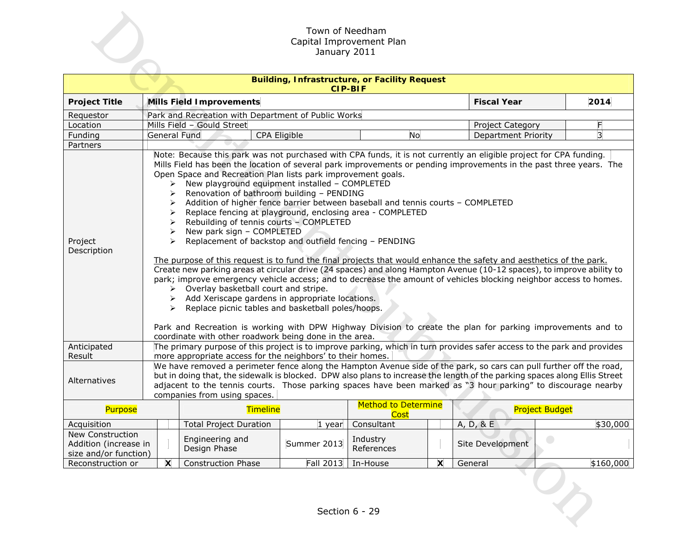|                                                                    | Town of Needham<br>Capital Improvement Plan<br>January 2011                            |                                                                                                                                                                                                                                                                                                                                                                                                                                                                                                                                                                                                                                                                                                                                                                                                                                                                                                                                                                                                                                                                                                                                                                                                                                                                                                                                                                                          |                  |                                                                        |   |                            |                       |
|--------------------------------------------------------------------|----------------------------------------------------------------------------------------|------------------------------------------------------------------------------------------------------------------------------------------------------------------------------------------------------------------------------------------------------------------------------------------------------------------------------------------------------------------------------------------------------------------------------------------------------------------------------------------------------------------------------------------------------------------------------------------------------------------------------------------------------------------------------------------------------------------------------------------------------------------------------------------------------------------------------------------------------------------------------------------------------------------------------------------------------------------------------------------------------------------------------------------------------------------------------------------------------------------------------------------------------------------------------------------------------------------------------------------------------------------------------------------------------------------------------------------------------------------------------------------|------------------|------------------------------------------------------------------------|---|----------------------------|-----------------------|
|                                                                    |                                                                                        |                                                                                                                                                                                                                                                                                                                                                                                                                                                                                                                                                                                                                                                                                                                                                                                                                                                                                                                                                                                                                                                                                                                                                                                                                                                                                                                                                                                          |                  | <b>Building, Infrastructure, or Facility Request</b><br><b>CIP-BIF</b> |   |                            |                       |
| <b>Project Title</b>                                               |                                                                                        | <b>Mills Field Improvements</b>                                                                                                                                                                                                                                                                                                                                                                                                                                                                                                                                                                                                                                                                                                                                                                                                                                                                                                                                                                                                                                                                                                                                                                                                                                                                                                                                                          |                  |                                                                        |   | <b>Fiscal Year</b>         | 2014                  |
| Requestor                                                          |                                                                                        | Park and Recreation with Department of Public Works                                                                                                                                                                                                                                                                                                                                                                                                                                                                                                                                                                                                                                                                                                                                                                                                                                                                                                                                                                                                                                                                                                                                                                                                                                                                                                                                      |                  |                                                                        |   |                            |                       |
| Location                                                           |                                                                                        | Mills Field - Gould Street                                                                                                                                                                                                                                                                                                                                                                                                                                                                                                                                                                                                                                                                                                                                                                                                                                                                                                                                                                                                                                                                                                                                                                                                                                                                                                                                                               |                  |                                                                        |   | Project Category           | F                     |
| Funding                                                            | <b>General Fund</b>                                                                    | CPA Eligible                                                                                                                                                                                                                                                                                                                                                                                                                                                                                                                                                                                                                                                                                                                                                                                                                                                                                                                                                                                                                                                                                                                                                                                                                                                                                                                                                                             |                  | No                                                                     |   | <b>Department Priority</b> | 3                     |
| Partners                                                           |                                                                                        |                                                                                                                                                                                                                                                                                                                                                                                                                                                                                                                                                                                                                                                                                                                                                                                                                                                                                                                                                                                                                                                                                                                                                                                                                                                                                                                                                                                          |                  |                                                                        |   |                            |                       |
| Project<br>Description                                             | ➤<br>➤<br>➤<br>➤<br>➤<br>$\blacktriangleright$<br>≻<br>$\blacktriangleright$<br>➤<br>➤ | Note: Because this park was not purchased with CPA funds, it is not currently an eligible project for CPA funding.<br>Mills Field has been the location of several park improvements or pending improvements in the past three years. The<br>Open Space and Recreation Plan lists park improvement goals.<br>New playground equipment installed - COMPLETED<br>Renovation of bathroom building - PENDING<br>Addition of higher fence barrier between baseball and tennis courts - COMPLETED<br>Replace fencing at playground, enclosing area - COMPLETED<br>Rebuilding of tennis courts - COMPLETED<br>New park sign - COMPLETED<br>Replacement of backstop and outfield fencing - PENDING<br>The purpose of this request is to fund the final projects that would enhance the safety and aesthetics of the park.<br>Create new parking areas at circular drive (24 spaces) and along Hampton Avenue (10-12 spaces), to improve ability to<br>park; improve emergency vehicle access; and to decrease the amount of vehicles blocking neighbor access to homes.<br>Overlay basketball court and stripe.<br>Add Xeriscape gardens in appropriate locations.<br>Replace picnic tables and basketball poles/hoops.<br>Park and Recreation is working with DPW Highway Division to create the plan for parking improvements and to<br>coordinate with other roadwork being done in the area. |                  |                                                                        |   |                            |                       |
| Anticipated                                                        |                                                                                        | The primary purpose of this project is to improve parking, which in turn provides safer access to the park and provides                                                                                                                                                                                                                                                                                                                                                                                                                                                                                                                                                                                                                                                                                                                                                                                                                                                                                                                                                                                                                                                                                                                                                                                                                                                                  |                  |                                                                        |   |                            |                       |
| Result<br>Alternatives                                             |                                                                                        | more appropriate access for the neighbors' to their homes.<br>We have removed a perimeter fence along the Hampton Avenue side of the park, so cars can pull further off the road,<br>but in doing that, the sidewalk is blocked. DPW also plans to increase the length of the parking spaces along Ellis Street<br>adjacent to the tennis courts. Those parking spaces have been marked as "3 hour parking" to discourage nearby<br>companies from using spaces.                                                                                                                                                                                                                                                                                                                                                                                                                                                                                                                                                                                                                                                                                                                                                                                                                                                                                                                         |                  |                                                                        |   |                            |                       |
| Purpose                                                            |                                                                                        | <b>Timeline</b>                                                                                                                                                                                                                                                                                                                                                                                                                                                                                                                                                                                                                                                                                                                                                                                                                                                                                                                                                                                                                                                                                                                                                                                                                                                                                                                                                                          |                  | Method to Determine<br>Cost                                            |   |                            | <b>Project Budget</b> |
| Acquisition                                                        |                                                                                        | <b>Total Project Duration</b>                                                                                                                                                                                                                                                                                                                                                                                                                                                                                                                                                                                                                                                                                                                                                                                                                                                                                                                                                                                                                                                                                                                                                                                                                                                                                                                                                            | 1 year           | Consultant                                                             |   | A, D, 8E                   | \$30,000              |
| New Construction<br>Addition (increase in<br>size and/or function) |                                                                                        | Engineering and<br>Design Phase                                                                                                                                                                                                                                                                                                                                                                                                                                                                                                                                                                                                                                                                                                                                                                                                                                                                                                                                                                                                                                                                                                                                                                                                                                                                                                                                                          | Summer 2013      | Industry<br>References                                                 |   | Site Development           |                       |
| Reconstruction or                                                  | $\boldsymbol{\mathsf{x}}$                                                              | <b>Construction Phase</b>                                                                                                                                                                                                                                                                                                                                                                                                                                                                                                                                                                                                                                                                                                                                                                                                                                                                                                                                                                                                                                                                                                                                                                                                                                                                                                                                                                | <b>Fall 2013</b> | In-House                                                               | X | General                    | \$160,000             |
|                                                                    |                                                                                        |                                                                                                                                                                                                                                                                                                                                                                                                                                                                                                                                                                                                                                                                                                                                                                                                                                                                                                                                                                                                                                                                                                                                                                                                                                                                                                                                                                                          |                  | Section 6 - 29                                                         |   |                            |                       |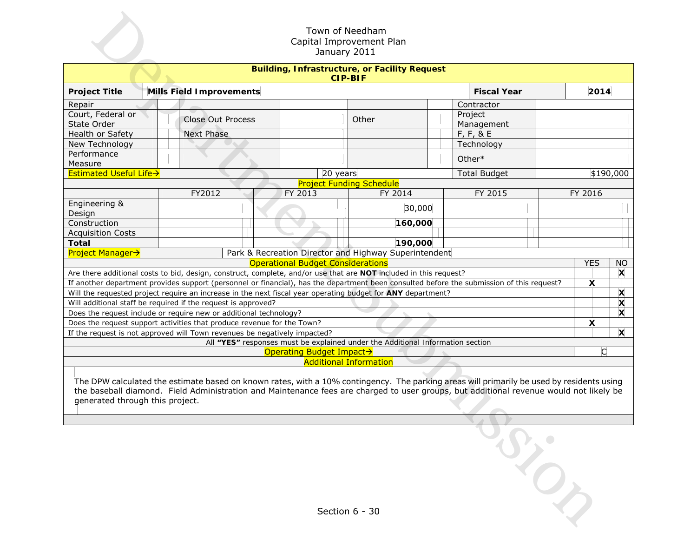|                                  |  |                                                                           |                                          | Town of Needham<br>Capital Improvement Plan<br>January 2011                                                                               |  |                       |  |            |           |
|----------------------------------|--|---------------------------------------------------------------------------|------------------------------------------|-------------------------------------------------------------------------------------------------------------------------------------------|--|-----------------------|--|------------|-----------|
|                                  |  |                                                                           |                                          | <b>Building, Infrastructure, or Facility Request</b><br><b>CIP-BIF</b>                                                                    |  |                       |  |            |           |
| <b>Project Title</b>             |  | <b>Mills Field Improvements</b>                                           |                                          |                                                                                                                                           |  | <b>Fiscal Year</b>    |  | 2014       |           |
| Repair                           |  |                                                                           |                                          |                                                                                                                                           |  | Contractor            |  |            |           |
| Court, Federal or<br>State Order |  | <b>Close Out Process</b>                                                  |                                          | Other                                                                                                                                     |  | Project<br>Management |  |            |           |
| Health or Safety                 |  | <b>Next Phase</b>                                                         |                                          |                                                                                                                                           |  | F, F, 8E              |  |            |           |
| New Technology                   |  |                                                                           |                                          |                                                                                                                                           |  | Technology            |  |            |           |
| Performance<br>Measure           |  |                                                                           |                                          |                                                                                                                                           |  | Other*                |  |            |           |
| Estimated Useful Life->          |  |                                                                           |                                          | 20 years                                                                                                                                  |  | <b>Total Budget</b>   |  |            | \$190,000 |
|                                  |  |                                                                           |                                          | <b>Project Funding Schedule</b>                                                                                                           |  |                       |  |            |           |
|                                  |  | FY2012                                                                    | FY 2013                                  | FY 2014                                                                                                                                   |  | FY 2015               |  | FY 2016    |           |
| Engineering &<br>Design          |  |                                                                           |                                          | 30,000                                                                                                                                    |  |                       |  |            |           |
| Construction                     |  |                                                                           |                                          | 160,000                                                                                                                                   |  |                       |  |            |           |
| <b>Acquisition Costs</b>         |  |                                                                           |                                          |                                                                                                                                           |  |                       |  |            |           |
| <b>Total</b>                     |  |                                                                           |                                          | 190,000                                                                                                                                   |  |                       |  |            |           |
| <b>Project Manager→</b>          |  |                                                                           | <b>Operational Budget Considerations</b> | Park & Recreation Director and Highway Superintendent                                                                                     |  |                       |  | <b>YES</b> | <b>NO</b> |
|                                  |  |                                                                           |                                          | Are there additional costs to bid, design, construct, complete, and/or use that are NOT included in this request?                         |  |                       |  |            | X         |
|                                  |  |                                                                           |                                          | If another department provides support (personnel or financial), has the department been consulted before the submission of this request? |  |                       |  | X          |           |
|                                  |  |                                                                           |                                          | Will the requested project require an increase in the next fiscal year operating budget for ANY department?                               |  |                       |  |            | X         |
|                                  |  | Will additional staff be required if the request is approved?             |                                          |                                                                                                                                           |  |                       |  |            | X         |
|                                  |  | Does the request include or require new or additional technology?         |                                          |                                                                                                                                           |  |                       |  |            | X         |
|                                  |  | Does the request support activities that produce revenue for the Town?    |                                          |                                                                                                                                           |  |                       |  | X          |           |
|                                  |  | If the request is not approved will Town revenues be negatively impacted? |                                          |                                                                                                                                           |  |                       |  |            | X         |
|                                  |  |                                                                           |                                          | All "YES" responses must be explained under the Additional Information section                                                            |  |                       |  |            |           |
|                                  |  |                                                                           | Operating Budget Impact→                 | <b>Additional Information</b>                                                                                                             |  |                       |  | C          |           |
|                                  |  |                                                                           |                                          | The DPW calculated the estimate based on known rates, with a 10% contingency. The parking areas will primarily be used by residents using |  |                       |  |            |           |
| generated through this project.  |  |                                                                           |                                          | the baseball diamond. Field Administration and Maintenance fees are charged to user groups, but additional revenue would not likely be    |  |                       |  |            |           |
|                                  |  |                                                                           |                                          |                                                                                                                                           |  |                       |  |            |           |
|                                  |  |                                                                           |                                          |                                                                                                                                           |  |                       |  |            |           |
|                                  |  |                                                                           |                                          |                                                                                                                                           |  |                       |  |            |           |
|                                  |  |                                                                           |                                          |                                                                                                                                           |  |                       |  |            |           |
|                                  |  |                                                                           |                                          | Section 6 - 30                                                                                                                            |  |                       |  |            |           |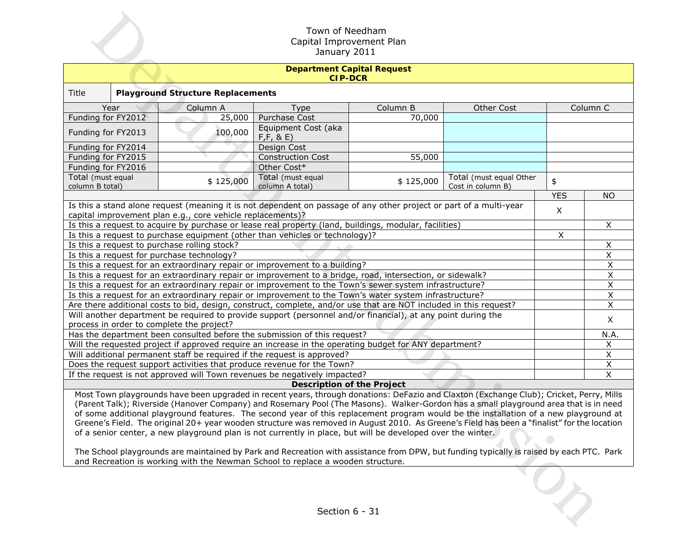| Town of Needham<br>Capital Improvement Plan<br>January 2011 |                                                                                                                                                                                                                                                                                                                                                                                                                                                                                                                                            |                                                     |                     |                                              |              |                         |  |
|-------------------------------------------------------------|--------------------------------------------------------------------------------------------------------------------------------------------------------------------------------------------------------------------------------------------------------------------------------------------------------------------------------------------------------------------------------------------------------------------------------------------------------------------------------------------------------------------------------------------|-----------------------------------------------------|---------------------|----------------------------------------------|--------------|-------------------------|--|
|                                                             |                                                                                                                                                                                                                                                                                                                                                                                                                                                                                                                                            | <b>Department Capital Request</b><br><b>CIP-DCR</b> |                     |                                              |              |                         |  |
| Title                                                       | <b>Playground Structure Replacements</b>                                                                                                                                                                                                                                                                                                                                                                                                                                                                                                   |                                                     |                     |                                              |              |                         |  |
| Year                                                        | Column A                                                                                                                                                                                                                                                                                                                                                                                                                                                                                                                                   | Type                                                | Column B            | Other Cost                                   | Column C     |                         |  |
|                                                             | Funding for FY2012<br>25,000<br>Purchase Cost<br>70,000                                                                                                                                                                                                                                                                                                                                                                                                                                                                                    |                                                     |                     |                                              |              |                         |  |
| Funding for FY2013                                          | 100,000                                                                                                                                                                                                                                                                                                                                                                                                                                                                                                                                    | Equipment Cost (aka<br>F, F, 8, E)                  |                     |                                              |              |                         |  |
| Funding for FY2014                                          |                                                                                                                                                                                                                                                                                                                                                                                                                                                                                                                                            | Design Cost                                         |                     |                                              |              |                         |  |
| Funding for FY2015                                          |                                                                                                                                                                                                                                                                                                                                                                                                                                                                                                                                            | <b>Construction Cost</b>                            | $\overline{5}5,000$ |                                              |              |                         |  |
| Funding for FY2016                                          |                                                                                                                                                                                                                                                                                                                                                                                                                                                                                                                                            | Other Cost*                                         |                     |                                              |              |                         |  |
| Total (must equal<br>column B total)                        | \$125,000                                                                                                                                                                                                                                                                                                                                                                                                                                                                                                                                  | Total (must equal<br>column A total)                | \$125,000           | Total (must equal Other<br>Cost in column B) | \$           |                         |  |
|                                                             |                                                                                                                                                                                                                                                                                                                                                                                                                                                                                                                                            |                                                     |                     |                                              | <b>YES</b>   | <b>NO</b>               |  |
|                                                             | Is this a stand alone request (meaning it is not dependent on passage of any other project or part of a multi-year<br>capital improvement plan e.g., core vehicle replacements)?                                                                                                                                                                                                                                                                                                                                                           |                                                     |                     |                                              | $\mathsf{X}$ |                         |  |
|                                                             | Is this a request to acquire by purchase or lease real property (land, buildings, modular, facilities)                                                                                                                                                                                                                                                                                                                                                                                                                                     |                                                     |                     |                                              |              | X                       |  |
|                                                             | Is this a request to purchase equipment (other than vehicles or technology)?                                                                                                                                                                                                                                                                                                                                                                                                                                                               |                                                     |                     |                                              | X            |                         |  |
|                                                             | Is this a request to purchase rolling stock?                                                                                                                                                                                                                                                                                                                                                                                                                                                                                               |                                                     |                     |                                              |              | X                       |  |
|                                                             | Is this a request for purchase technology?                                                                                                                                                                                                                                                                                                                                                                                                                                                                                                 |                                                     |                     |                                              |              | X                       |  |
|                                                             | Is this a request for an extraordinary repair or improvement to a building?                                                                                                                                                                                                                                                                                                                                                                                                                                                                |                                                     |                     |                                              |              | X                       |  |
|                                                             | Is this a request for an extraordinary repair or improvement to a bridge, road, intersection, or sidewalk?                                                                                                                                                                                                                                                                                                                                                                                                                                 |                                                     |                     |                                              |              | $\overline{\mathsf{x}}$ |  |
|                                                             | Is this a request for an extraordinary repair or improvement to the Town's sewer system infrastructure?                                                                                                                                                                                                                                                                                                                                                                                                                                    |                                                     |                     |                                              |              | X                       |  |
|                                                             | Is this a request for an extraordinary repair or improvement to the Town's water system infrastructure?                                                                                                                                                                                                                                                                                                                                                                                                                                    |                                                     |                     |                                              |              | Χ                       |  |
|                                                             | Are there additional costs to bid, design, construct, complete, and/or use that are NOT included in this request?                                                                                                                                                                                                                                                                                                                                                                                                                          |                                                     |                     |                                              |              | X                       |  |
|                                                             | Will another department be required to provide support (personnel and/or financial), at any point during the                                                                                                                                                                                                                                                                                                                                                                                                                               |                                                     |                     |                                              |              | X                       |  |
|                                                             | process in order to complete the project?                                                                                                                                                                                                                                                                                                                                                                                                                                                                                                  |                                                     |                     |                                              |              |                         |  |
|                                                             | Has the department been consulted before the submission of this request?                                                                                                                                                                                                                                                                                                                                                                                                                                                                   |                                                     |                     |                                              |              | N.A.                    |  |
|                                                             | Will the requested project if approved require an increase in the operating budget for ANY department?                                                                                                                                                                                                                                                                                                                                                                                                                                     |                                                     |                     |                                              |              | X                       |  |
|                                                             | Will additional permanent staff be required if the request is approved?                                                                                                                                                                                                                                                                                                                                                                                                                                                                    |                                                     |                     |                                              |              | Χ                       |  |
|                                                             | Does the request support activities that produce revenue for the Town?                                                                                                                                                                                                                                                                                                                                                                                                                                                                     |                                                     |                     |                                              |              | $\overline{X}$          |  |
|                                                             | If the request is not approved will Town revenues be negatively impacted?                                                                                                                                                                                                                                                                                                                                                                                                                                                                  |                                                     |                     |                                              |              | $\mathsf{X}$            |  |
|                                                             | Most Town playgrounds have been upgraded in recent years, through donations: DeFazio and Claxton (Exchange Club); Cricket, Perry, Mills                                                                                                                                                                                                                                                                                                                                                                                                    | <b>Description of the Project</b>                   |                     |                                              |              |                         |  |
|                                                             | (Parent Talk); Riverside (Hanover Company) and Rosemary Pool (The Masons). Walker-Gordon has a small playground area that is in need<br>of some additional playground features. The second year of this replacement program would be the installation of a new playground at<br>Greene's Field. The original 20+ year wooden structure was removed in August 2010. As Greene's Field has been a "finalist" for the location<br>of a senior center, a new playground plan is not currently in place, but will be developed over the winter. |                                                     |                     |                                              |              |                         |  |
|                                                             | The School playgrounds are maintained by Park and Recreation with assistance from DPW, but funding typically is raised by each PTC. Park<br>and Recreation is working with the Newman School to replace a wooden structure.                                                                                                                                                                                                                                                                                                                |                                                     |                     |                                              |              |                         |  |
| Section 6 - 31                                              |                                                                                                                                                                                                                                                                                                                                                                                                                                                                                                                                            |                                                     |                     |                                              |              |                         |  |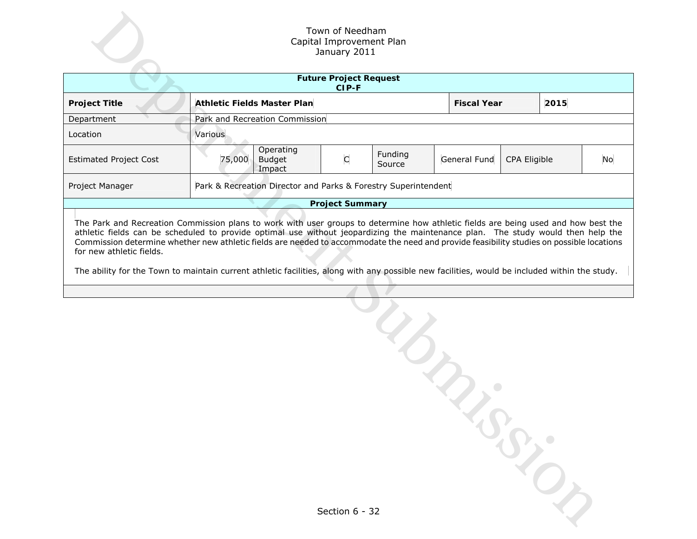| Town of Needham<br>Capital Improvement Plan<br>January 2011 |                                                                                                                                                                                                                                                                                                                                                                                                                                                                                                                                                                                                                                                                         |                                                                  |                |                   |              |              |  |    |
|-------------------------------------------------------------|-------------------------------------------------------------------------------------------------------------------------------------------------------------------------------------------------------------------------------------------------------------------------------------------------------------------------------------------------------------------------------------------------------------------------------------------------------------------------------------------------------------------------------------------------------------------------------------------------------------------------------------------------------------------------|------------------------------------------------------------------|----------------|-------------------|--------------|--------------|--|----|
|                                                             | <b>Future Project Request</b><br>CIP-F                                                                                                                                                                                                                                                                                                                                                                                                                                                                                                                                                                                                                                  |                                                                  |                |                   |              |              |  |    |
| <b>Project Title</b>                                        |                                                                                                                                                                                                                                                                                                                                                                                                                                                                                                                                                                                                                                                                         | <b>Athletic Fields Master Plan</b><br><b>Fiscal Year</b><br>2015 |                |                   |              |              |  |    |
| Department                                                  | Park and Recreation Commission                                                                                                                                                                                                                                                                                                                                                                                                                                                                                                                                                                                                                                          |                                                                  |                |                   |              |              |  |    |
| Location                                                    | Various                                                                                                                                                                                                                                                                                                                                                                                                                                                                                                                                                                                                                                                                 |                                                                  |                |                   |              |              |  |    |
| <b>Estimated Project Cost</b>                               | 75,000                                                                                                                                                                                                                                                                                                                                                                                                                                                                                                                                                                                                                                                                  | Operating<br><b>Budget</b><br>Impact                             | C              | Funding<br>Source | General Fund | CPA Eligible |  | No |
| Project Manager                                             |                                                                                                                                                                                                                                                                                                                                                                                                                                                                                                                                                                                                                                                                         |                                                                  |                |                   |              |              |  |    |
|                                                             |                                                                                                                                                                                                                                                                                                                                                                                                                                                                                                                                                                                                                                                                         |                                                                  |                |                   |              |              |  |    |
| for new athletic fields.                                    | Park & Recreation Director and Parks & Forestry Superintendent<br><b>Project Summary</b><br>The Park and Recreation Commission plans to work with user groups to determine how athletic fields are being used and how best the<br>athletic fields can be scheduled to provide optimal use without jeopardizing the maintenance plan. The study would then help the<br>Commission determine whether new athletic fields are needed to accommodate the need and provide feasibility studies on possible locations<br>The ability for the Town to maintain current athletic facilities, along with any possible new facilities, would be included within the study.<br>RO, |                                                                  |                |                   |              |              |  |    |
|                                                             |                                                                                                                                                                                                                                                                                                                                                                                                                                                                                                                                                                                                                                                                         |                                                                  | Section 6 - 32 |                   |              |              |  |    |

| Section 6 - 32 |  |
|----------------|--|